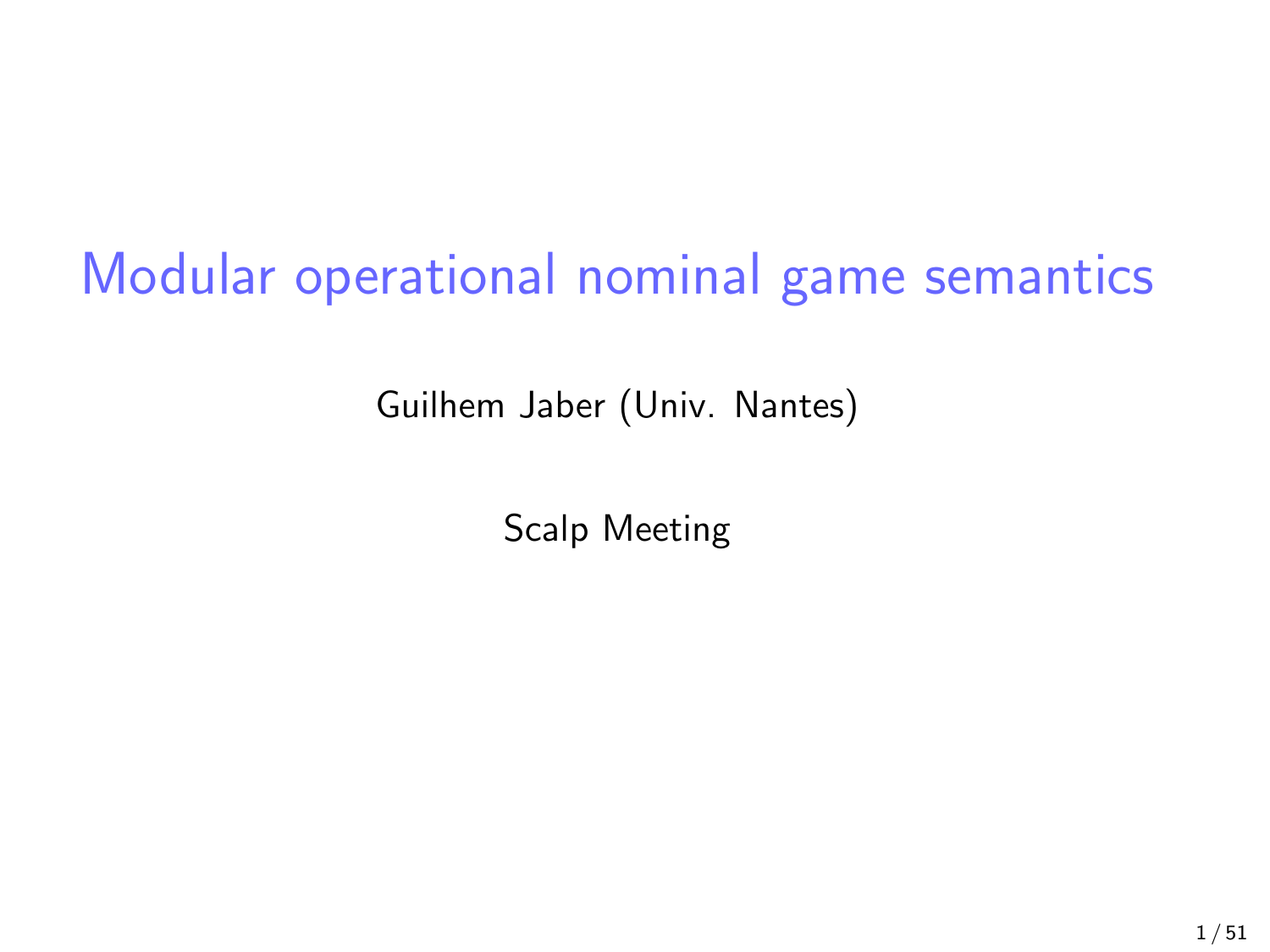# Modular operational nominal game semantics

Guilhem Jaber (Univ. Nantes)

Scalp Meeting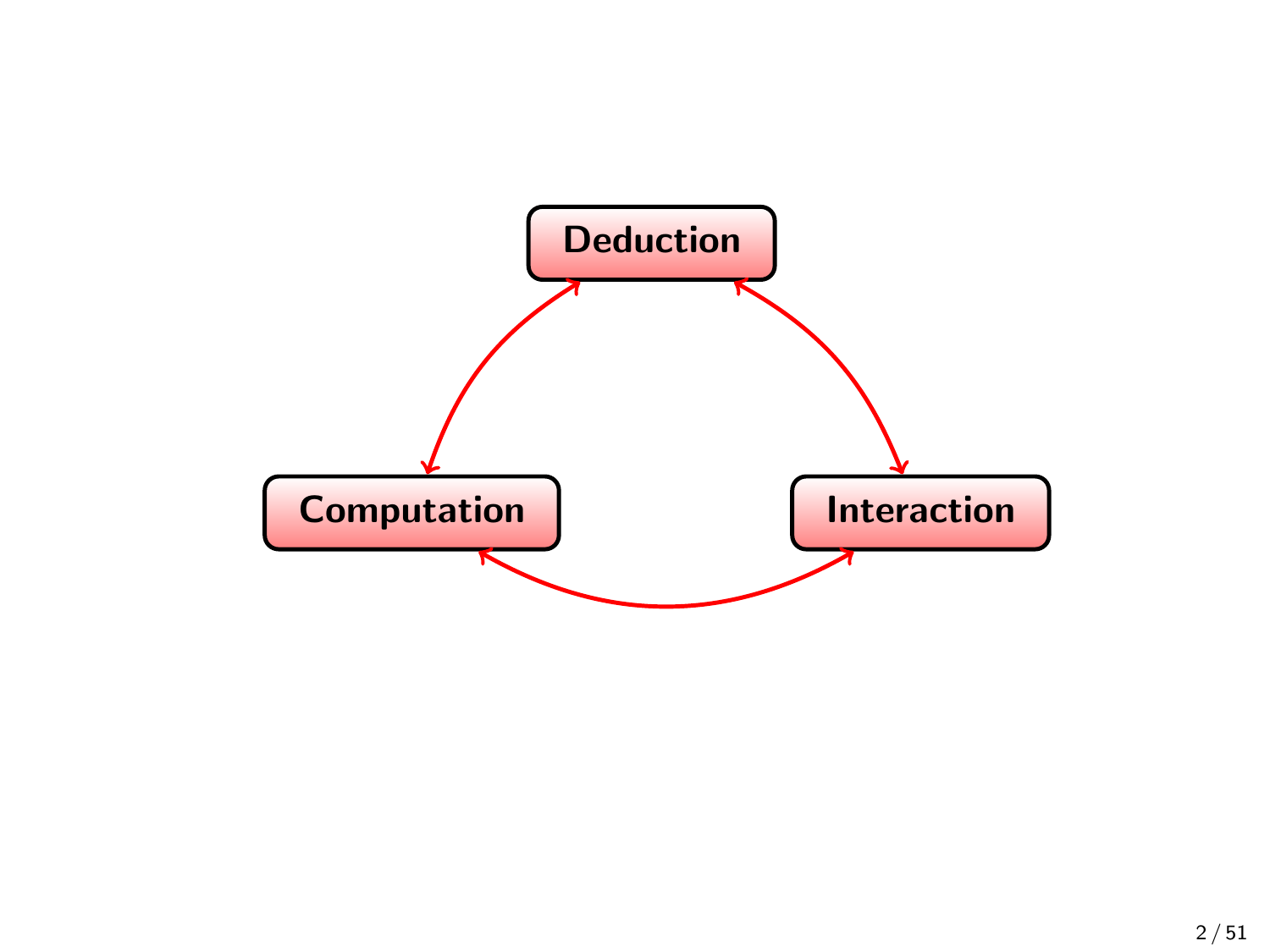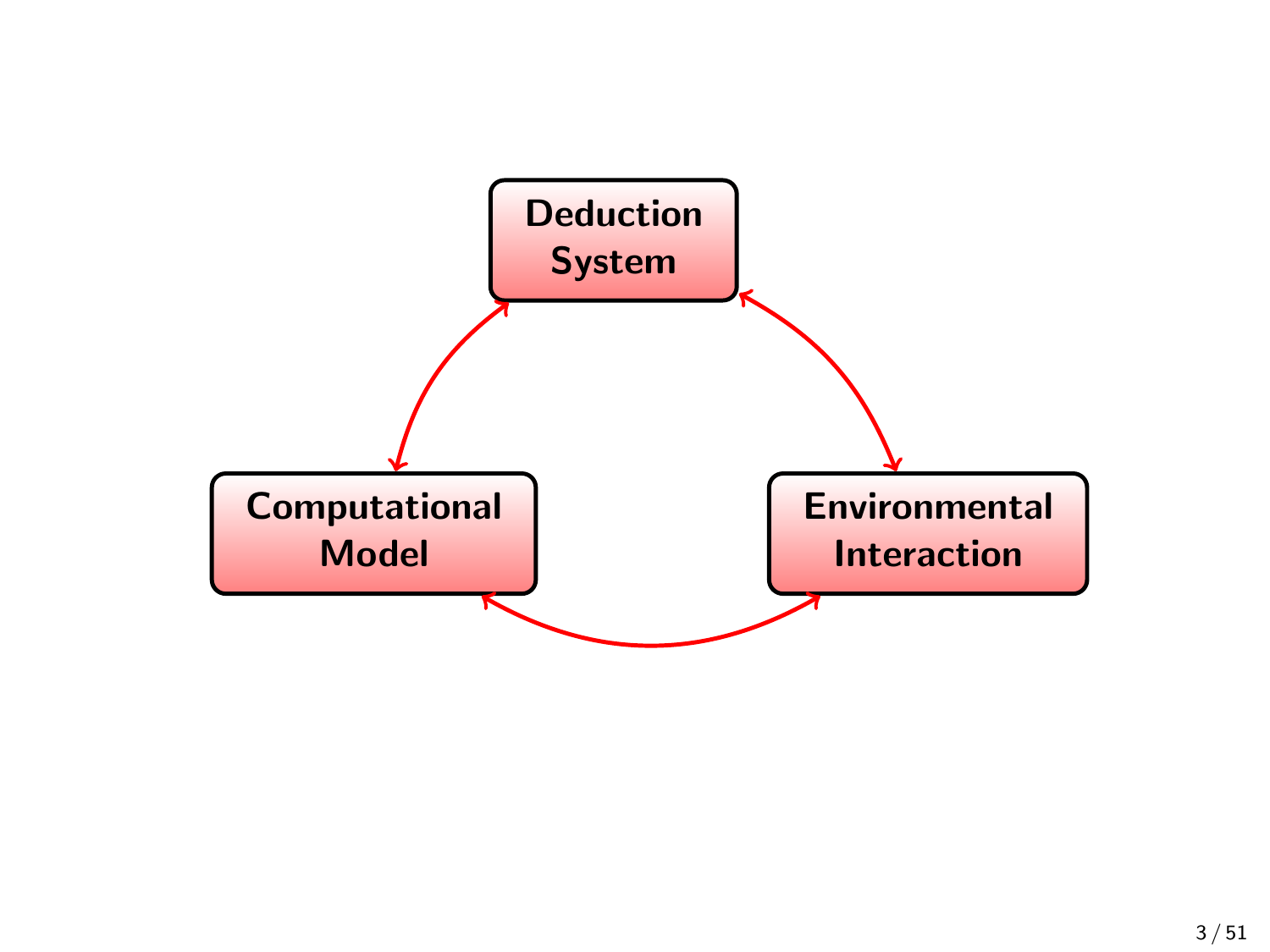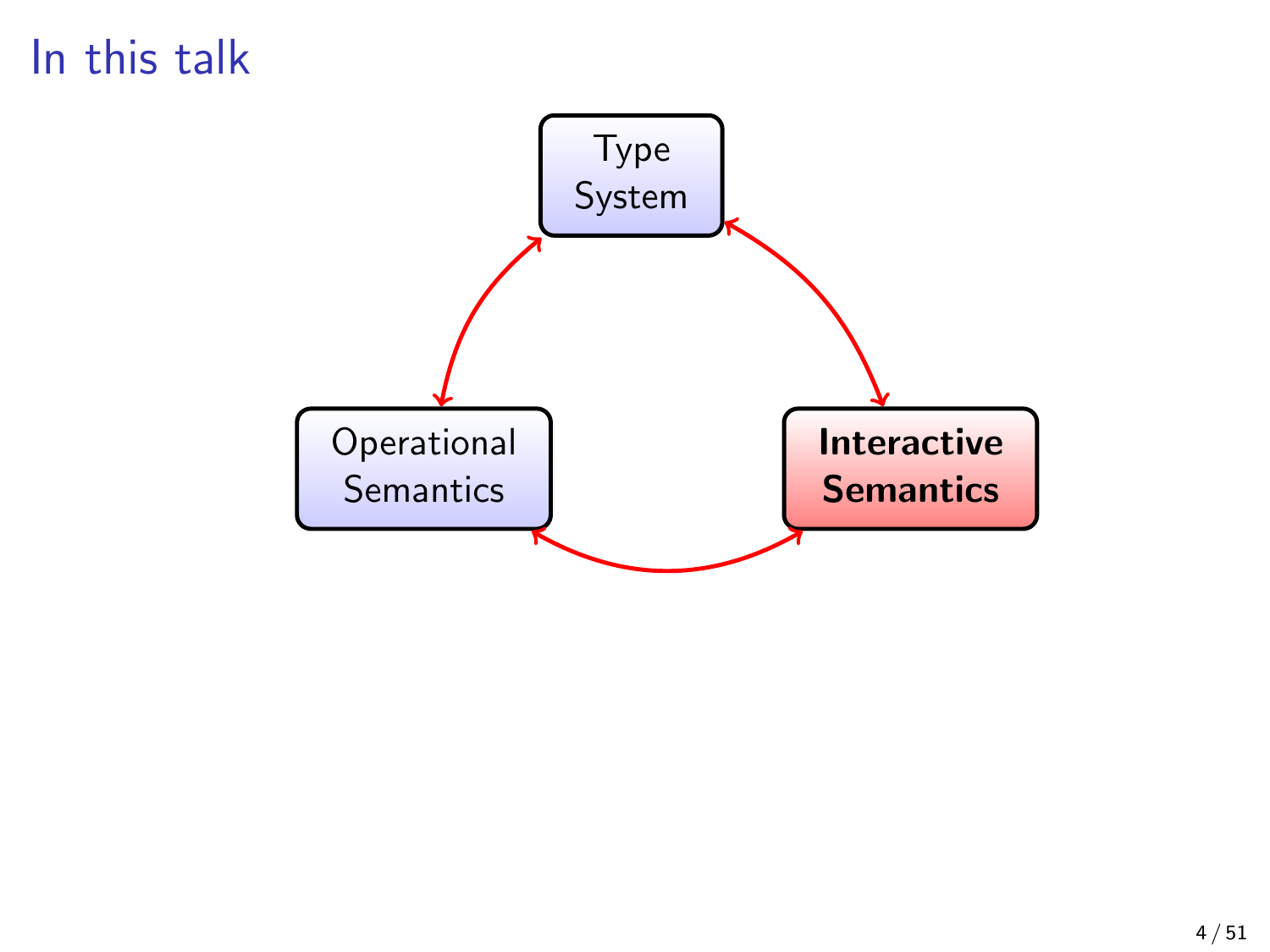### In this talk

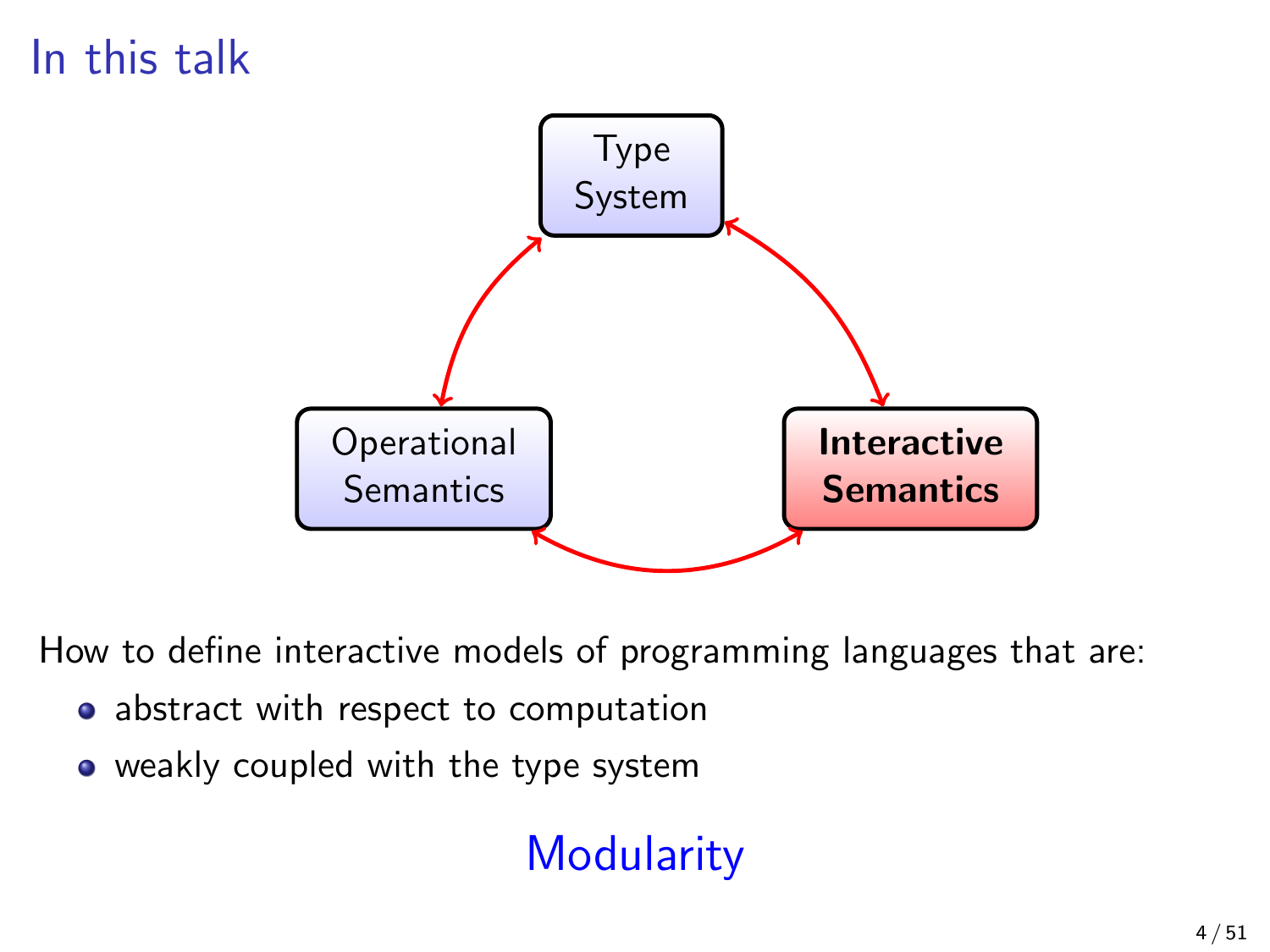## In this talk



How to define interactive models of programming languages that are:

- abstract with respect to computation
- weakly coupled with the type system

## **Modularity**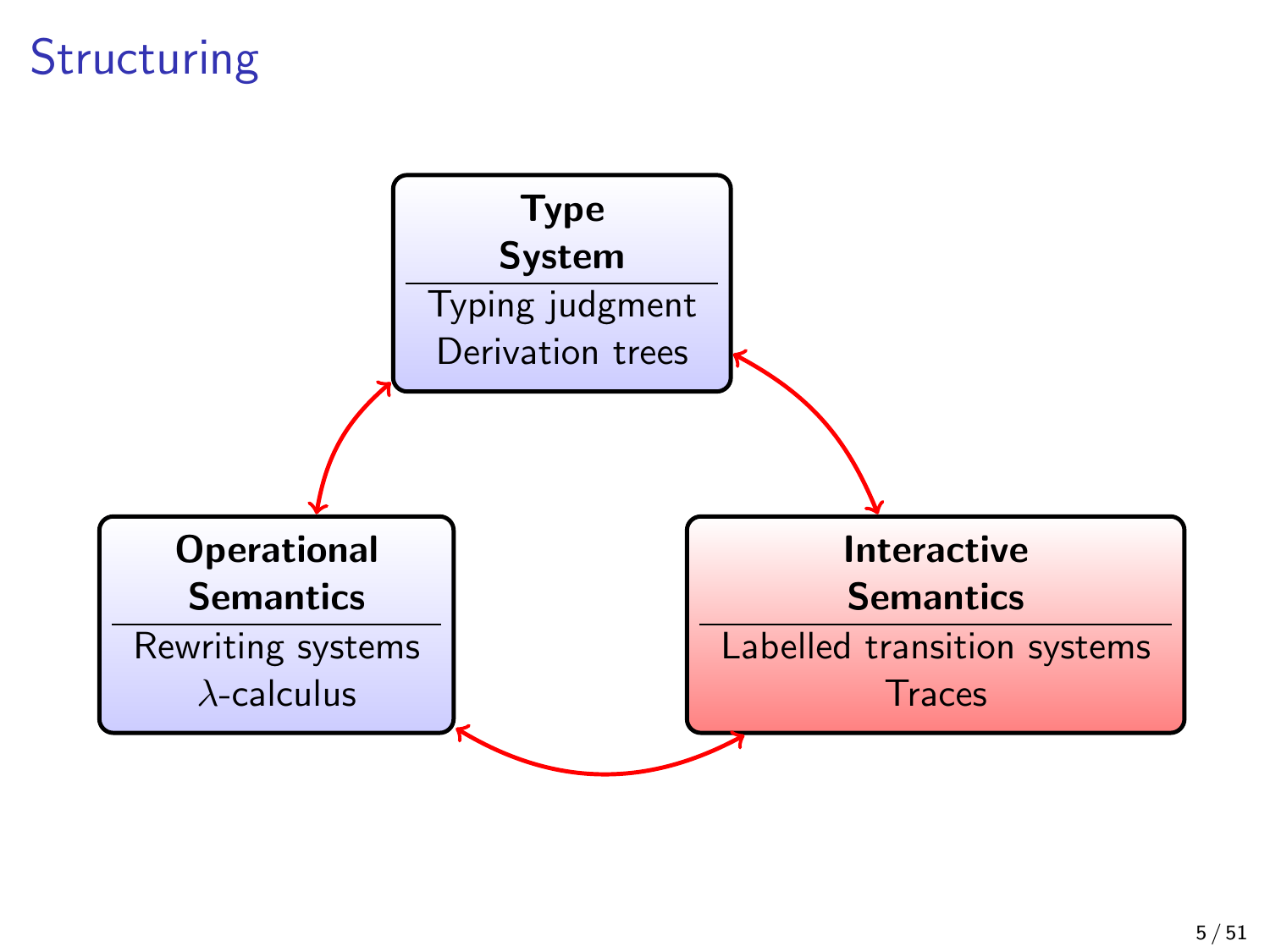### **Structuring**

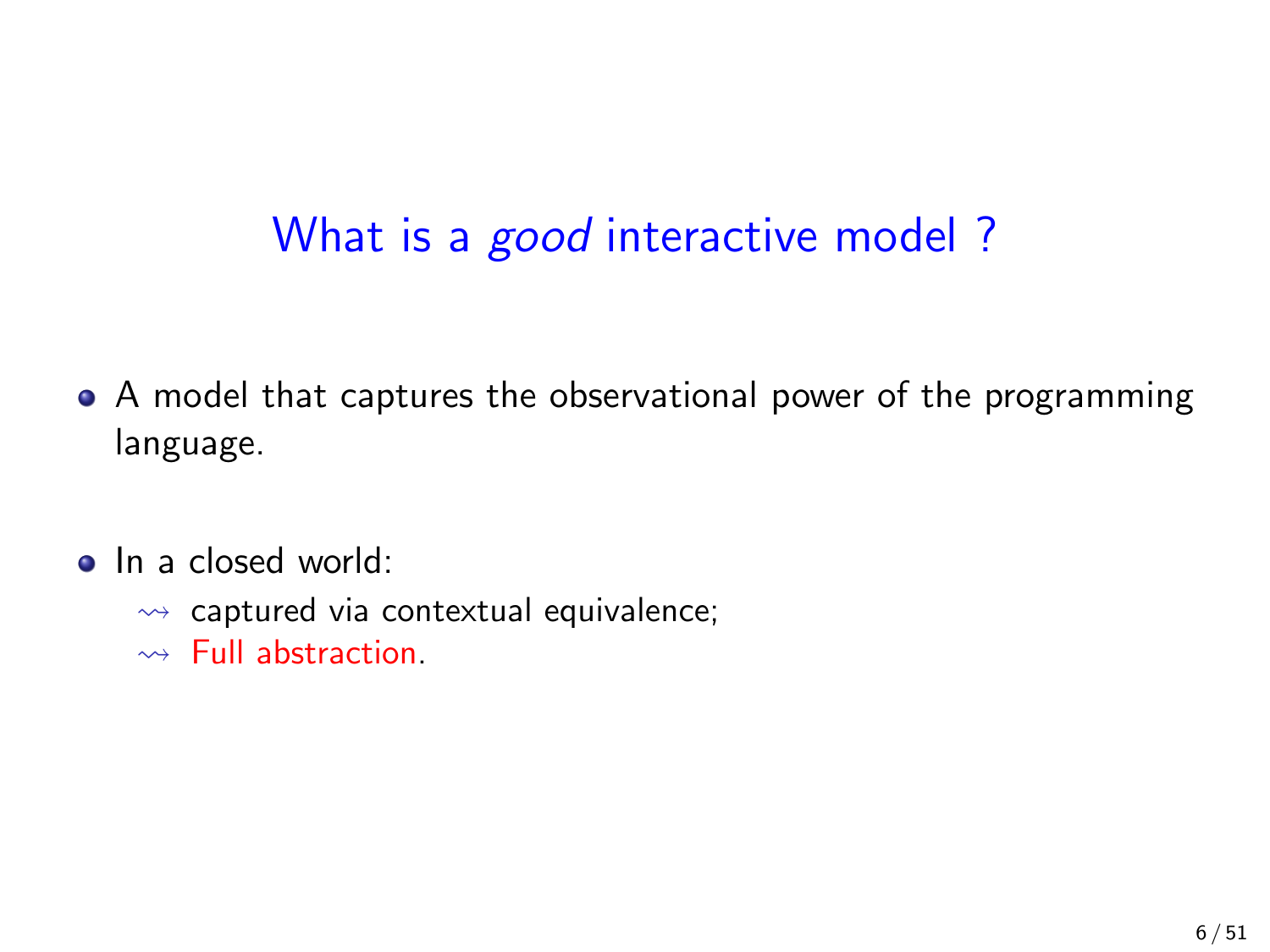### What is a *good* interactive model?

- A model that captures the observational power of the programming language.
- In a closed world:
	- $\rightarrow$  captured via contextual equivalence;
	- $\rightarrow$  Full abstraction.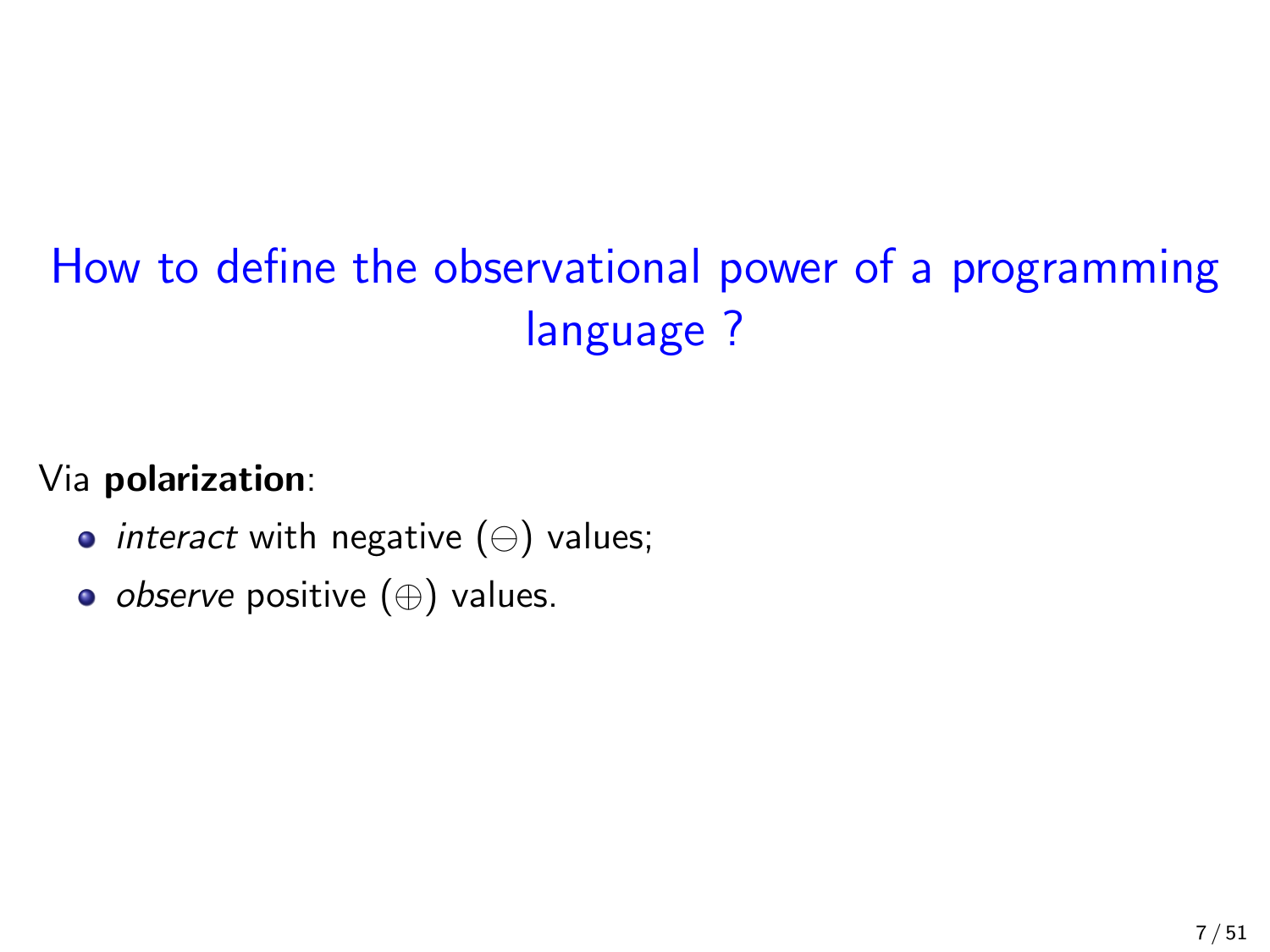# How to define the observational power of a programming language ?

Via polarization:

- *interact* with negative  $(\ominus)$  values;
- observe positive (⊕) values.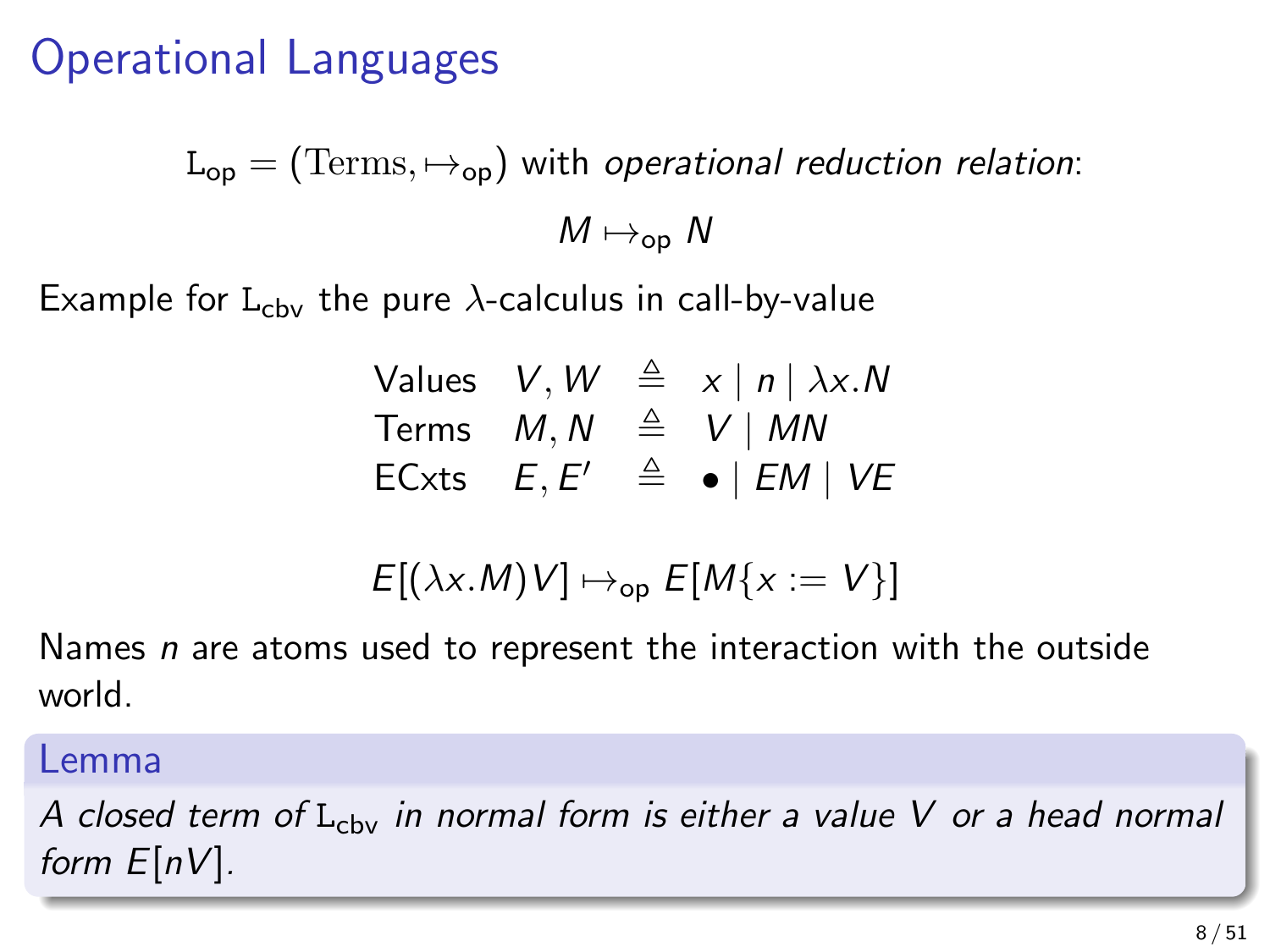### Operational Languages

 $L_{op} = (Terms, \mapsto_{op})$  with operational reduction relation:  $M \mapsto_{\text{on}} N$ 

Example for  $L_{\text{cbv}}$  the pure  $\lambda$ -calculus in call-by-value

|               |  | Values $V, W \triangleq x  n  \lambda x.N$ |  |
|---------------|--|--------------------------------------------|--|
|               |  | Terms $M, N \triangleq V \mid MN$          |  |
| ECxts $E, E'$ |  | $\triangleq$ •   EM   VE                   |  |

$$
E[(\lambda x.M)V] \mapsto_{\text{op}} E[M\{x := V\}]
$$

Names  $n$  are atoms used to represent the interaction with the outside world.

#### Lemma

A closed term of  $L_{\text{cbv}}$  in normal form is either a value V or a head normal form  $E[nV]$ .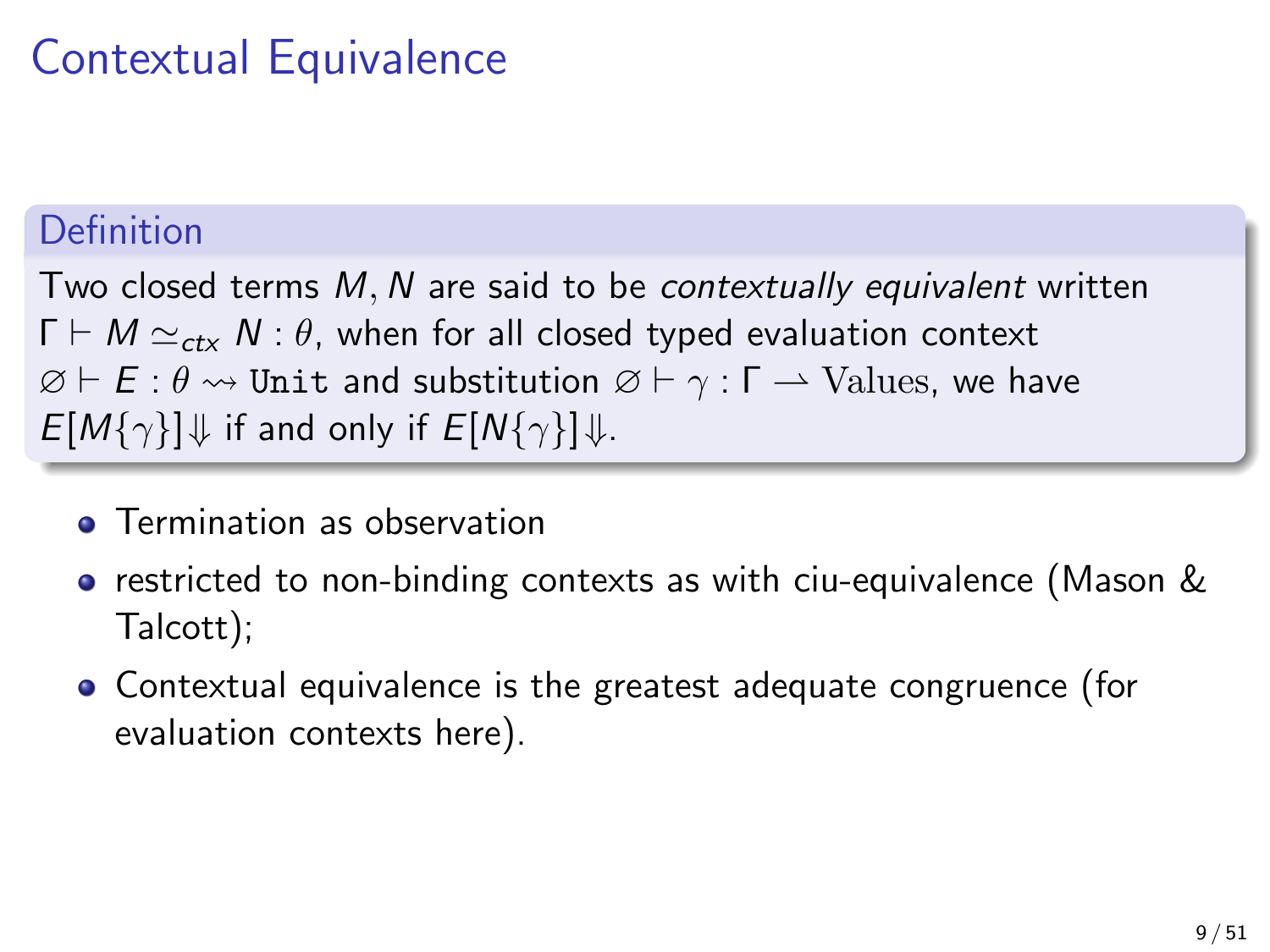## Contextual Equivalence

### Definition

Two closed terms M, N are said to be contextually equivalent written  $\Gamma \vdash M \simeq_{\mathsf{ctx}} N : \theta$ , when for all closed typed evaluation context  $\varnothing \vdash E : \theta \leadsto$  Unit and substitution  $\varnothing \vdash \gamma : \Gamma \to$  Values, we have  $E[M\{\gamma\}]\Downarrow$  if and only if  $E[N\{\gamma\}]\Downarrow$ .

- **•** Termination as observation
- restricted to non-binding contexts as with ciu-equivalence (Mason & Talcott);
- Contextual equivalence is the greatest adequate congruence (for evaluation contexts here).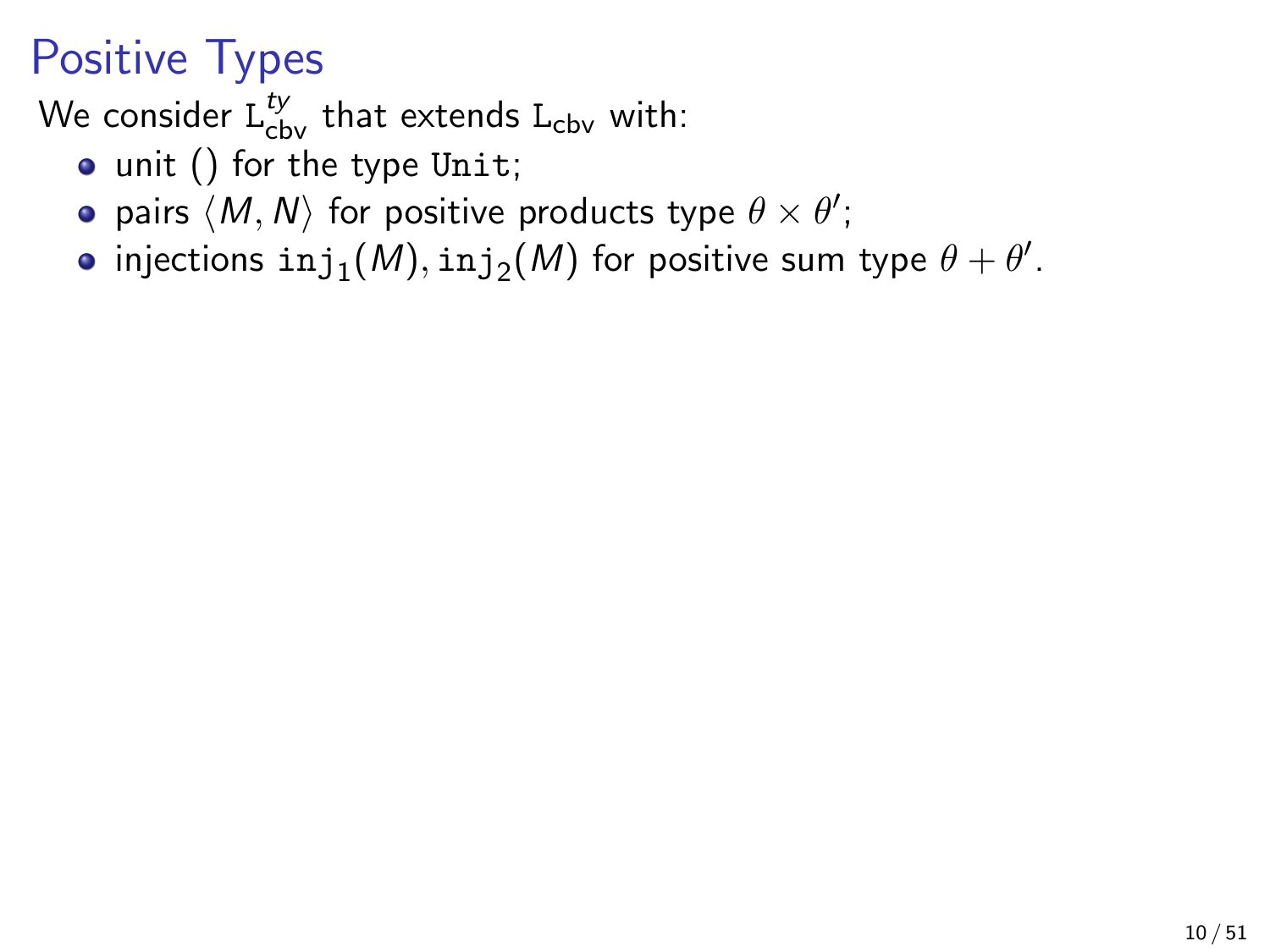## Positive Types

We consider  $\mathtt{L}_{\text{cbv}}^{ty}$  that extends  $\mathtt{L}_{\text{cbv}}$  with:

- unit () for the type Unit;
- pairs  $\langle M, N \rangle$  for positive products type  $\theta \times \theta'$ ;
- injections  $\mathtt{inj}_1(\mathcal{M}),\mathtt{inj}_2(\mathcal{M})$  for positive sum type  $\theta+\theta'.$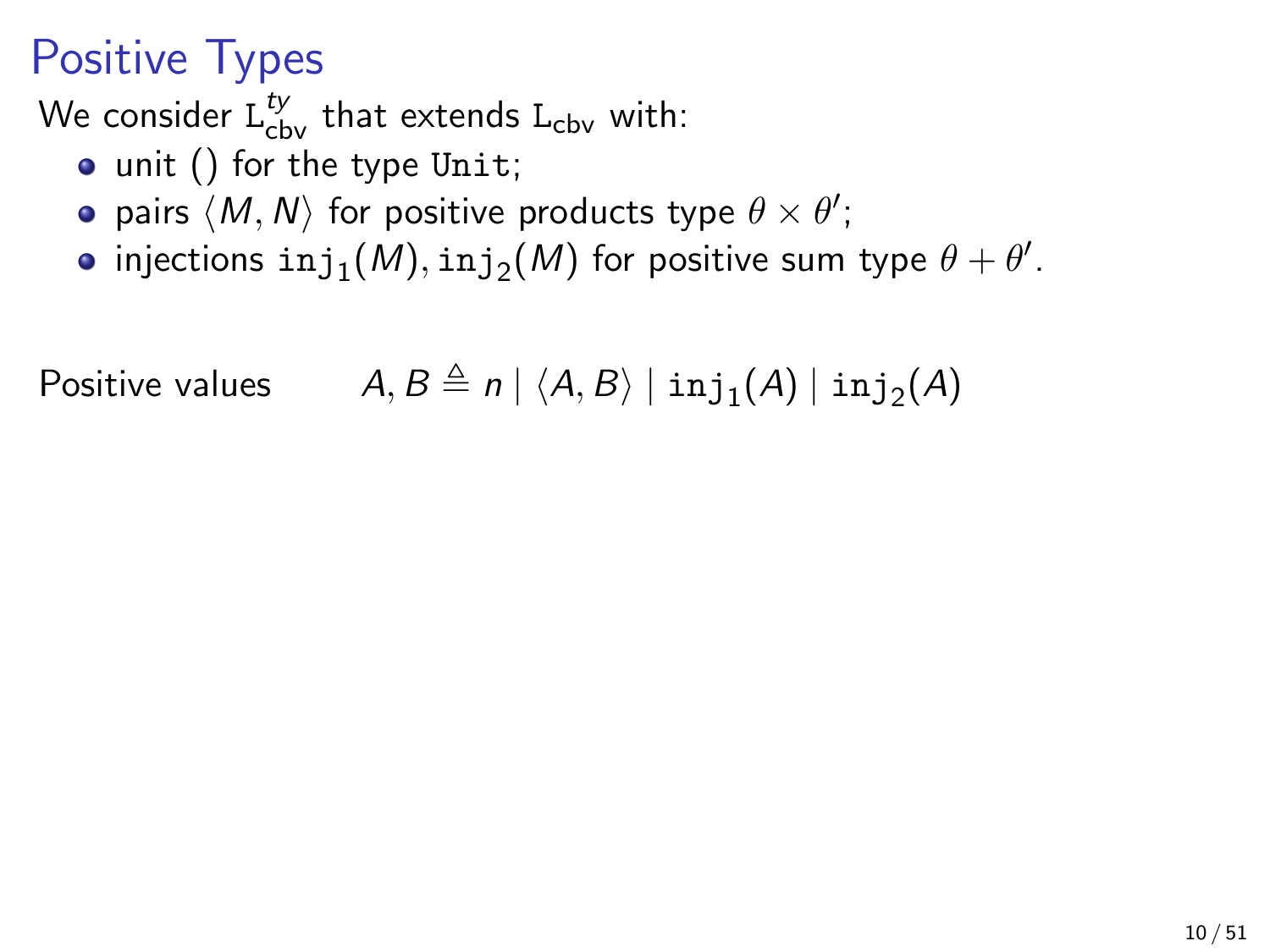## Positive Types

We consider  $\mathtt{L}_{\text{cbv}}^{ty}$  that extends  $\mathtt{L}_{\text{cbv}}$  with:

- unit () for the type Unit;
- pairs  $\langle M, N \rangle$  for positive products type  $\theta \times \theta'$ ;
- injections  $\mathtt{inj}_1(\mathcal{M}),\mathtt{inj}_2(\mathcal{M})$  for positive sum type  $\theta+\theta'.$

Positive values  $A, B \triangleq n | \langle A, B \rangle | \operatorname{inj}_1(A) | \operatorname{inj}_2(A)$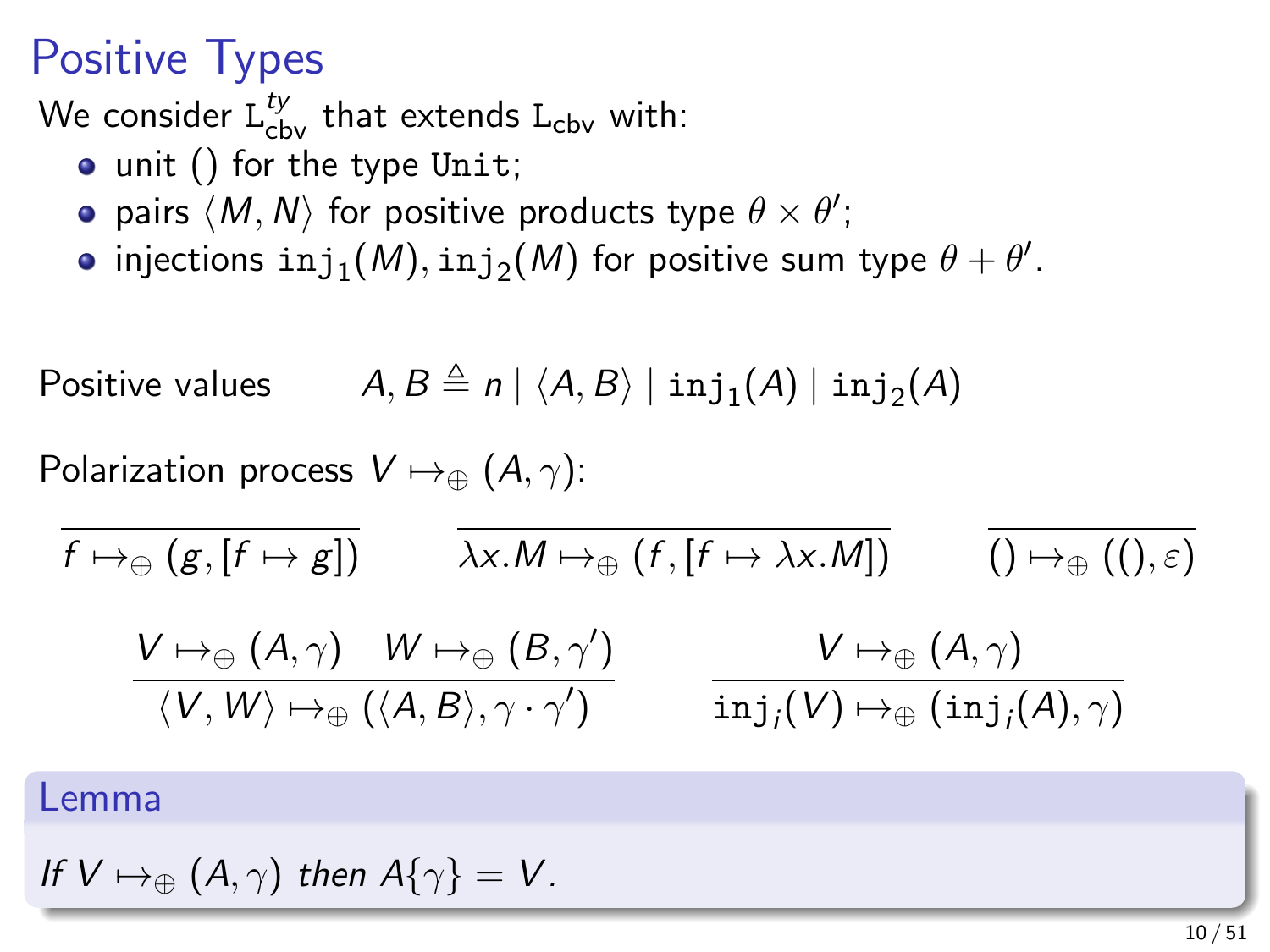## Positive Types

We consider  $\mathtt{L}_{\text{cbv}}^{ty}$  that extends  $\mathtt{L}_{\text{cbv}}$  with:

- unit () for the type Unit;
- pairs  $\langle M, N \rangle$  for positive products type  $\theta \times \theta'$ ;
- injections  $\mathtt{inj}_1(\mathcal{M}),\mathtt{inj}_2(\mathcal{M})$  for positive sum type  $\theta+\theta'.$

Positive values 
$$
A, B \triangleq n | \langle A, B \rangle | inj_1(A) | inj_2(A)
$$

Polarization process  $V \mapsto_{\oplus} (A, \gamma)$ :

$$
\begin{array}{ccc}\n\overline{f \mapsto_{\oplus} (g, [f \mapsto g])} & \overline{\lambda x.M \mapsto_{\oplus} (f, [f \mapsto \lambda x.M])} & \overline{() \mapsto_{\oplus} ((), \varepsilon)} \\
& \underline{V \mapsto_{\oplus} (A, \gamma)} & W \mapsto_{\oplus} (B, \gamma') & V \mapsto_{\oplus} (A, \gamma) \\
& \overline{\phantom{a}} & \overline{\phantom{a}} & \overline{\phantom{a}} & \overline{\phantom{a}} & \overline{\phantom{a}} & \overline{\phantom{a}} \\
& \overline{\phantom{a}} & \overline{\phantom{a}} & \overline{\phantom{a}} & \overline{\phantom{a}} & \overline{\phantom{a}} \\
& \overline{\phantom{a}} & \overline{\phantom{a}} & \overline{\phantom{a}} & \overline{\phantom{a}} & \overline{\phantom{a}} \\
& \overline{\phantom{a}} & \overline{\phantom{a}} & \overline{\phantom{a}} & \overline{\phantom{a}} \\
& \overline{\phantom{a}} & \overline{\phantom{a}} & \overline{\phantom{a}} & \overline{\phantom{a}} \\
\overline{\phantom{a}} & \overline{\phantom{a}} & \overline{\phantom{a}} & \overline{\phantom{a}} \\
\overline{\phantom{a}} & \overline{\phantom{a}} & \overline{\phantom{a}} & \overline{\phantom{a}} & \overline{\phantom{a}} \\
\overline{\phantom{a}} & \overline{\phantom{a}} & \overline{\phantom{a}} & \overline{\phantom{a}} & \overline{\phantom{a}} \\
\overline{\phantom{a}} & \overline{\phantom{a}} & \overline{\phantom{a}} & \overline{\phantom{a}} & \overline{\phantom{a}} \\
\overline{\phantom{a}} & \overline{\phantom{a}} & \overline{\phantom{a}} & \overline{\phantom{a}} & \overline{\phantom{a}} & \overline{\phantom{a}} \\
\overline{\phantom{a}} & \overline{\phantom{a}} & \overline{\phantom{a}} & \
$$

$$
\langle V,W\rangle \mapsto_\oplus (\langle A,B\rangle,\gamma\cdot\gamma') \qquad \quad {\tt inj}_j(V) \mapsto_\oplus ({\tt inj}_j(A),\gamma)
$$

#### Lemma

If 
$$
V \mapsto_{\oplus} (A, \gamma)
$$
 then  $A\{\gamma\} = V$ .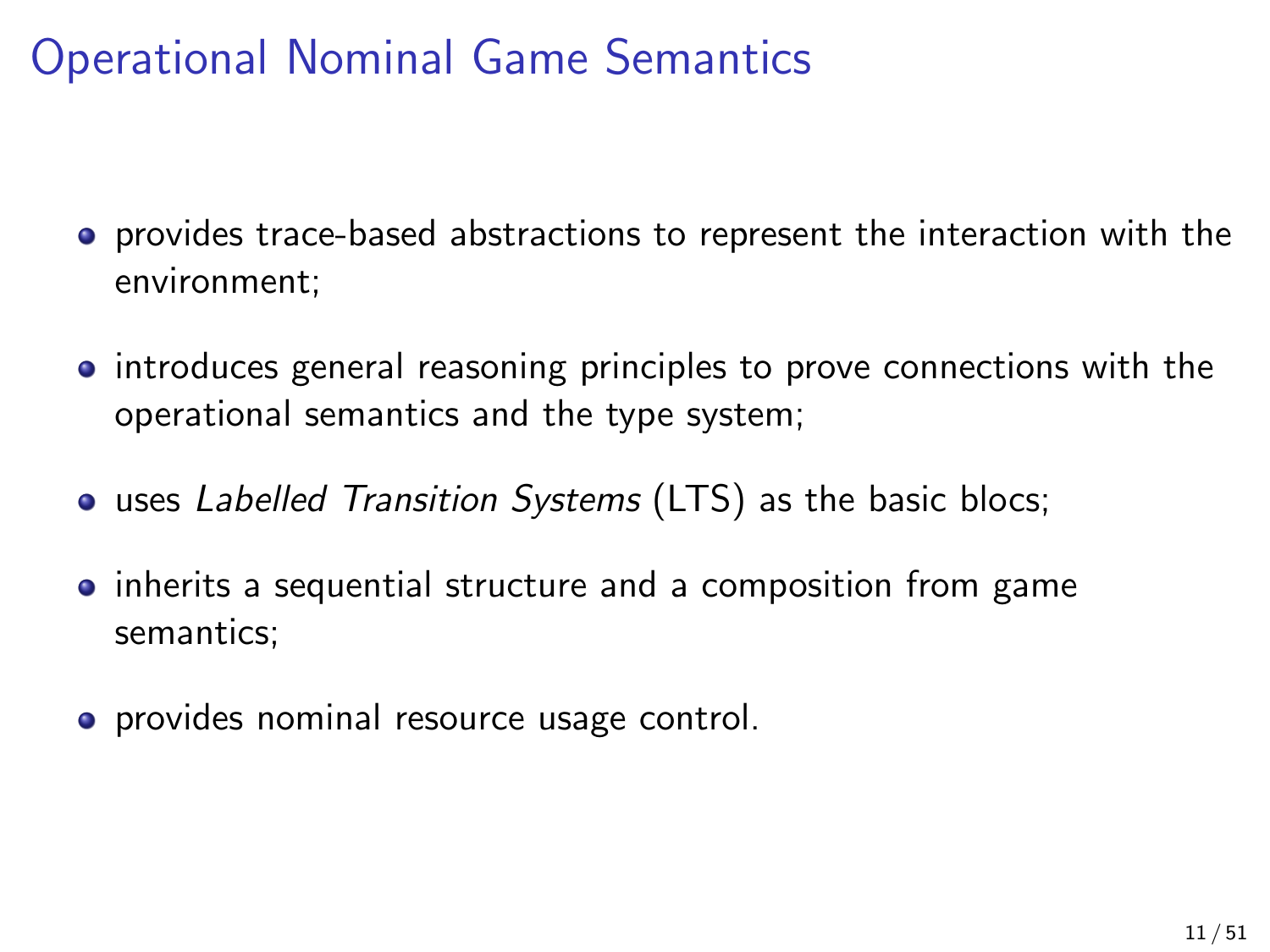## Operational Nominal Game Semantics

- provides trace-based abstractions to represent the interaction with the environment;
- introduces general reasoning principles to prove connections with the operational semantics and the type system;
- uses Labelled Transition Systems (LTS) as the basic blocs;
- **•** inherits a sequential structure and a composition from game semantics;
- **•** provides nominal resource usage control.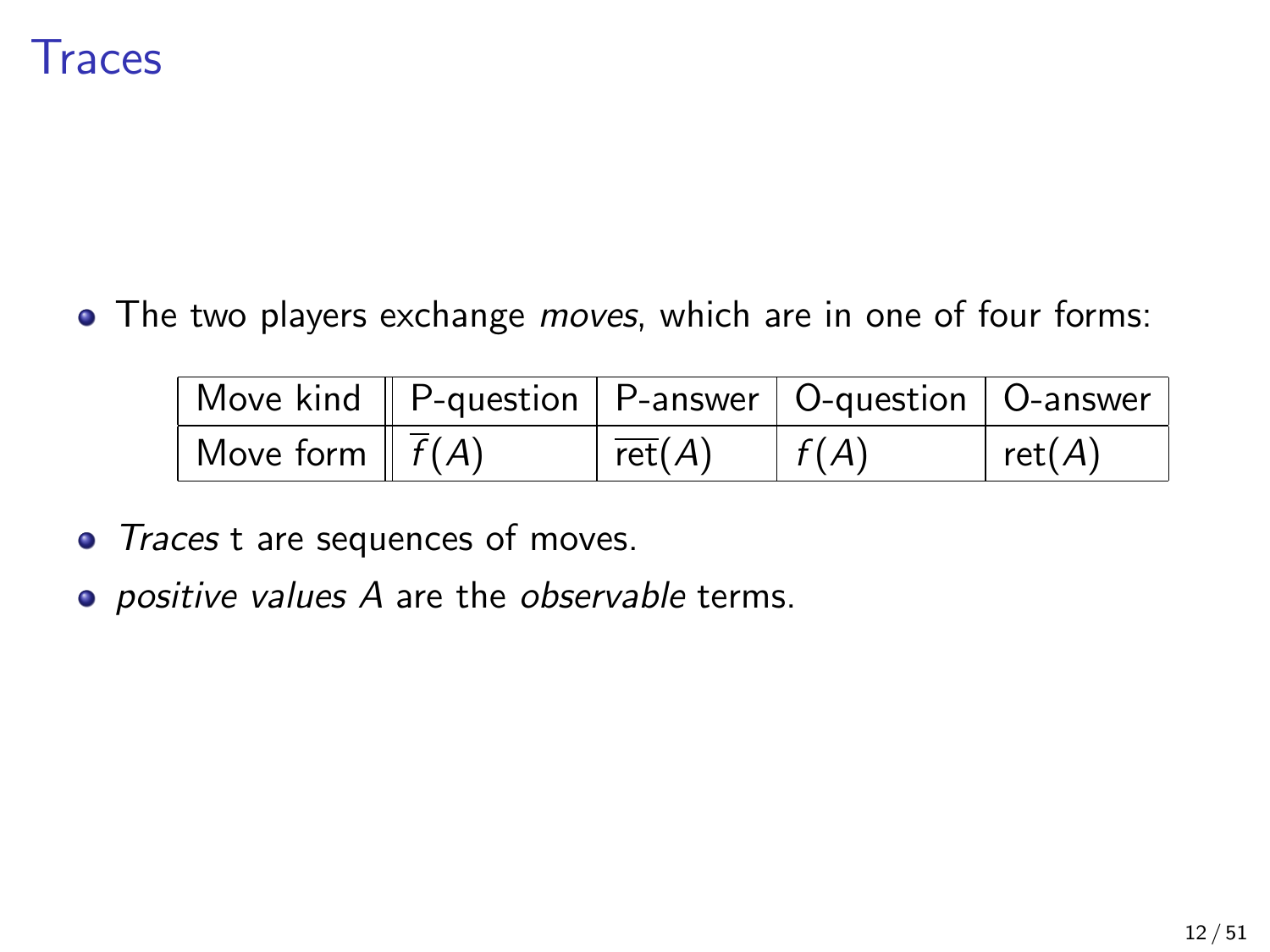

• The two players exchange *moves*, which are in one of four forms:

| Move kind    P-question   P-answer   O-question   O-answer |                              |      |               |
|------------------------------------------------------------|------------------------------|------|---------------|
| Move form $\parallel \overline{f}(A) \parallel$            | $\overline{\mathsf{ret}}(A)$ | f(A) | $ $ ret $(A)$ |

- Traces t are sequences of moves.
- positive values A are the observable terms.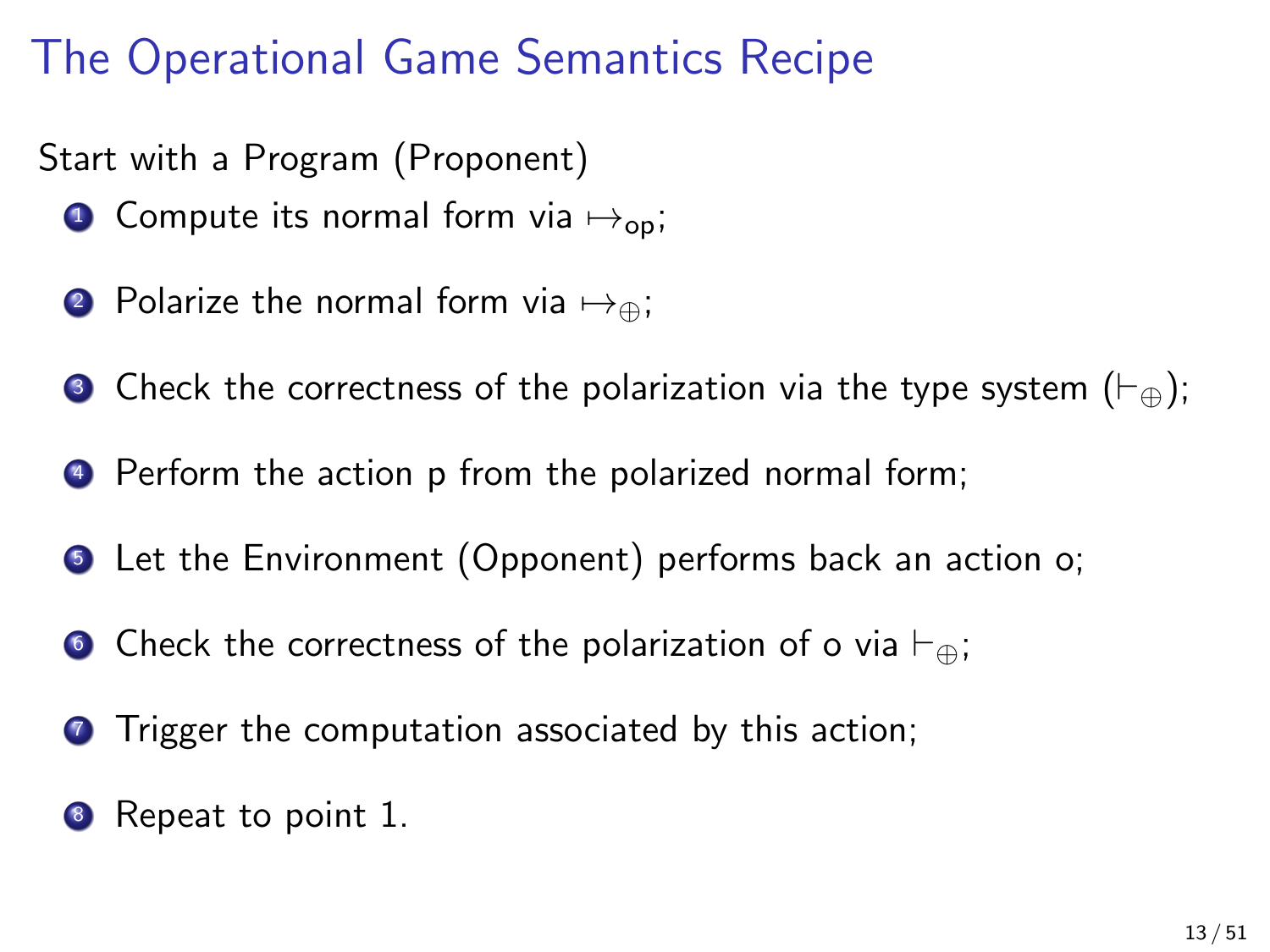## The Operational Game Semantics Recipe

Start with a Program (Proponent)

- **1** Compute its normal form via  $\mapsto$ <sub>op</sub>;
- 2 Polarize the normal form via  $\mapsto_{\oplus}$ ;
- **3** Check the correctness of the polarization via the type system  $(\vdash_{\oplus})$ ;
- <sup>4</sup> Perform the action p from the polarized normal form;
- **•** Let the Environment (Opponent) performs back an action o;
- **6** Check the correctness of the polarization of o via  $\vdash_{\oplus}$ ;
- **T** Trigger the computation associated by this action;
- 8 Repeat to point 1.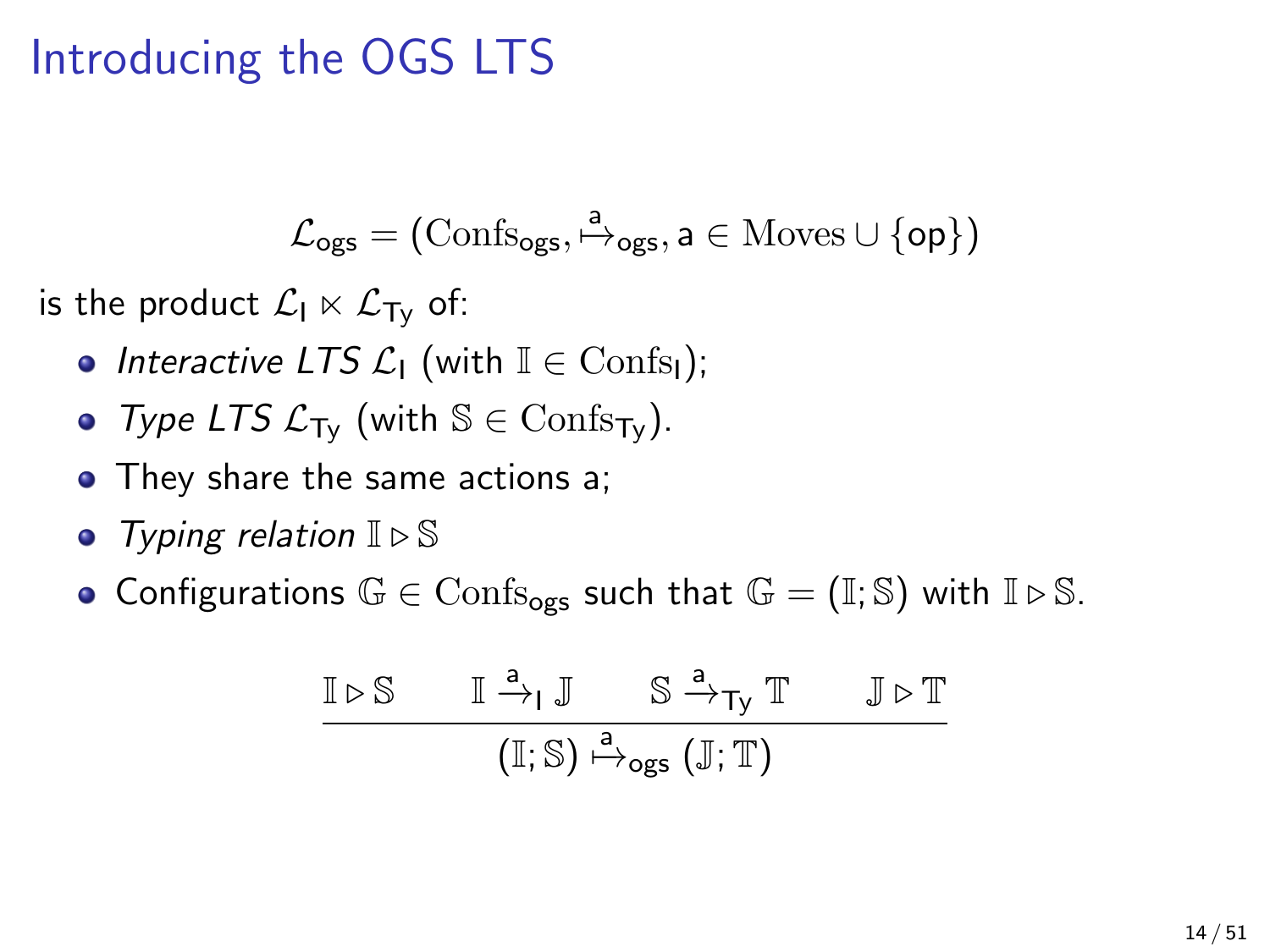## Introducing the OGS LTS

$$
\mathcal{L}_{\text{ogs}} = (\mathrm{Confs}_{\text{ogs}}, \overset{a}{\mapsto}_{\text{ogs}}, a \in \mathrm{Moves} \cup \{\text{op}\})
$$

is the product  $\mathcal{L}_1 \ltimes \mathcal{L}_{\text{Ty}}$  of:

- Interactive LTS  $\mathcal{L}_1$  (with  $\mathbb{I} \in \text{Conf}_{S_1}$ );
- Type LTS  $\mathcal{L}_{\text{Tv}}$  (with  $\mathbb{S} \in \text{Confs}_{\text{Tv}}$ ).
- They share the same actions a;
- Typing relation  $\mathbb{I} \triangleright \mathbb{S}$
- Configurations  $\mathbb{G} \in \text{Confs}_{\text{oes}}$  such that  $\mathbb{G} = (\mathbb{I}; \mathbb{S})$  with  $\mathbb{I} \triangleright \mathbb{S}$ .

$$
\begin{array}{c}\n\mathbb{I} \triangleright \mathbb{S} \qquad \mathbb{I} \xrightarrow{a} \mathbb{J} \qquad \mathbb{S} \xrightarrow{a} \mathsf{T}_{\mathsf{y}} \mathbb{T} \qquad \mathbb{J} \triangleright \mathbb{T} \\
\hline\n\qquad \qquad (\mathbb{I}; \mathbb{S}) \xrightarrow{a} \mathsf{ogs} (\mathbb{J}; \mathbb{T})\n\end{array}
$$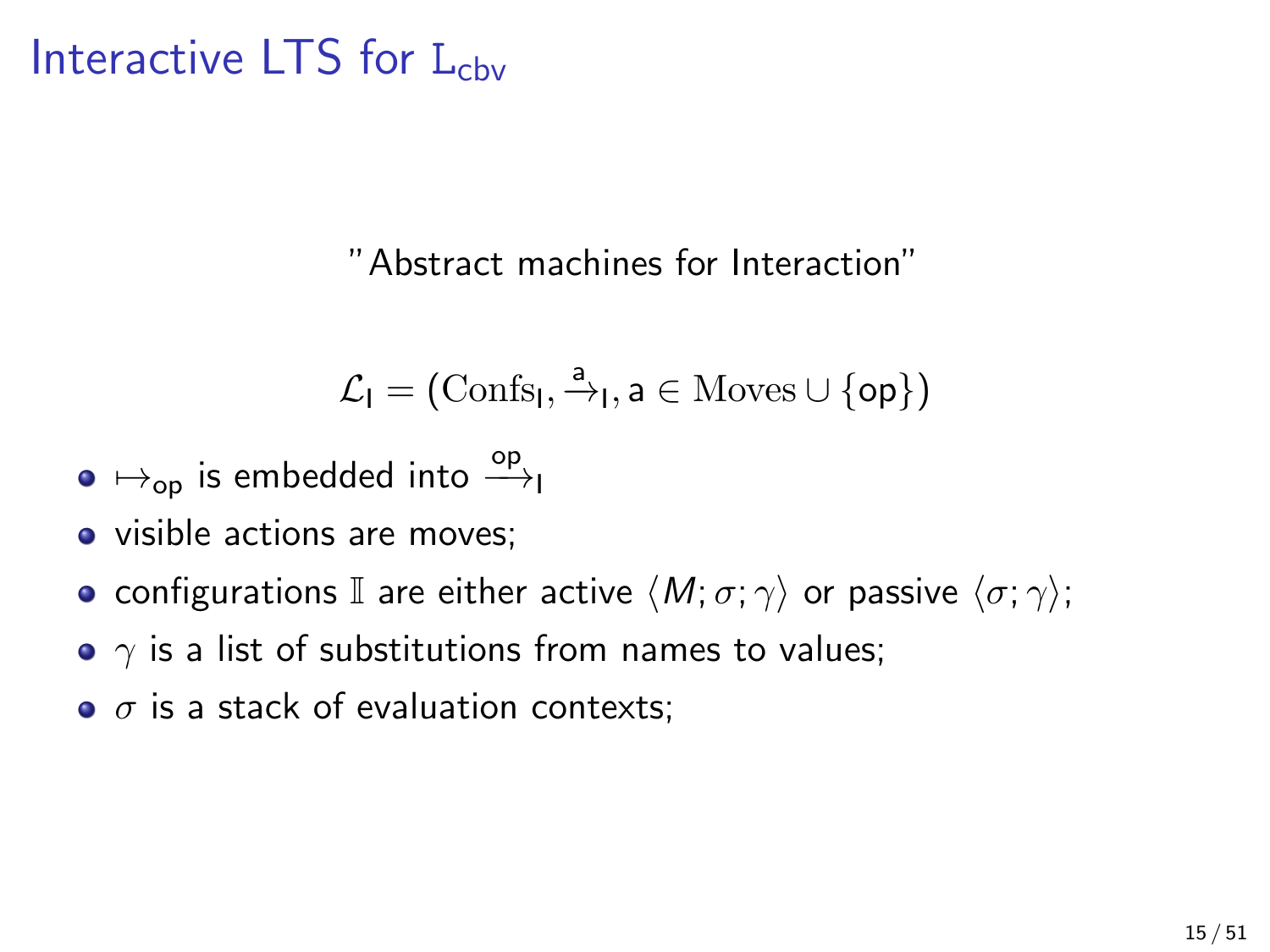### Interactive LTS for  $L_{\text{cbv}}$

"Abstract machines for Interaction"

$$
\mathcal{L}_I = (\mathrm{Confs}_I, \xrightarrow{a} _I, a \in \mathrm{Moves} \cup \{ \texttt{op} \})
$$

- $\mapsto_\mathsf{op}$  is embedded into  $\overset{\mathsf{op}}{\longrightarrow}_\mathsf{I}$
- visible actions are moves;
- configurations I are either active  $\langle M; \sigma; \gamma \rangle$  or passive  $\langle \sigma; \gamma \rangle$ ;
- $\gamma$  is a list of substitutions from names to values;
- $\bullet$   $\sigma$  is a stack of evaluation contexts: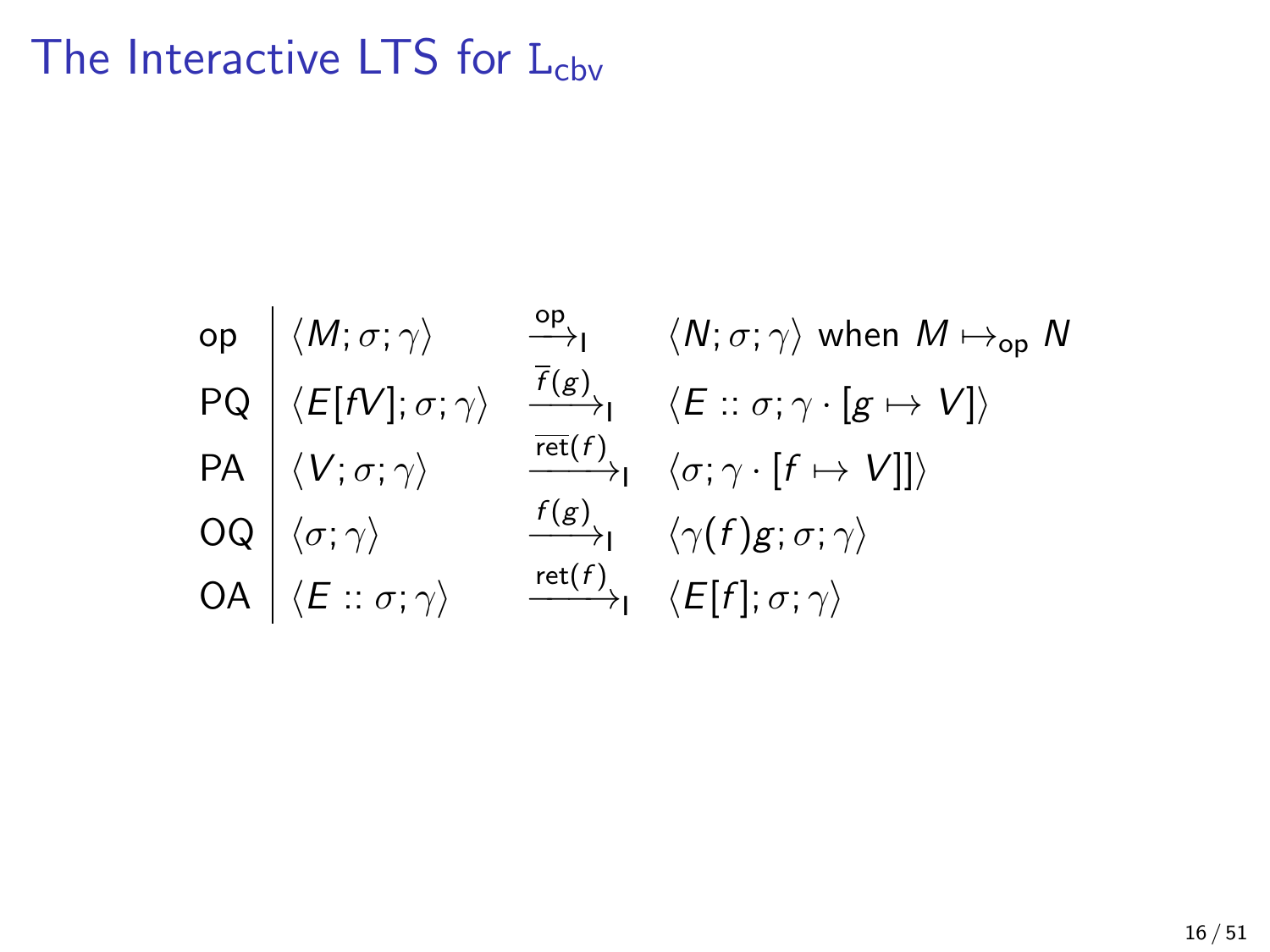## The Interactive LTS for  $L_{cbv}$

\n
$$
\text{op} \quad \langle M; \sigma; \gamma \rangle \quad \xrightarrow{\text{op}} \quad \langle N; \sigma; \gamma \rangle \text{ when } M \mapsto_{\text{op}} N
$$
\n

\n\n $\text{PQ} \quad \langle E[N]; \sigma; \gamma \rangle \quad \xrightarrow{\overline{f(g)}} \langle E: \sigma; \gamma \cdot [g \mapsto V] \rangle$ \n

\n\n $\text{PA} \quad \langle V; \sigma; \gamma \rangle \quad \xrightarrow{\overline{\text{ref}}(f)} \langle \sigma; \gamma \cdot [f \mapsto V] \rangle$ \n

\n\n $\text{OQ} \quad \langle \sigma; \gamma \rangle \quad \xrightarrow{f(g)} \langle \gamma \cdot [f \mapsto V] \rangle$ \n

\n\n $\text{OA} \quad \langle E: \sigma; \gamma \rangle \quad \xrightarrow{\text{ref}} \langle f \rangle$ \n

\n\n $\langle E[f]; \sigma; \gamma \rangle$ \n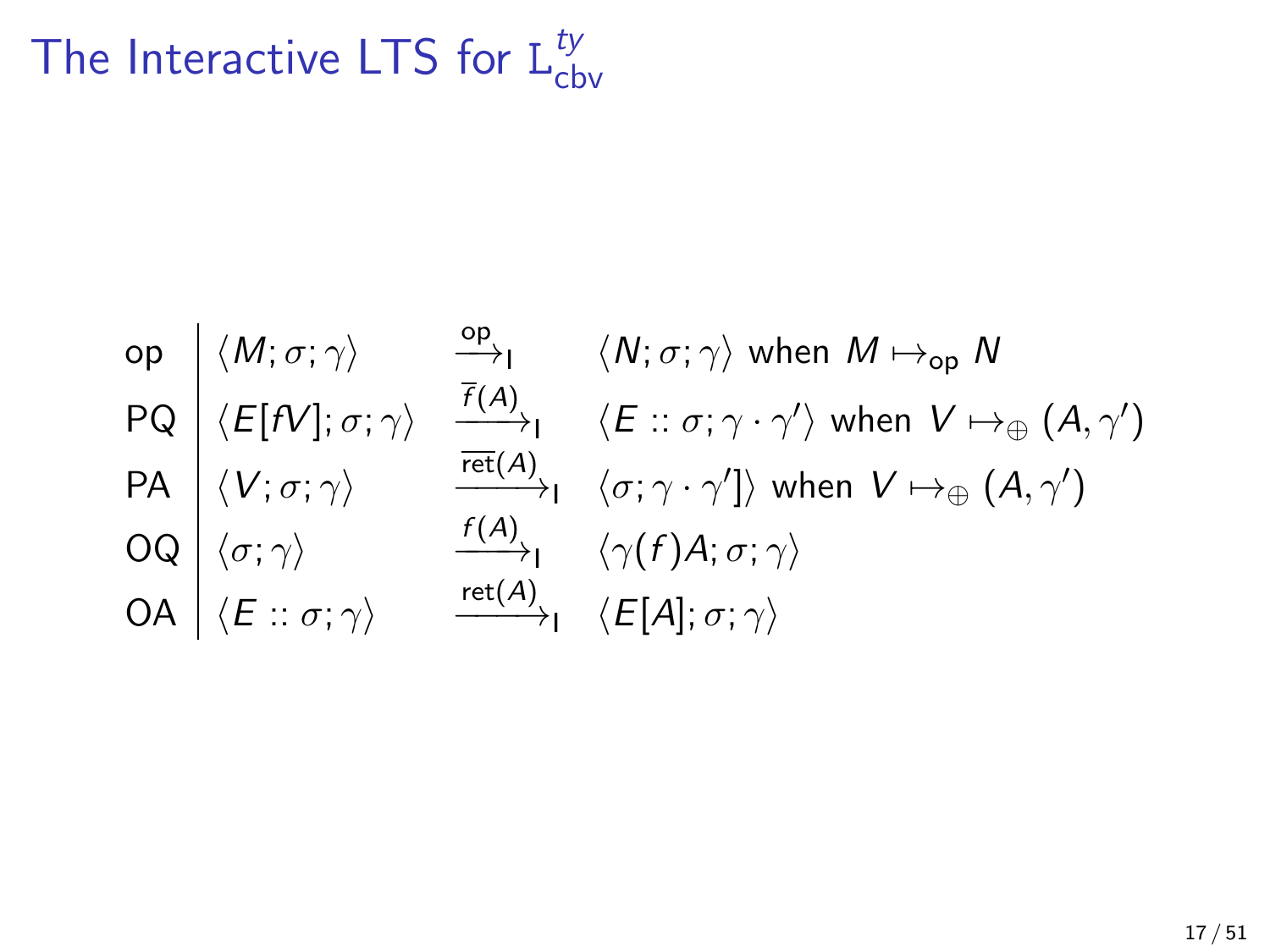#### The Interactive LTS for  $L_{\text{ct}}^{t y}$ cbv

\n
$$
\text{op} \quad \langle M; \sigma; \gamma \rangle \quad\n \begin{array}{c}\n \text{op} \quad \langle N; \sigma; \gamma \rangle \quad \text{when} \; M \mapsto_{\text{op}} N \\
 \text{PQ} \quad \langle E[N]; \sigma; \gamma \rangle \quad \frac{\overline{f}(A)}{\overline{f}(A)} \quad \langle E:: \sigma; \gamma \cdot \gamma' \rangle \; \text{when} \; V \mapsto_{\oplus} (A, \gamma') \\
 \langle V; \sigma; \gamma \rangle \quad \frac{\overline{f}(A)}{\overline{\text{ret}}(A)} \quad \langle \sigma; \gamma \cdot \gamma' \rangle \rangle \; \text{when} \; V \mapsto_{\oplus} (A, \gamma') \\
 \text{OQ} \quad \langle \sigma; \gamma \rangle \quad \frac{\overline{f}(A)}{\overline{f}(A)} \quad \langle \gamma(f)A; \sigma; \gamma \rangle \\
 \text{OA} \quad \langle E:: \sigma; \gamma \rangle \quad \frac{\overline{\text{ret}}(A)}{\overline{f}(A)} \quad \langle E[A]; \sigma; \gamma \rangle\n \end{array}
$$
\n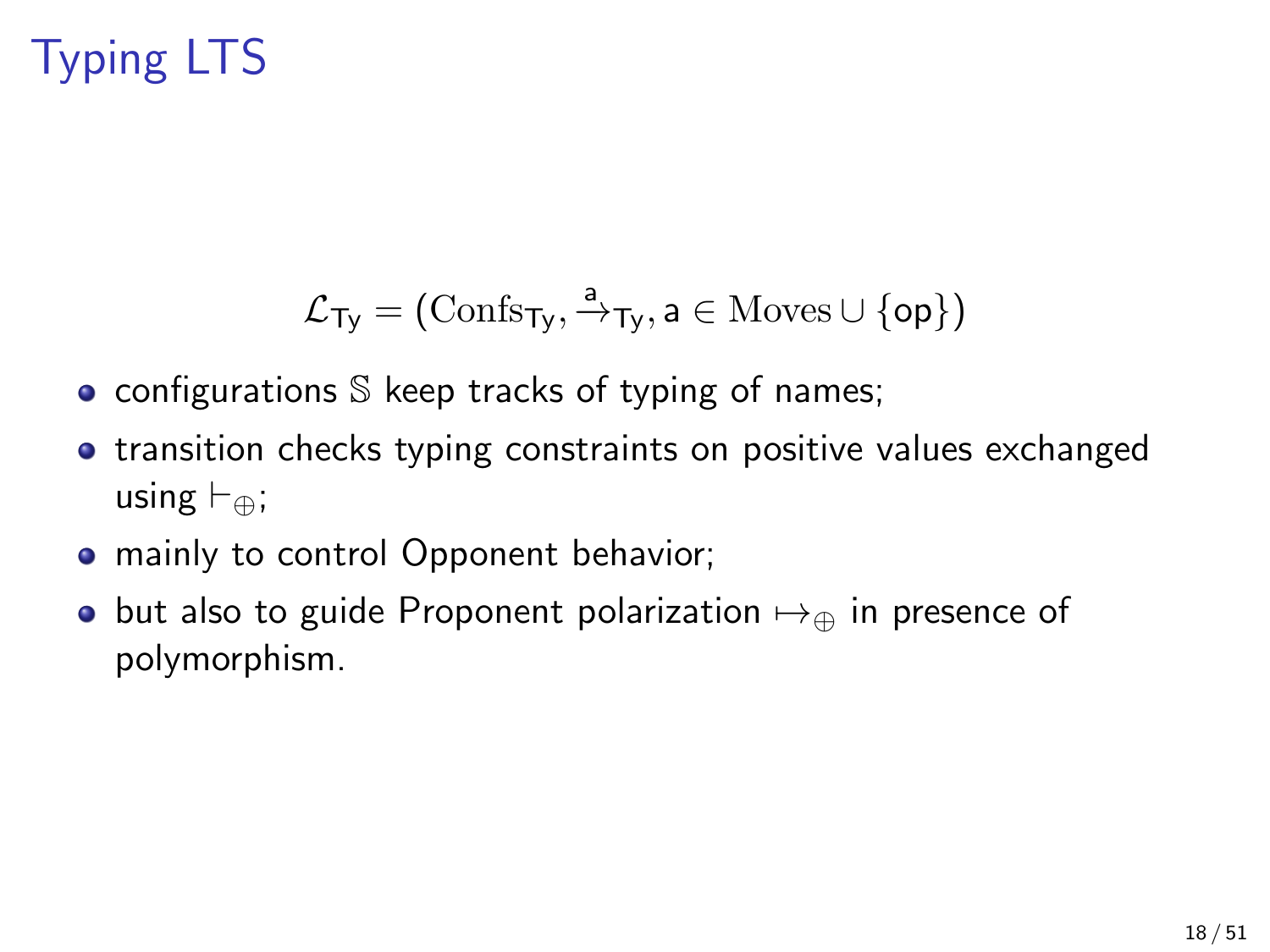## Typing LTS

$$
\mathcal{L}_{Ty} = (\mathrm{Confs}_{Ty}, \xrightarrow{a}_{Ty}, a \in \mathrm{Moves} \cup \{op\})
$$

- configurations  $S$  keep tracks of typing of names;
- **•** transition checks typing constraints on positive values exchanged using  $\vdash_{\oplus}$ ;
- mainly to control Opponent behavior;
- but also to guide Proponent polarization  $\mapsto_{\oplus}$  in presence of polymorphism.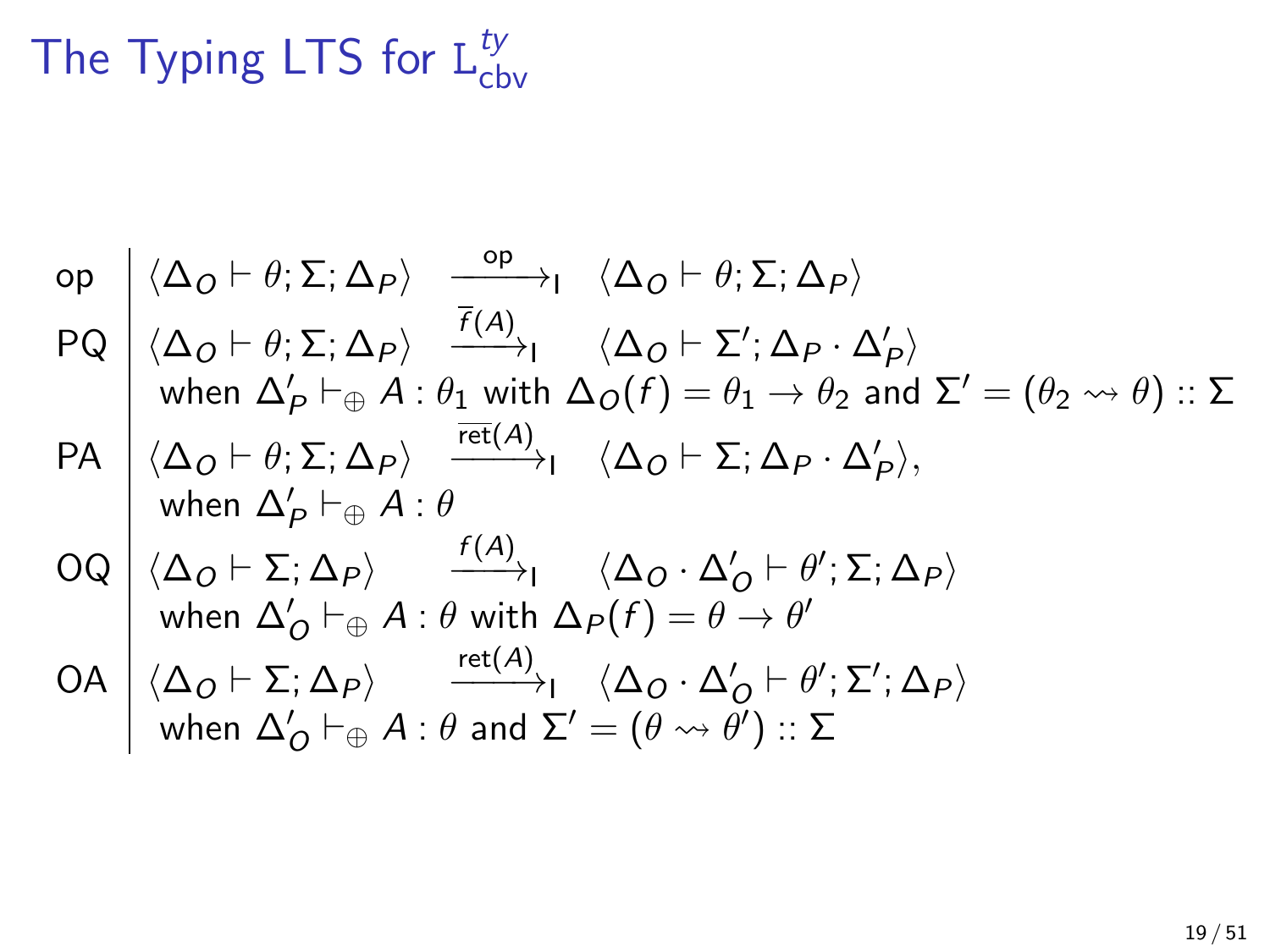#### The Typing LTS for  $L_{\text{ct}}^{t}$ cbv

op 
$$
\langle \Delta_O \vdash \theta; \Sigma; \Delta_P \rangle
$$
  $\xrightarrow{\text{op}} \langle \Delta_O \vdash \theta; \Sigma; \Delta_P \rangle$   
\nPQ  $\langle \Delta_O \vdash \theta; \Sigma; \Delta_P \rangle$   $\xrightarrow{\overline{f(A)}} \langle \Delta_O \vdash \theta; \Sigma; \Delta_P \rangle$   
\nwhen  $\Delta'_P \vdash_{\oplus} A : \theta_1$  with  $\Delta_O(f) = \theta_1 \rightarrow \theta_2$  and  $\Sigma' = (\theta_2 \leadsto \theta) :: \Sigma$   
\nPA  $\langle \Delta_O \vdash \theta; \Sigma; \Delta_P \rangle$   $\xrightarrow{\overline{ref(A)}} \langle \Delta_O \vdash \Sigma; \Delta_P \cdot \Delta'_P \rangle$ ,  
\nwhen  $\Delta'_P \vdash_{\oplus} A : \theta$   
\nOQ  $\langle \Delta_O \vdash \Sigma; \Delta_P \rangle$   $\xrightarrow{f(A)} \langle \Delta_O \vdash \Delta; \Delta_P \cdot \Delta'_P \rangle$ ,  
\nwhen  $\Delta'_O \vdash_{\oplus} A : \theta$  with  $\Delta_P(f) = \theta \rightarrow \theta'$   
\nOA  $\langle \Delta_O \vdash \Sigma; \Delta_P \rangle$   $\xrightarrow{ref(A)} \langle \Delta_O \cdot \Delta'_O \vdash \theta'; \Sigma; \Delta_P \rangle$   
\nwhen  $\Delta'_O \vdash_{\oplus} A : \theta$  and  $\Sigma' = (\theta \leadsto \theta') :: \Sigma$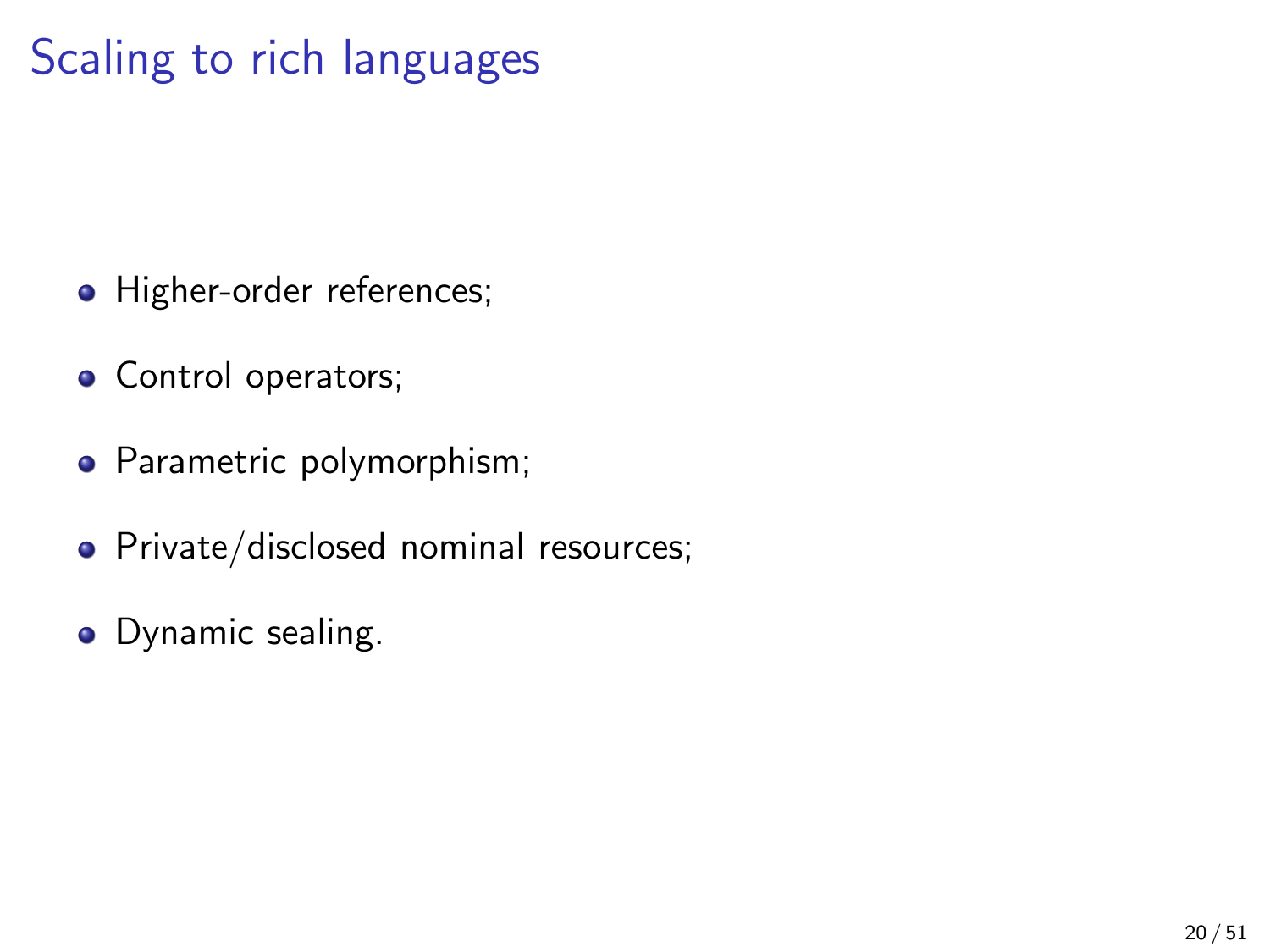## Scaling to rich languages

- Higher-order references;
- Control operators;
- Parametric polymorphism;
- Private/disclosed nominal resources;
- Dynamic sealing.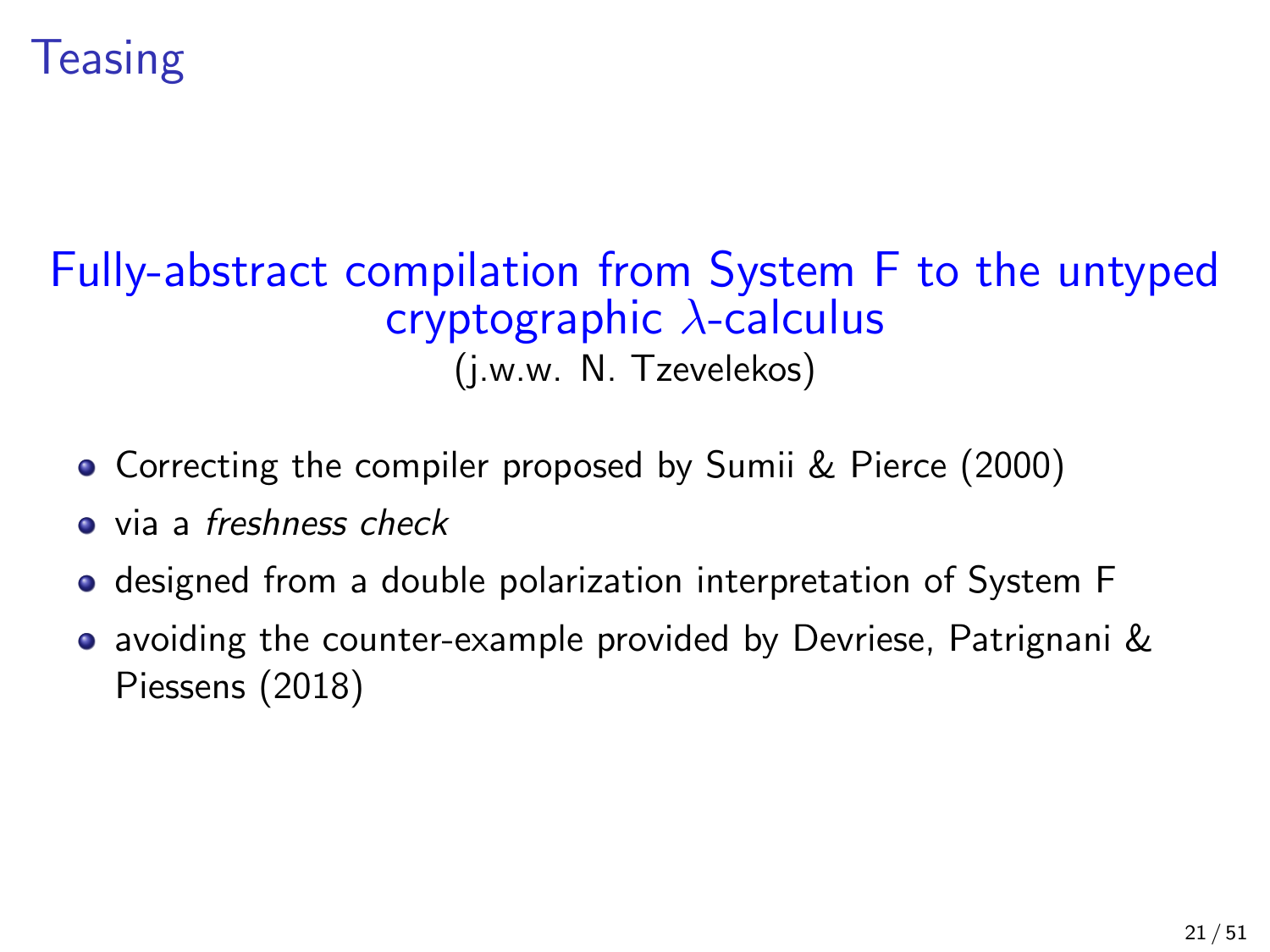

## Fully-abstract compilation from System F to the untyped cryptographic λ-calculus

(j.w.w. N. Tzevelekos)

- Correcting the compiler proposed by Sumii & Pierce (2000)
- **a** via a freshness check
- **o** designed from a double polarization interpretation of System F
- avoiding the counter-example provided by Devriese, Patrignani & Piessens (2018)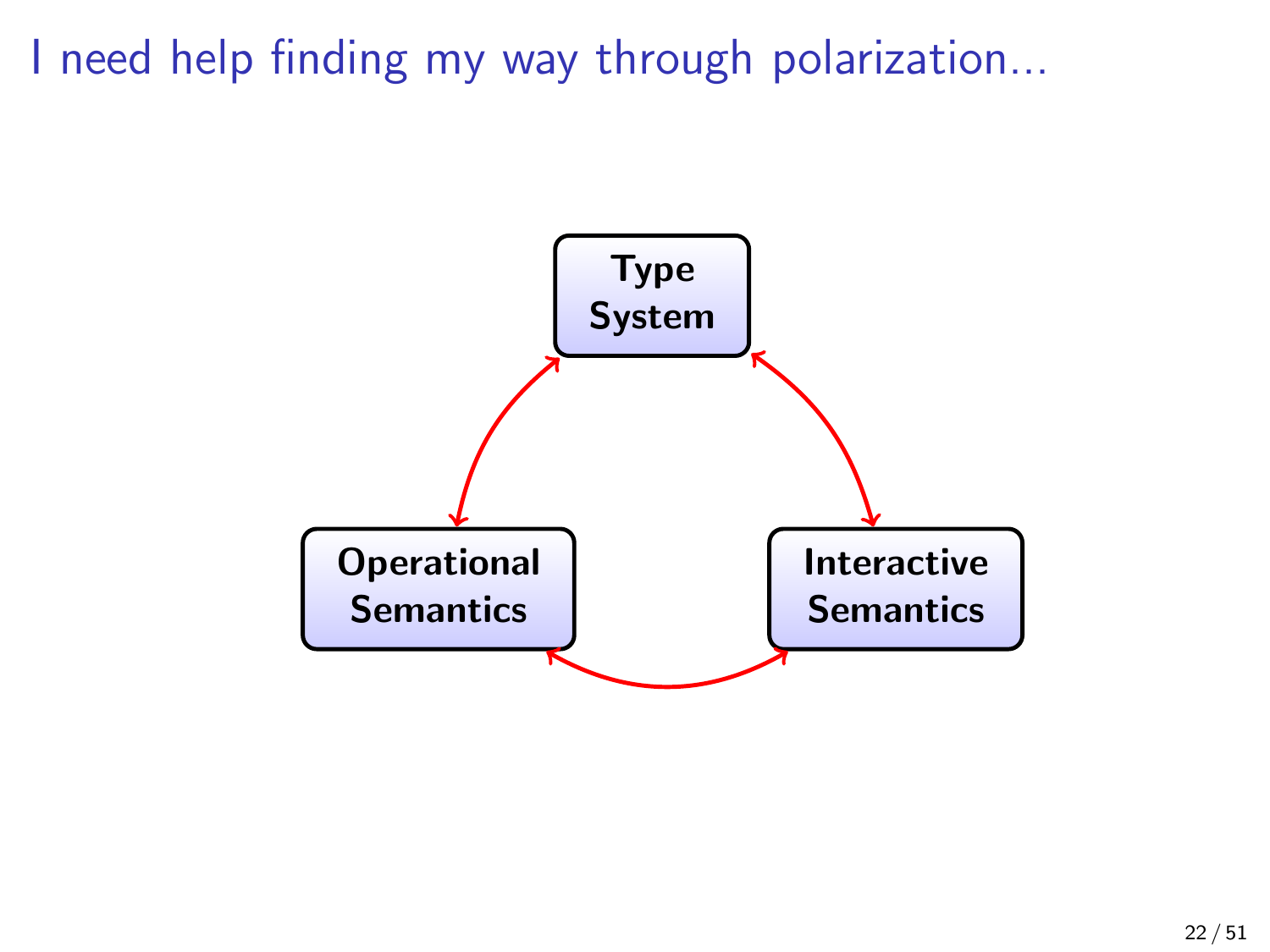I need help finding my way through polarization...

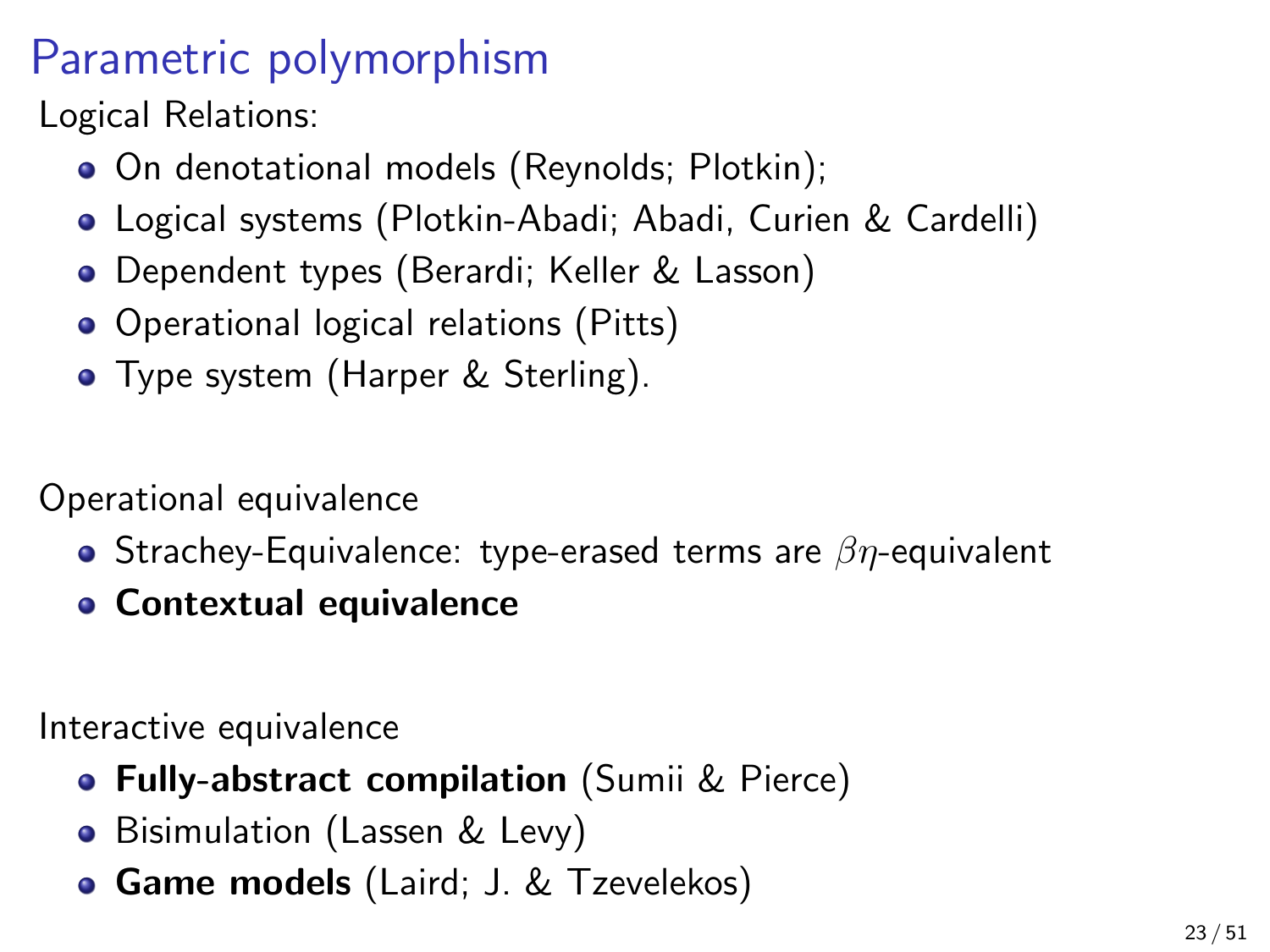## Parametric polymorphism

Logical Relations:

- On denotational models (Reynolds; Plotkin);
- Logical systems (Plotkin-Abadi; Abadi, Curien & Cardelli)
- Dependent types (Berardi; Keller & Lasson)
- Operational logical relations (Pitts)
- Type system (Harper & Sterling).

Operational equivalence

- **•** Strachey-Equivalence: type-erased terms are  $\beta\eta$ -equivalent
- Contextual equivalence

Interactive equivalence

- **Fully-abstract compilation** (Sumii & Pierce)
- Bisimulation (Lassen & Levy)
- **Game models** (Laird; J. & Tzevelekos)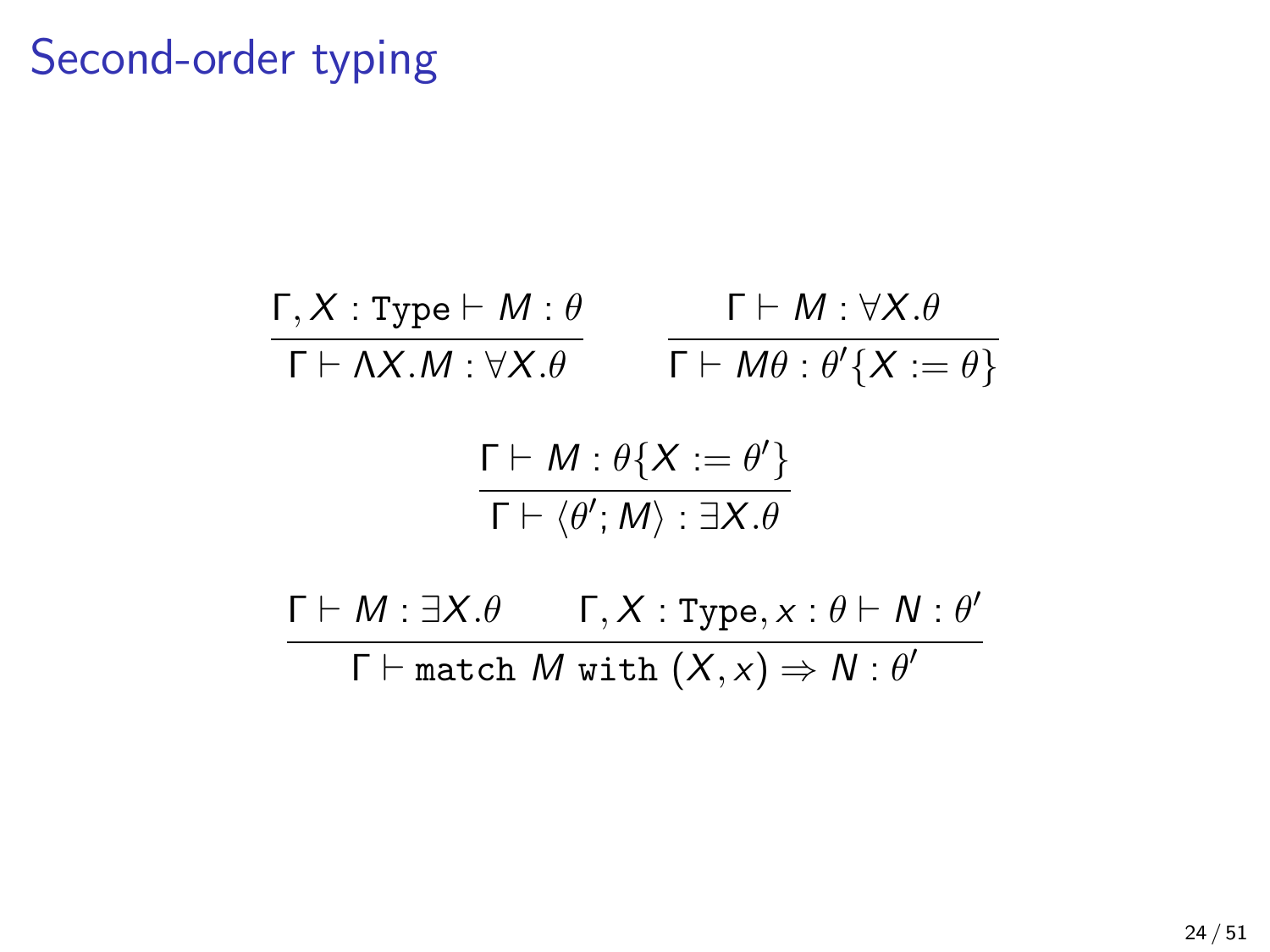### Second-order typing

$$
\frac{\Gamma, X: \text{Type} \vdash M: \theta}{\Gamma \vdash \Lambda X.M: \forall X.\theta} \qquad \frac{\Gamma \vdash M: \forall X.\theta}{\Gamma \vdash M\theta: \theta'\{X := \theta\}}
$$

$$
\frac{\Gamma \vdash M : \theta\{X := \theta'\}}{\Gamma \vdash \langle \theta', M \rangle : \exists X. \theta}
$$

 $\Gamma \vdash M : \exists X . \theta$  Γ, X : Type, x :  $\theta \vdash N : \theta'$  $\Gamma \vdash \texttt{match}~ M \text{ with } (X, x) \Rightarrow N : \theta'$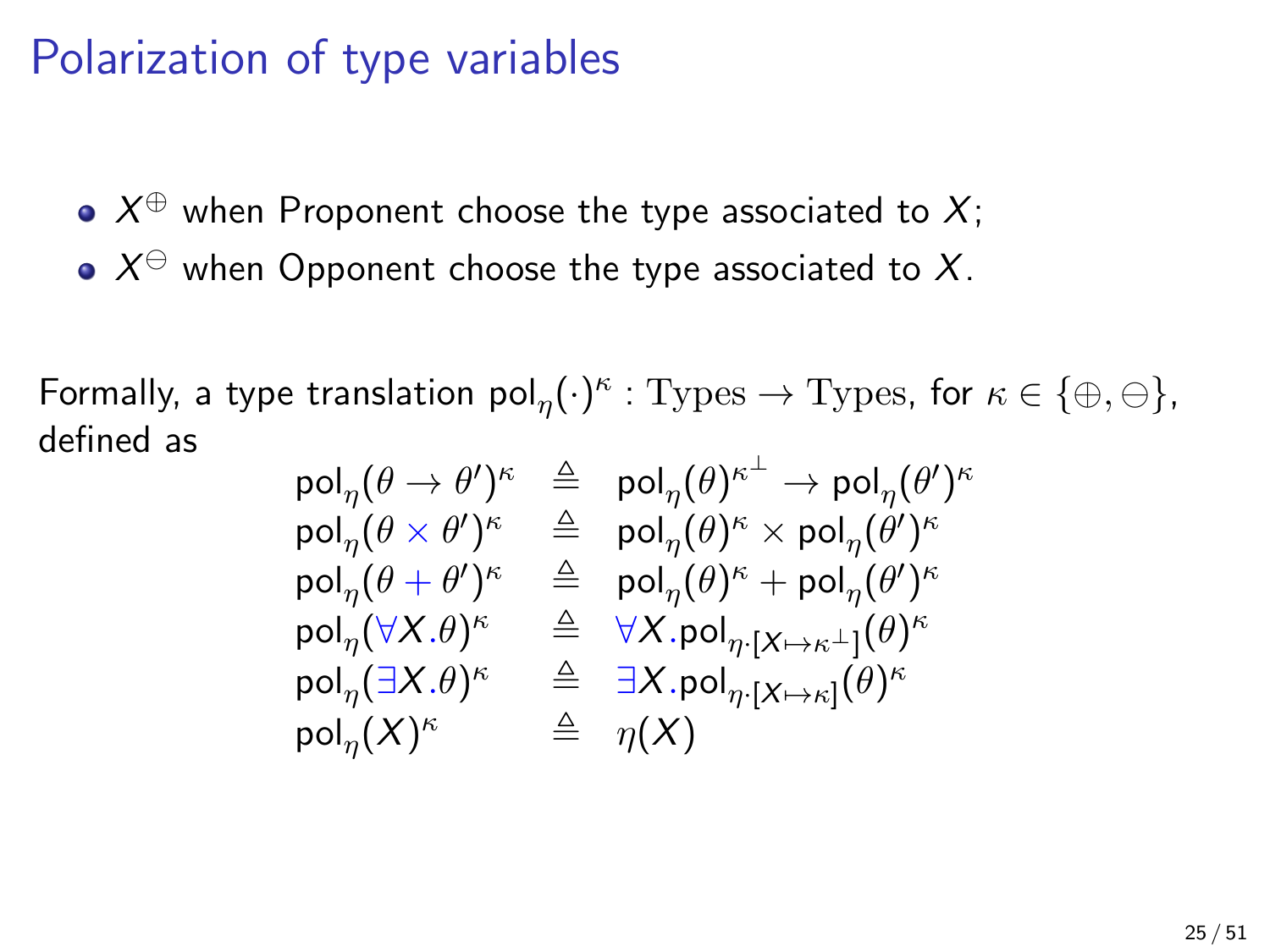### Polarization of type variables

- $X^\oplus$  when Proponent choose the type associated to  $X;$
- $X^\ominus$  when Opponent choose the type associated to  $X.$

Formally, a type translation  $\mathsf{pol}_\eta(\cdot)^\kappa:\mathrm{Types}\to \mathrm{Types},$  for  $\kappa\in\{\oplus,\ominus\},$ defined as

$$
\begin{array}{rcl}\mathsf{pol}_\eta(\theta\to\theta')^\kappa&\triangleq&\mathsf{pol}_\eta(\theta)^{\kappa^\perp}\to\mathsf{pol}_\eta(\theta')^\kappa\\\mathsf{pol}_\eta(\theta\times\theta')^\kappa&\triangleq&\mathsf{pol}_\eta(\theta)^\kappa\times\mathsf{pol}_\eta(\theta')^\kappa\\\mathsf{pol}_\eta(\theta+\theta')^\kappa&\triangleq&\mathsf{pol}_\eta(\theta)^\kappa+\mathsf{pol}_\eta(\theta')^\kappa\\\mathsf{pol}_\eta(\forall X.\theta)^\kappa&\triangleq&\forall X.\mathsf{pol}_{\eta\cdot[X\mapsto\kappa^\perp]}(\theta)^\kappa\\\mathsf{pol}_\eta(\exists X.\theta)^\kappa&\triangleq&\exists X.\mathsf{pol}_{\eta\cdot[X\mapsto\kappa]}(\theta)^\kappa\\\mathsf{pol}_\eta(X)^\kappa&\triangleq&\eta(X)\end{array}
$$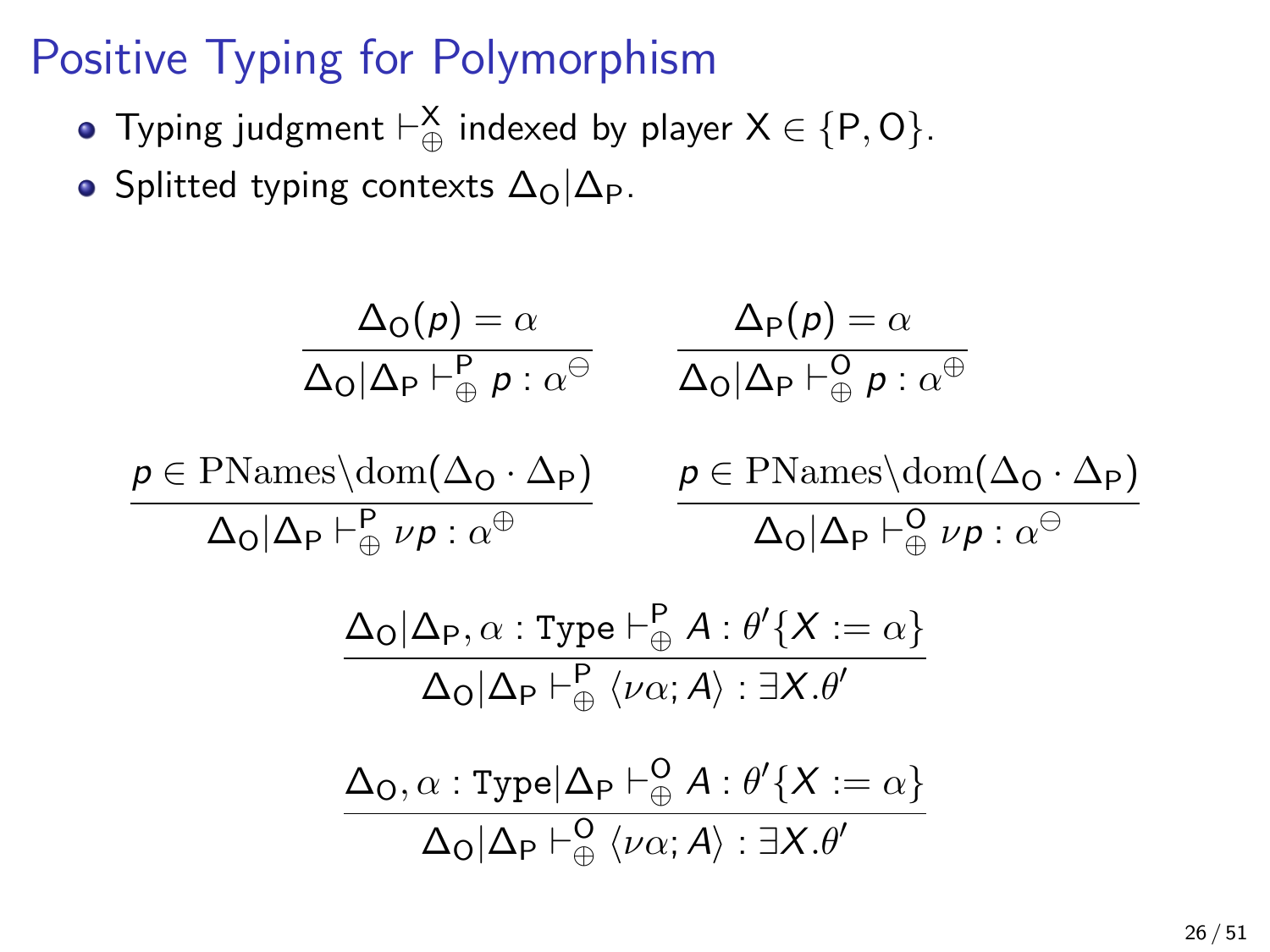## Positive Typing for Polymorphism

- Typing judgment  $\vdash_{\oplus}^{\mathsf{X}}$  indexed by player  $\mathsf{X} \in \{\mathsf{P},\mathsf{O}\}$ .
- Splitted typing contexts  $\Delta_{\Omega}|\Delta_{\text{P}}$ .

$$
\frac{\Delta_{\mathsf{O}}(p) = \alpha}{\Delta_{\mathsf{O}}|\Delta_{\mathsf{P}} \vdash_{\oplus}^{\mathsf{P}} p : \alpha^{\ominus}} \qquad \frac{\Delta_{\mathsf{P}}(p) = \alpha}{\Delta_{\mathsf{O}}|\Delta_{\mathsf{P}} \vdash_{\oplus}^{\mathsf{O}} p : \alpha^{\oplus}}
$$
\n
$$
\frac{p \in \text{PMames}\backslash \text{dom}(\Delta_{\mathsf{O}} \cdot \Delta_{\mathsf{P}})}{\Delta_{\mathsf{O}}|\Delta_{\mathsf{P}} \vdash_{\oplus}^{\mathsf{P}} \nu p : \alpha^{\oplus}} \qquad \frac{p \in \text{PMames}\backslash \text{dom}(\Delta_{\mathsf{O}} \cdot \Delta_{\mathsf{P}})}{\Delta_{\mathsf{O}}|\Delta_{\mathsf{P}} \vdash_{\oplus}^{\mathsf{O}} \nu p : \alpha^{\ominus}}
$$
\n
$$
\frac{\Delta_{\mathsf{O}}|\Delta_{\mathsf{P}}, \alpha : \text{Type} \vdash_{\oplus}^{\mathsf{P}} A : \theta' \{X := \alpha\}}{\Delta_{\mathsf{O}}|\Delta_{\mathsf{P}} \vdash_{\oplus}^{\mathsf{P}} \langle \nu \alpha; A \rangle : \exists X. \theta'}
$$
\n
$$
\frac{\Delta_{\mathsf{O}}, \alpha : \text{Type} |\Delta_{\mathsf{P}} \vdash_{\oplus}^{\mathsf{O}} A : \theta' \{X := \alpha\}}{\Delta_{\mathsf{O}}|\Delta_{\mathsf{P}} \vdash_{\oplus}^{\mathsf{O}} \langle \nu \alpha; A \rangle : \exists X. \theta'}
$$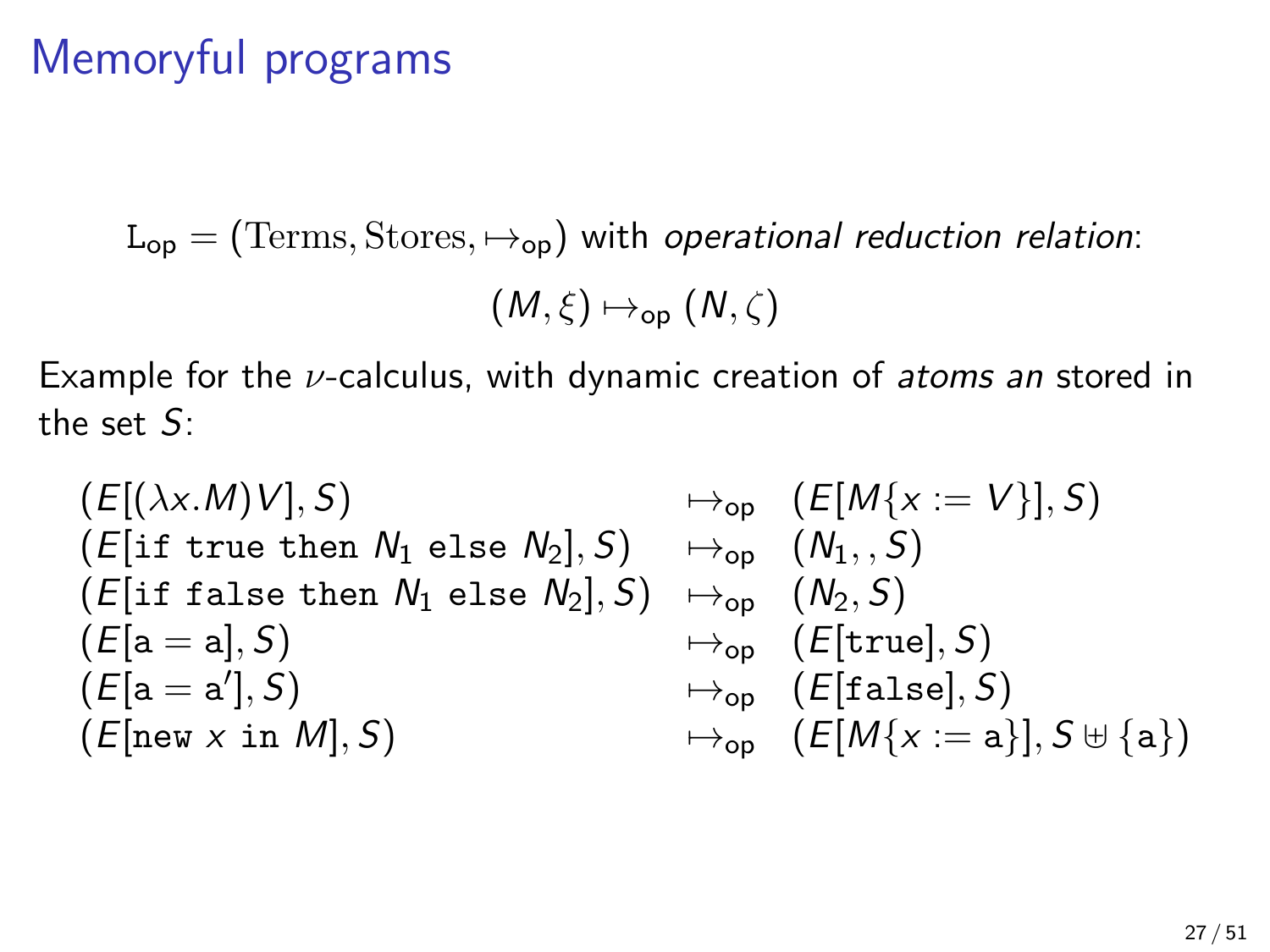## Memoryful programs

 $L_{op} = (Terms, Stores, \mapsto_{op})$  with operational reduction relation:

$$
(M,\xi)\mapsto_{\textsf{op}}(N,\zeta)
$$

Example for the  $\nu$ -calculus, with dynamic creation of *atoms an* stored in the set S:

$$
\begin{array}{llll} & (E[(\lambda x.M)V], S) & \mapsto_{\sf op} & (E[M\{x := V\}], S) \\ & (E[\text{if true then } N_1 \text{ else } N_2], S) & \mapsto_{\sf op} & (N_1, , S) \\ & (E[\text{if false then } N_1 \text{ else } N_2], S) & \mapsto_{\sf op} & (N_2, S) \\ & (E[a = a], S) & \mapsto_{\sf op} & (E[\text{true}], S) \\ & (E[a = a'], S) & \mapsto_{\sf op} & (E[\text{false}], S) \\ & (E[\text{new } x \text{ in } M], S) & \mapsto_{\sf op} & (E[M\{x := a\}], S \uplus \{a\}) \end{array}
$$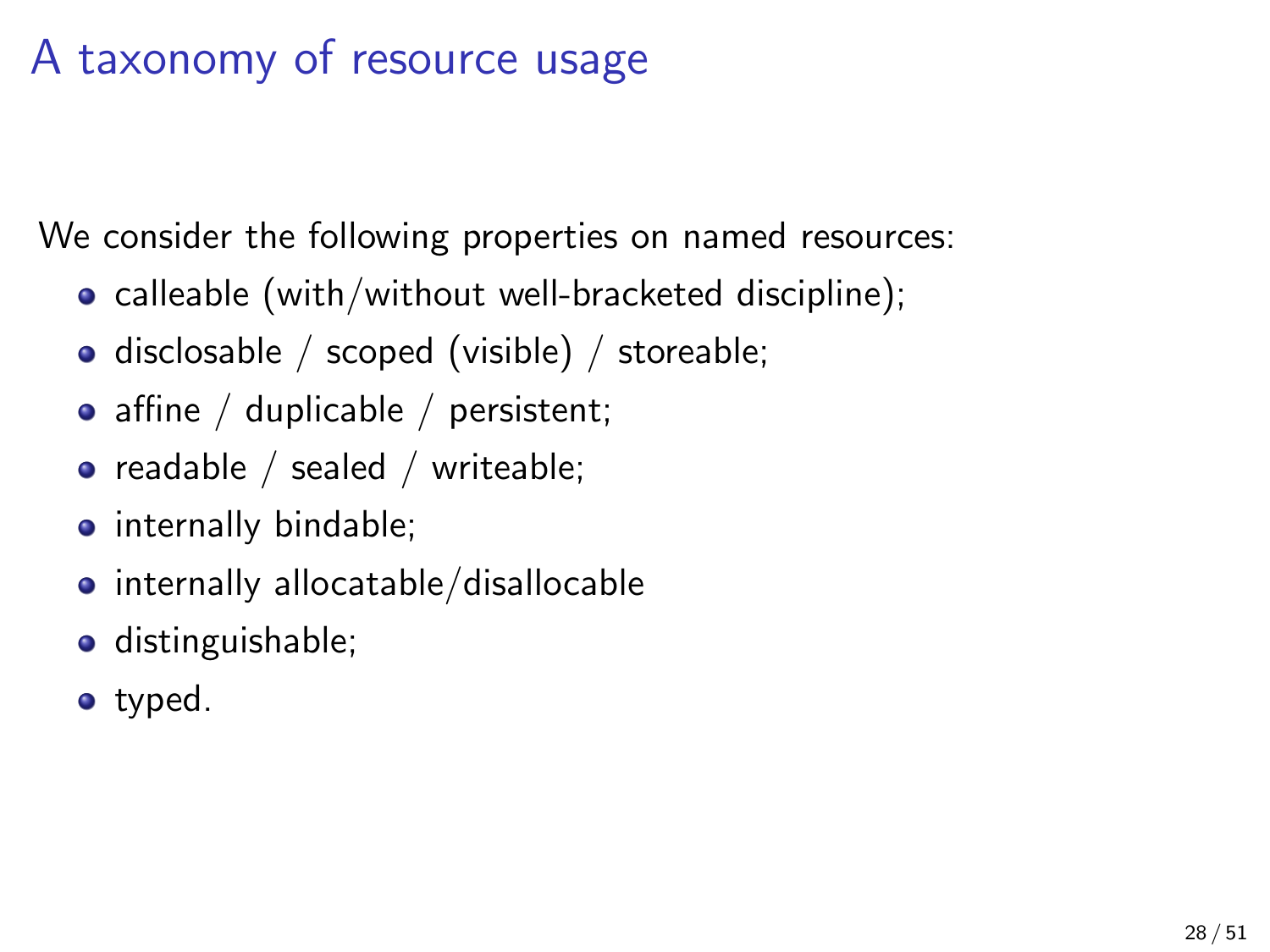## A taxonomy of resource usage

We consider the following properties on named resources:

- calleable (with/without well-bracketed discipline);
- disclosable / scoped (visible) / storeable;
- affine / duplicable / persistent;
- readable / sealed / writeable;
- **o** internally bindable;
- internally allocatable/disallocable
- **o** distinguishable;
- o typed.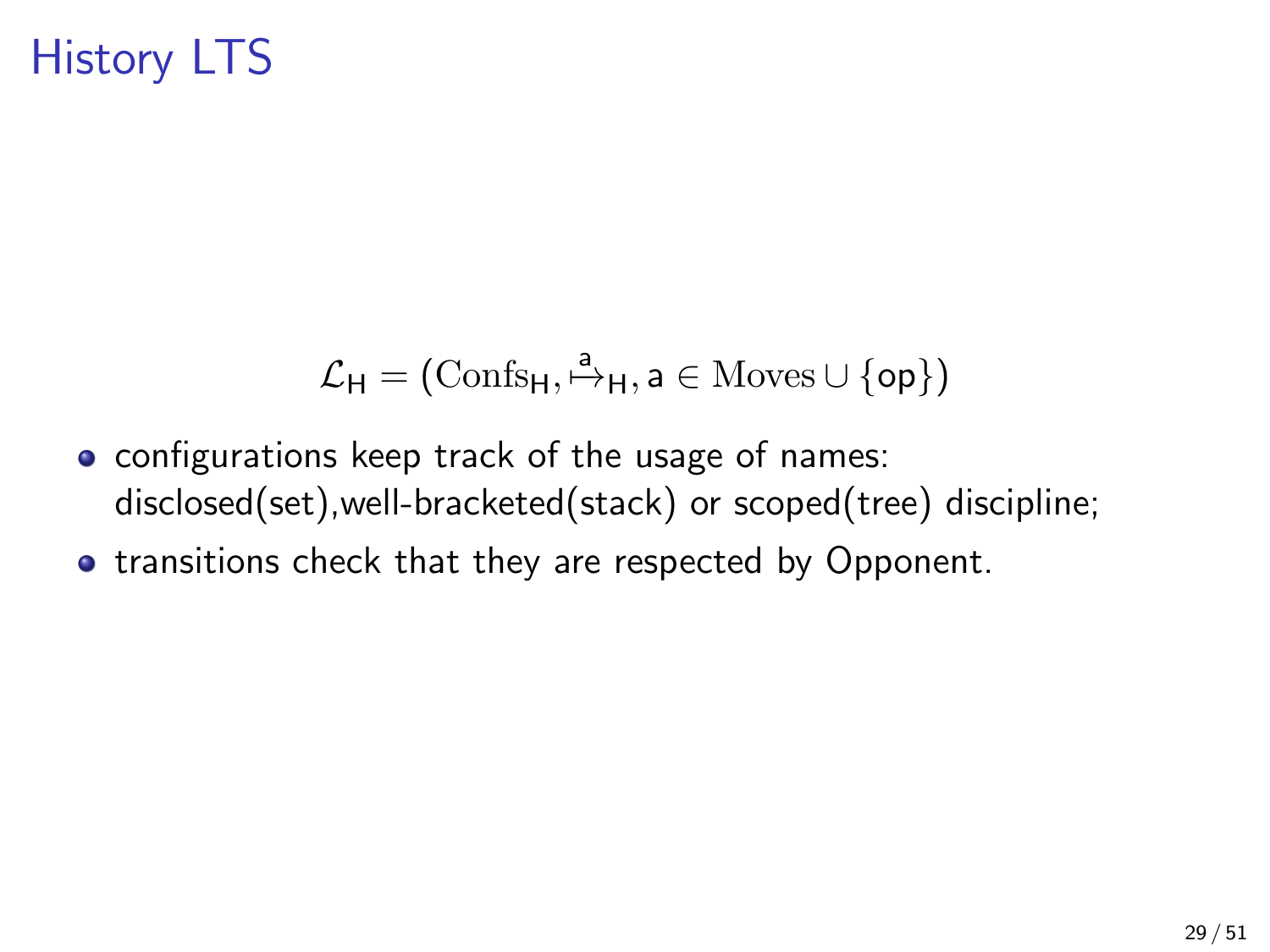## History LTS

$$
\mathcal{L}_H = (\mathrm{Confs}_H, \stackrel{a}{\mapsto}_H, a \in \mathrm{Moves} \cup \{op\})
$$

- **o** configurations keep track of the usage of names: disclosed(set),well-bracketed(stack) or scoped(tree) discipline;
- **•** transitions check that they are respected by Opponent.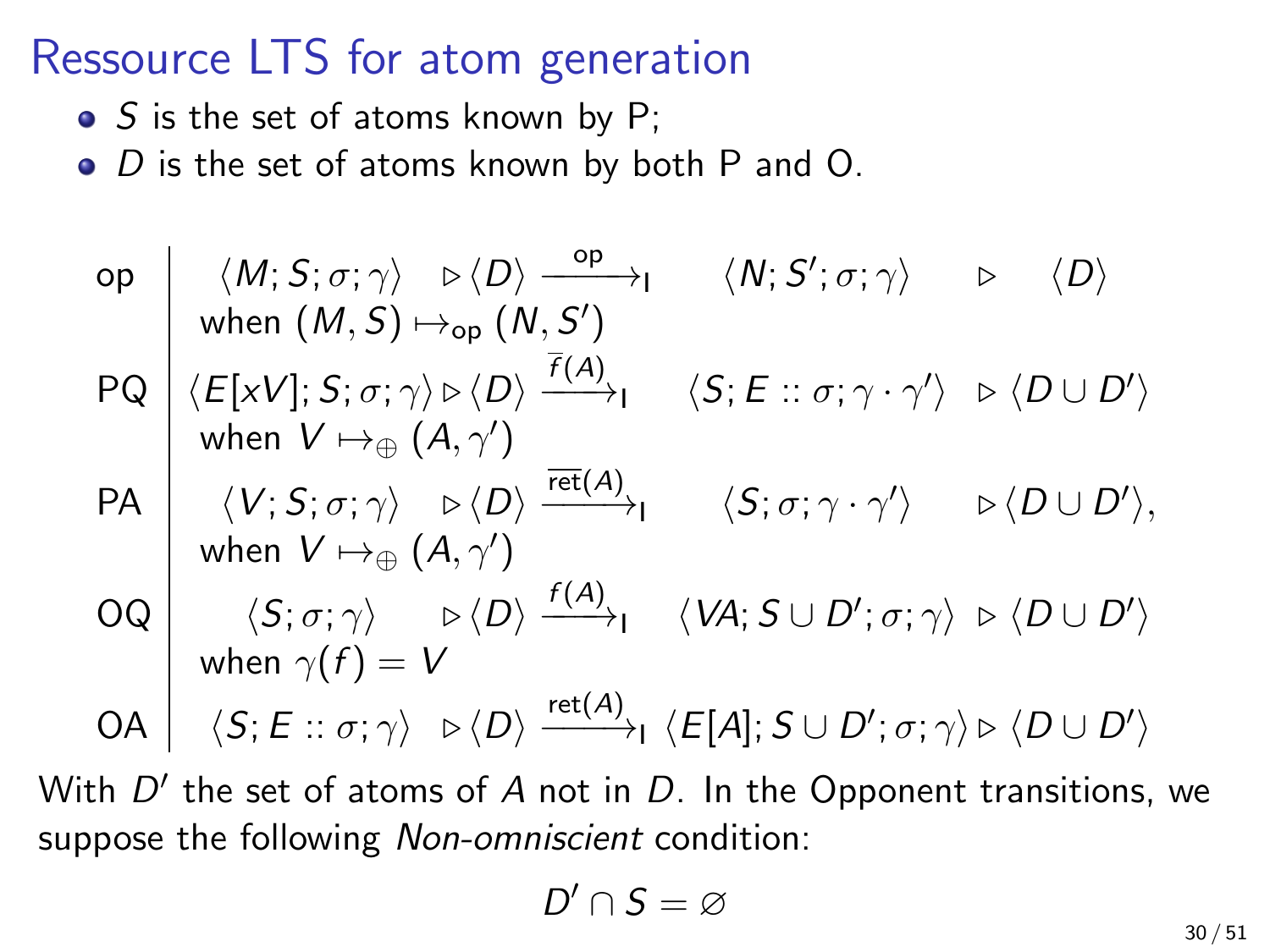### Ressource LTS for atom generation

- $\bullet$  S is the set of atoms known by P;
- $\bullet$  D is the set of atoms known by both P and O.

\n
$$
\text{op} \quad \langle M; S; \sigma; \gamma \rangle \quad \triangleright \langle D \rangle \xrightarrow{\text{op}} \langle N; S'; \sigma; \gamma \rangle \quad \triangleright \quad \langle D \rangle
$$
\n

\n\n $\text{op} \quad \langle M; S; \sigma; \gamma \rangle \quad \triangleright \langle D \rangle \xrightarrow{\text{op}} \langle N; S'; \sigma; \gamma \rangle \quad \triangleright \quad \langle D \rangle$ \n

\n\n $\text{PQ} \quad \langle E[xV]; S; \sigma; \gamma \rangle \triangleright \langle D \rangle \xrightarrow{\overline{f(A)}} \langle S; E :: \sigma; \gamma \cdot \gamma' \rangle \quad \triangleright \langle D \cup D' \rangle$ \n

\n\n $\text{PA} \quad \langle V; S; \sigma; \gamma \rangle \quad \triangleright \langle D \rangle \xrightarrow{\overline{\text{ret}(A)}} \langle S; \sigma; \gamma \cdot \gamma' \rangle \quad \triangleright \langle D \cup D' \rangle$ \n

\n\n $\text{VH} \quad \langle V; S; \sigma; \gamma \rangle \quad \triangleright \langle D \rangle \xrightarrow{\overline{\text{ret}(A)}} \langle S; \sigma; \gamma \cdot \gamma' \rangle \quad \triangleright \langle D \cup D' \rangle$ \n

\n\n $\text{VH} \quad \langle S; \sigma; \gamma \rangle \quad \triangleright \langle D \rangle \xrightarrow{\text{f(A)}} \langle VA; S \cup D'; \sigma; \gamma \rangle \quad \triangleright \langle D \cup D' \rangle$ \n

\n\n $\text{VH} \quad \langle S; E :: \sigma; \gamma \rangle \quad \triangleright \langle D \rangle \xrightarrow{\text{ret}(A)} \langle E[A]; S \cup D'; \sigma; \gamma \rangle \quad \triangleright \langle D \cup D' \rangle$ \n

With  $D'$  the set of atoms of  $A$  not in  $D$ . In the Opponent transitions, we suppose the following *Non-omniscient* condition:

$$
D'\cap S=\varnothing
$$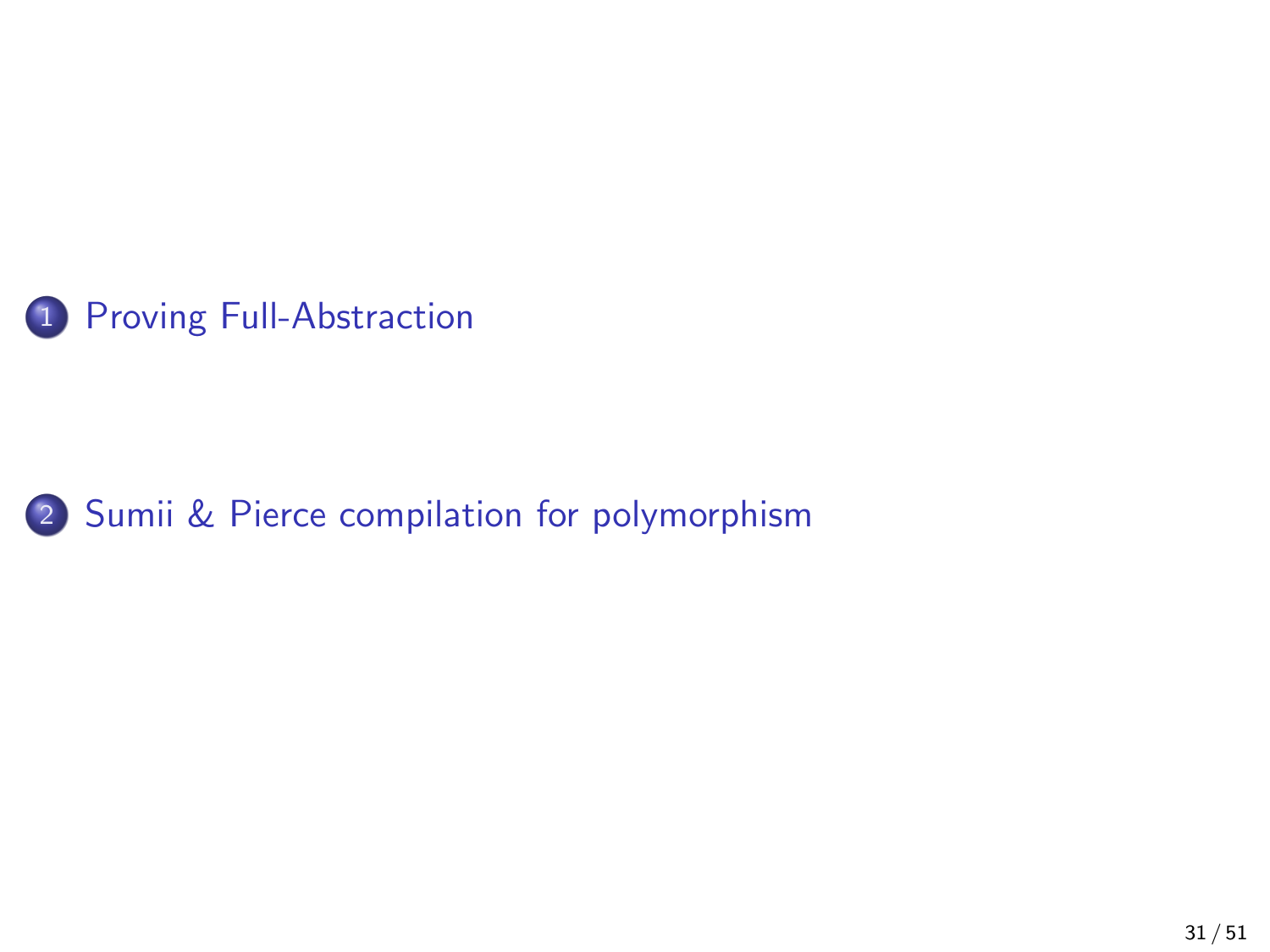<span id="page-33-0"></span>

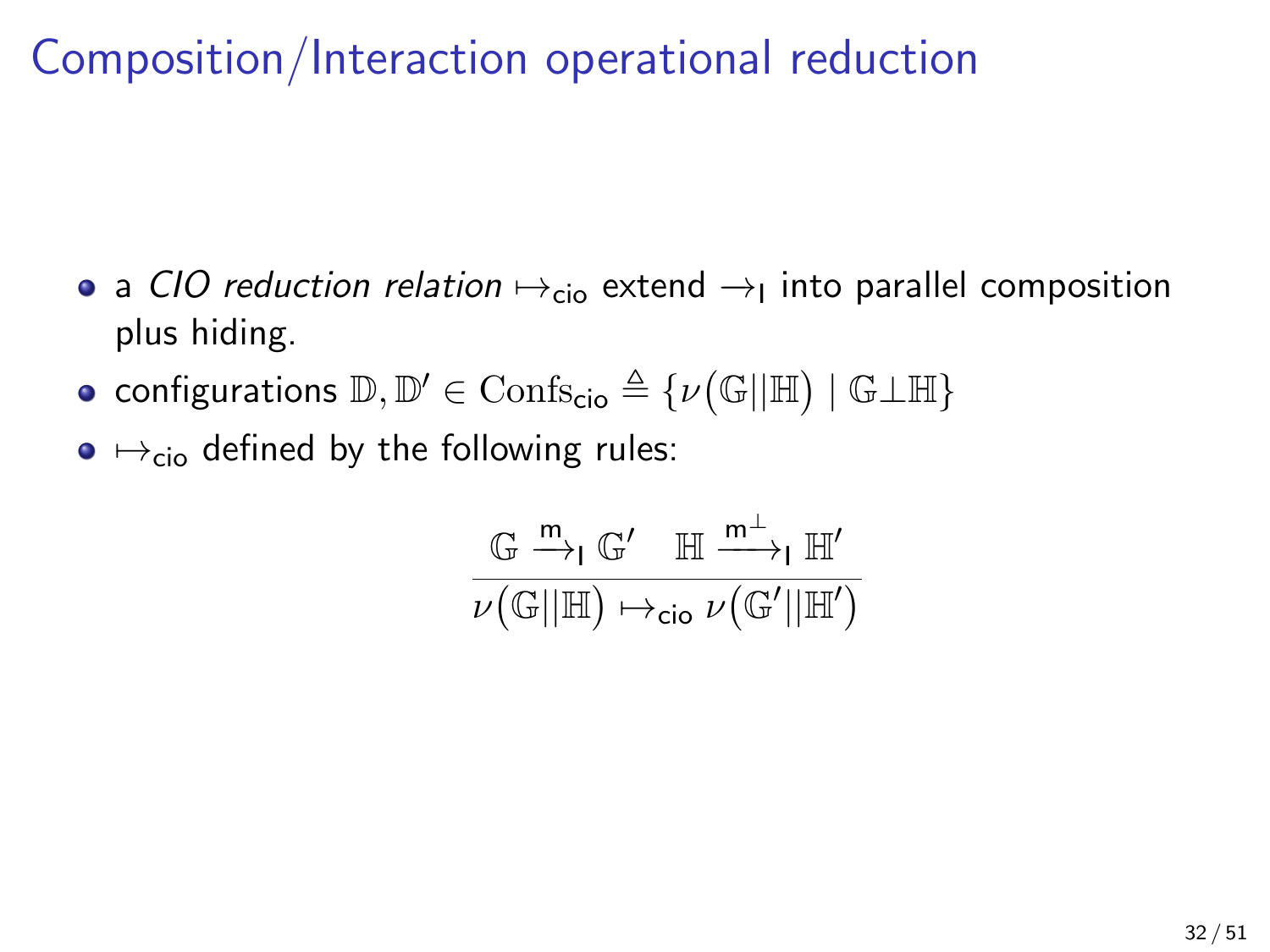Composition/Interaction operational reduction

- a *CIO reduction relation*  $\mapsto_{\mathsf{cio}}$  extend  $\rightarrow_{\mathsf{I}}$  into parallel composition plus hiding.
- $\textsf{configurations } \mathbb{D}, \mathbb{D'} \in \text{Confs}_{\textsf{cio}} \triangleq \{\nu\big(\mathbb{G}||\mathbb{H}\big) \mid \mathbb{G} \bot \mathbb{H}\}$
- $\bullet \leftrightarrow_{\rm cio}$  defined by the following rules:

$$
\frac{\mathbb{G} \xrightarrow{m} \mathbb{G}' \quad \mathbb{H} \xrightarrow{m^{\perp}} \mathbb{H}'}{\nu(\mathbb{G}||\mathbb{H}) \mapsto_{\text{cio}} \nu(\mathbb{G}'||\mathbb{H}')}
$$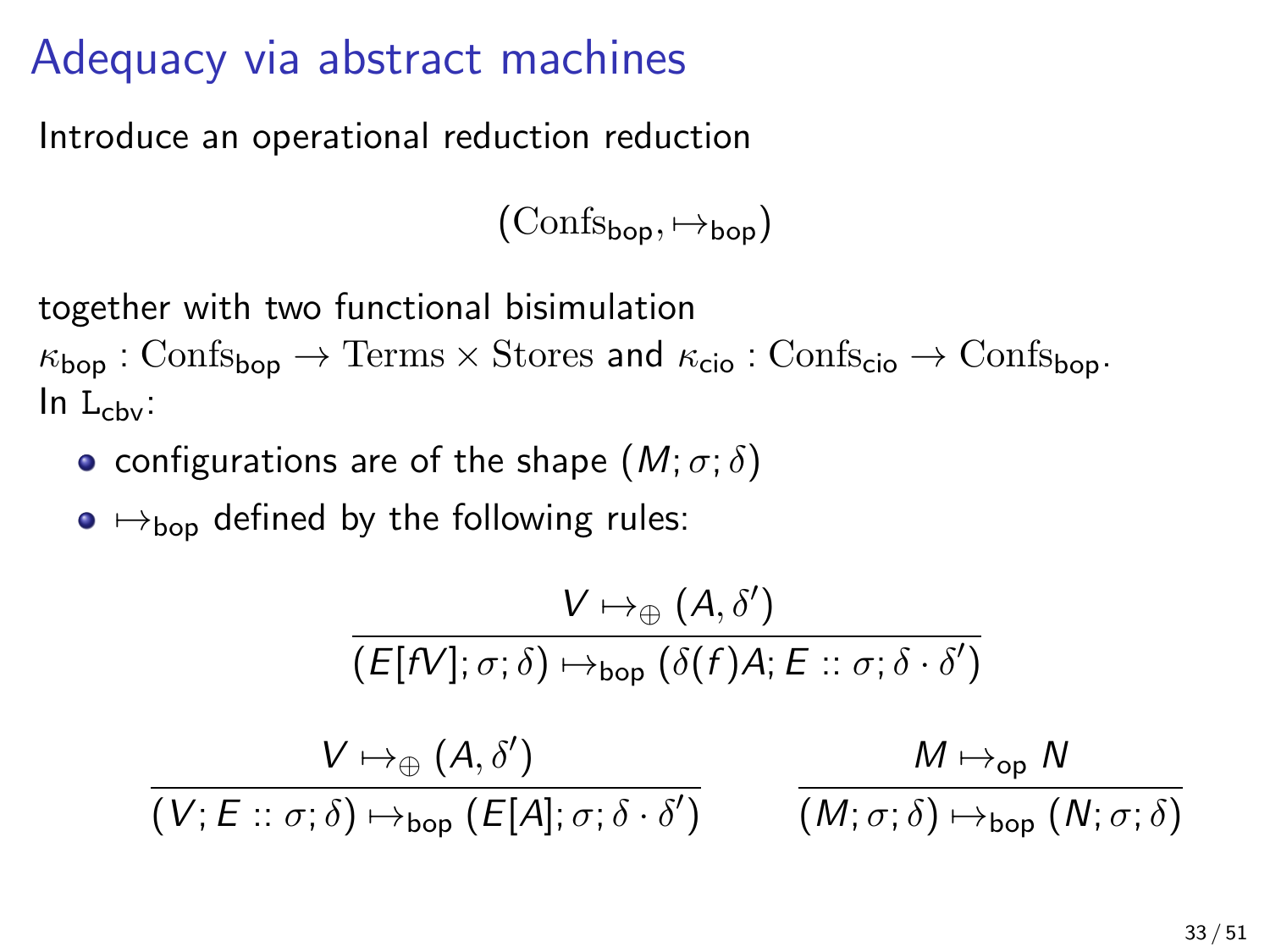### Adequacy via abstract machines

Introduce an operational reduction reduction

 $(\text{Confs}_{\text{bon}}, \mapsto_{\text{bon}})$ 

together with two functional bisimulation

 $\kappa_{\text{bon}}$ : Confs<sub>bop</sub>  $\rightarrow$  Terms  $\times$  Stores and  $\kappa_{\text{cio}}$ : Confs<sub>cio</sub>  $\rightarrow$  Confs<sub>bop</sub>.  $\ln L_{\text{cbv}}$ :

• configurations are of the shape  $(M; \sigma; \delta)$ 

 $\bullet \mapsto_{\text{bon}}$  defined by the following rules:

$$
\frac{V \mapsto_{\oplus} (A, \delta')}{(E[N]; \sigma; \delta) \mapsto_{\text{bop}} (\delta(f)A; E :: \sigma; \delta \cdot \delta')}
$$
  

$$
\frac{V \mapsto_{\oplus} (A, \delta')}{(V; E :: \sigma; \delta) \mapsto_{\text{bop}} (E[A]; \sigma; \delta \cdot \delta')} \qquad \frac{M \mapsto_{\text{op}} N}{(M; \sigma; \delta) \mapsto_{\text{bop}} (N; \sigma; \delta)}
$$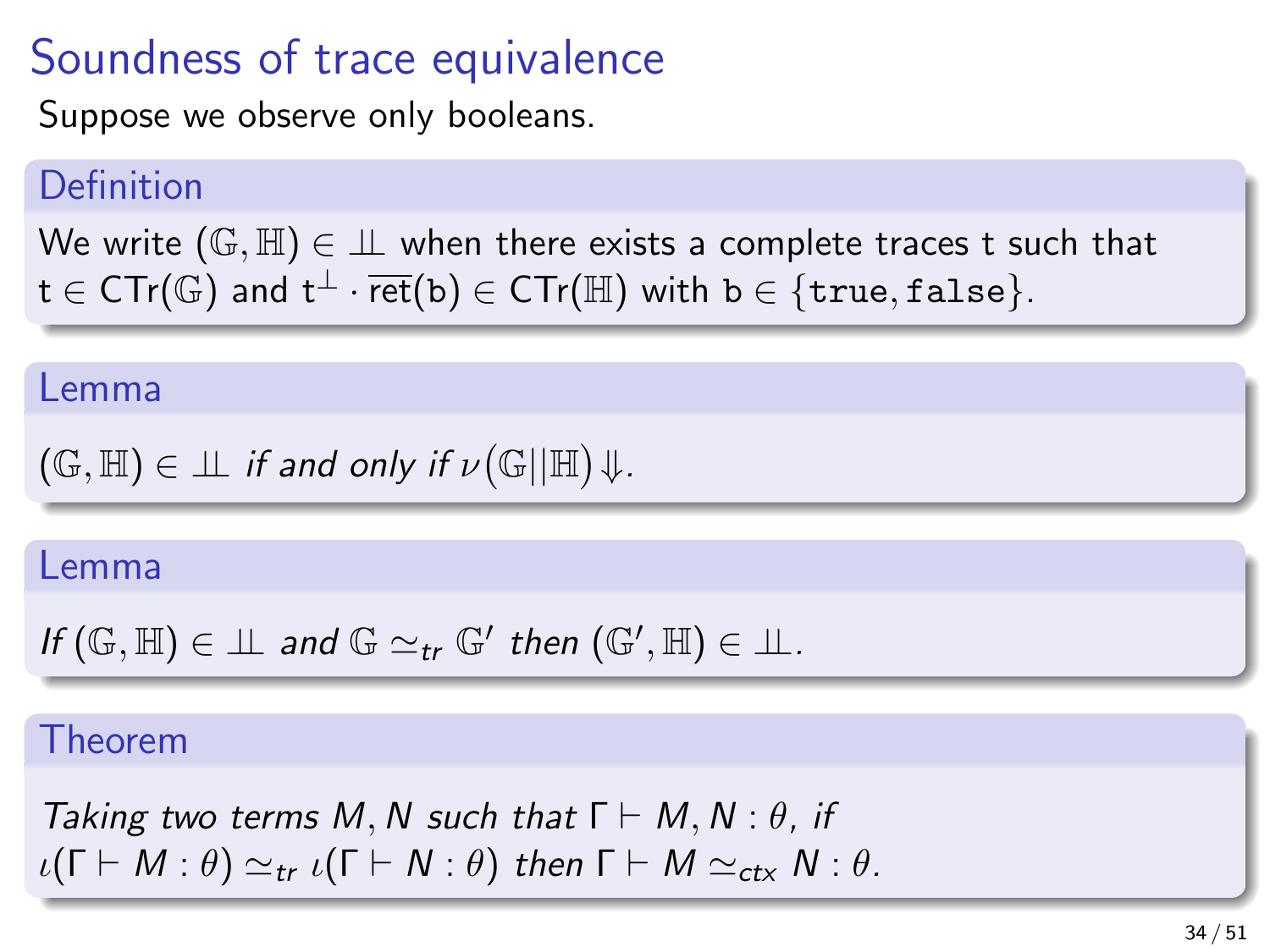### Soundness of trace equivalence

Suppose we observe only booleans.

#### Definition

We write  $(\mathbb{G}, \mathbb{H}) \in \mathbb{L}$  when there exists a complete traces t such that  $t \in \text{CTr}(\mathbb{G})$  and  $t^{\perp} \cdot \text{ret}(b) \in \text{CTr}(\mathbb{H})$  with  $b \in \{\text{true}, \text{false}\}.$ 

#### Lemma

$$
(\mathbb{G},\mathbb{H})\in \bot\!\!\!\bot \textit{ if and only if } \nu(\mathbb{G}||\mathbb{H})\!\Downarrow.
$$

#### Lemma

$$
\textit{If } (\mathbb{G}, \mathbb{H}) \in \bot \bot \textit{ and } \mathbb{G} \simeq_{\textit{tr}} \mathbb{G}' \textit{ then } (\mathbb{G}', \mathbb{H}) \in \bot \bot.
$$

#### Theorem

Taking two terms M, N such that  $\Gamma \vdash M, N : \theta$ , if  $\iota(\Gamma \vdash M : \theta) \simeq_{tr} \iota(\Gamma \vdash N : \theta)$  then  $\Gamma \vdash M \simeq_{ctx} N : \theta$ .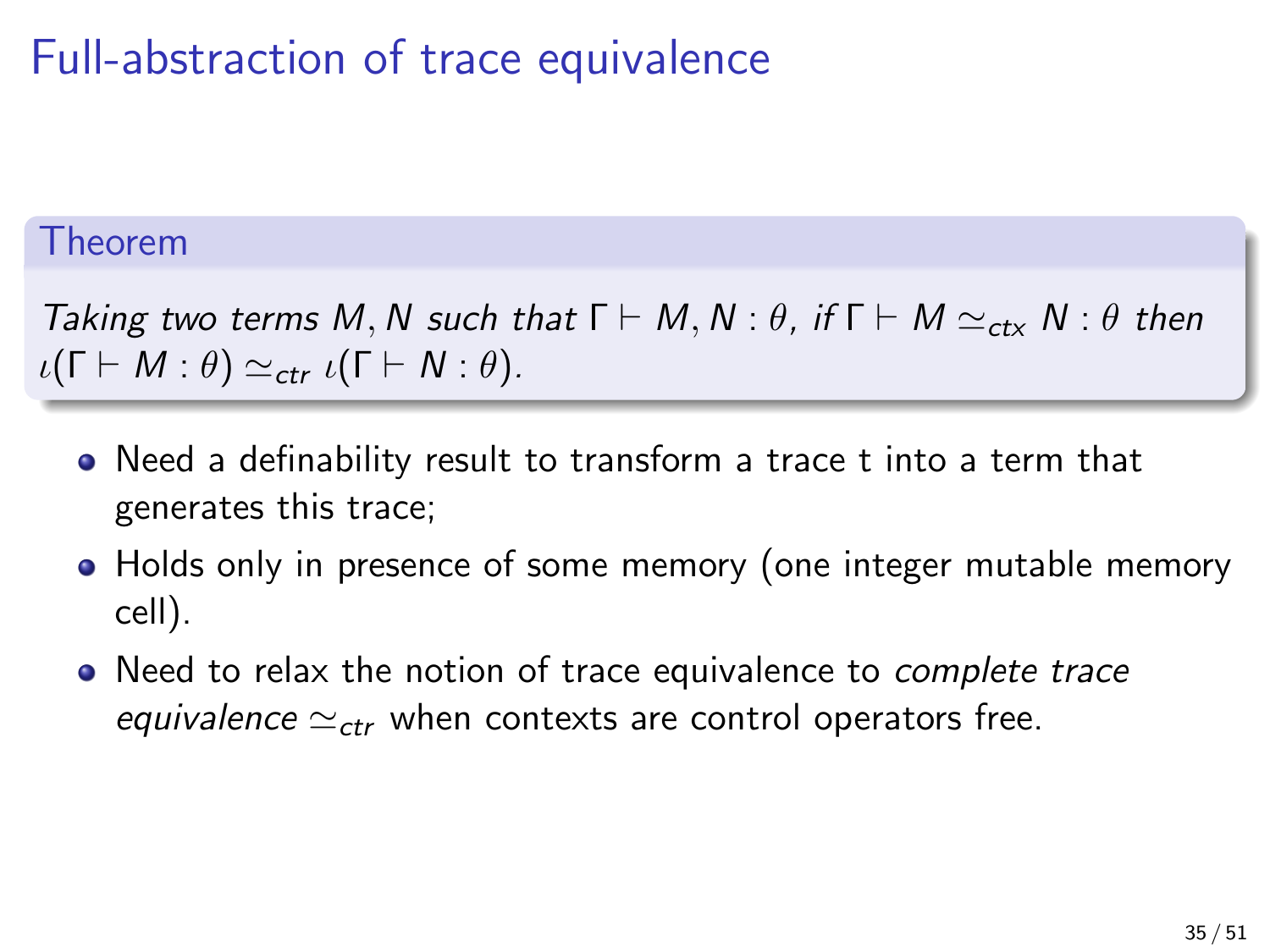## Full-abstraction of trace equivalence

#### Theorem

Taking two terms M, N such that  $\Gamma \vdash M$ , N :  $\theta$ , if  $\Gamma \vdash M \simeq_{\text{ctx}} N : \theta$  then  $\iota(\Gamma \vdash M : \theta) \simeq_{ctr} \iota(\Gamma \vdash N : \theta).$ 

- Need a definability result to transform a trace t into a term that generates this trace;
- Holds only in presence of some memory (one integer mutable memory cell).
- Need to relax the notion of trace equivalence to *complete trace* equivalence  $\simeq_{ctr}$  when contexts are control operators free.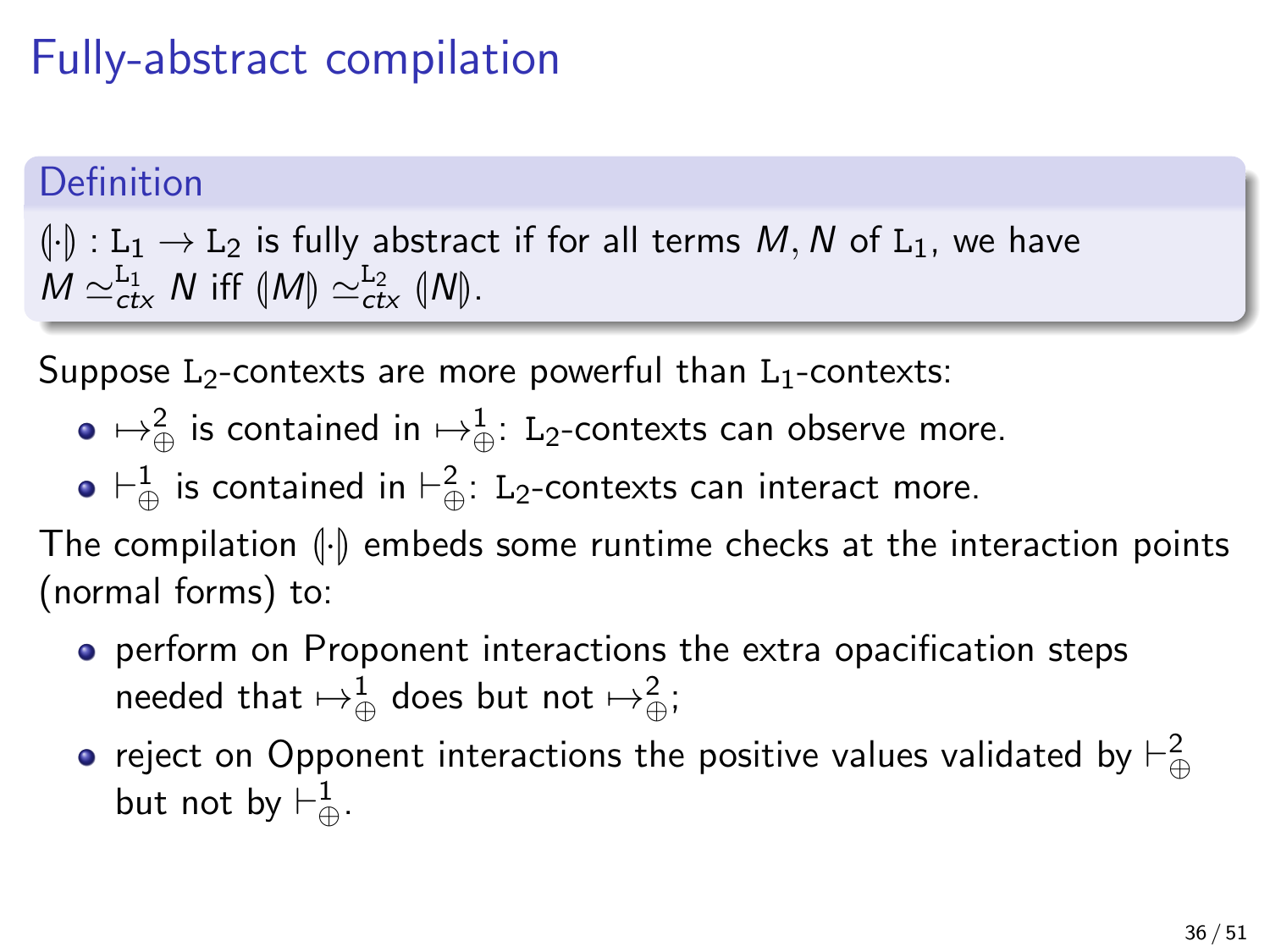## Fully-abstract compilation

#### **Definition**

 $(\cdot)$  :  $L_1 \rightarrow L_2$  is fully abstract if for all terms M, N of L<sub>1</sub>, we have  $M \simeq_{\text{ctx}}^{\text{L}_1} N$  iff  $\langle M \rangle \simeq_{\text{ctx}}^{\text{L}_2} \langle N \rangle$ .

Suppose  $L_2$ -contexts are more powerful than  $L_1$ -contexts:

- $\mapsto_\oplus^2$  is contained in  $\mapsto_\oplus^1$ : L<sub>2</sub>-contexts can observe more.
- $\vdash^1_\oplus$  is contained in  $\vdash^2_\oplus\colon$  L<sub>2</sub>-contexts can interact more.

The compilation  $\left(\cdot\right)$  embeds some runtime checks at the interaction points (normal forms) to:

- **•** perform on Proponent interactions the extra opacification steps needed that  $\mapsto^1_\oplus$  does but not  $\mapsto^2_\oplus;$
- reject on Opponent interactions the positive values validated by  $\vdash_\oplus^2$ but not by  $\vdash^1_\oplus$ .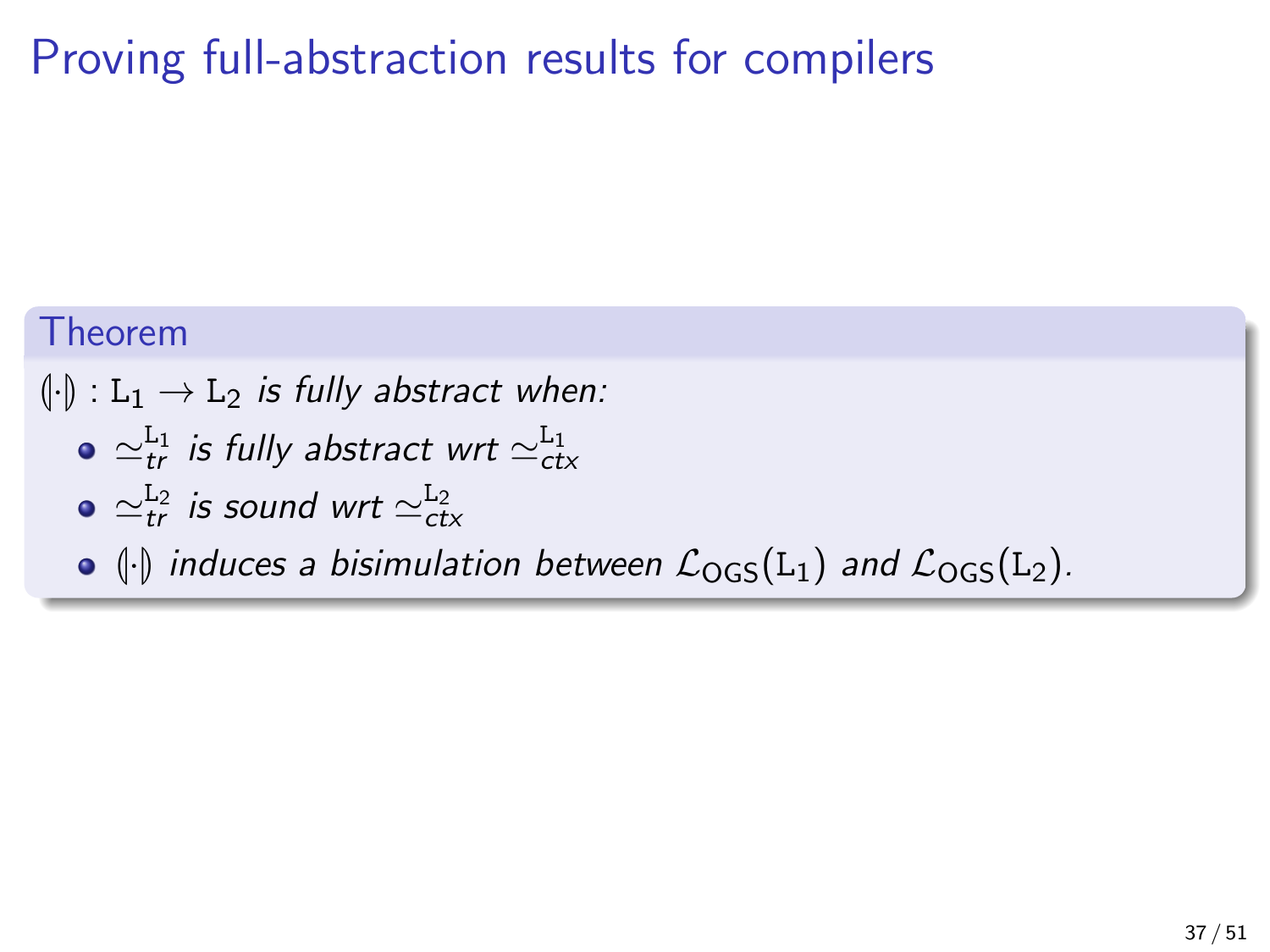## Proving full-abstraction results for compilers

#### Theorem

 $\left\{\cdot\right\}: L_1 \to L_2$  is fully abstract when:

- $\simeq_{tr}^{\rm L_1}$  is fully abstract wrt  $\simeq_{ctx}^{\rm L_1}$
- $\simeq_{tr}^{\rm L_2}$  is sound wrt  $\simeq_{ctx}^{\rm L_2}$
- $\bullet$   $\langle \cdot |$  induces a bisimulation between  $\mathcal{L}_{OGS}(L_1)$  and  $\mathcal{L}_{OGS}(L_2)$ .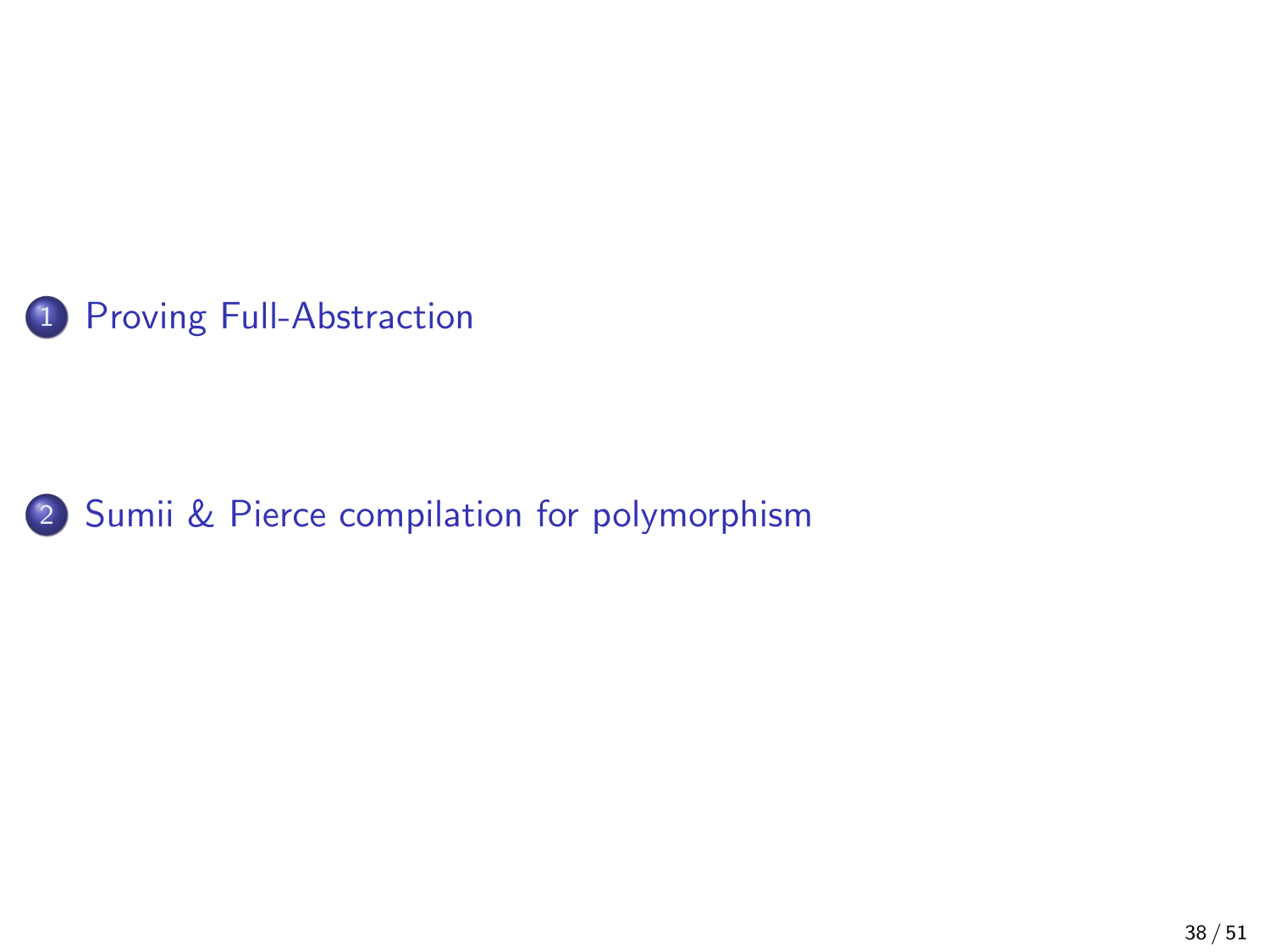<span id="page-40-0"></span>

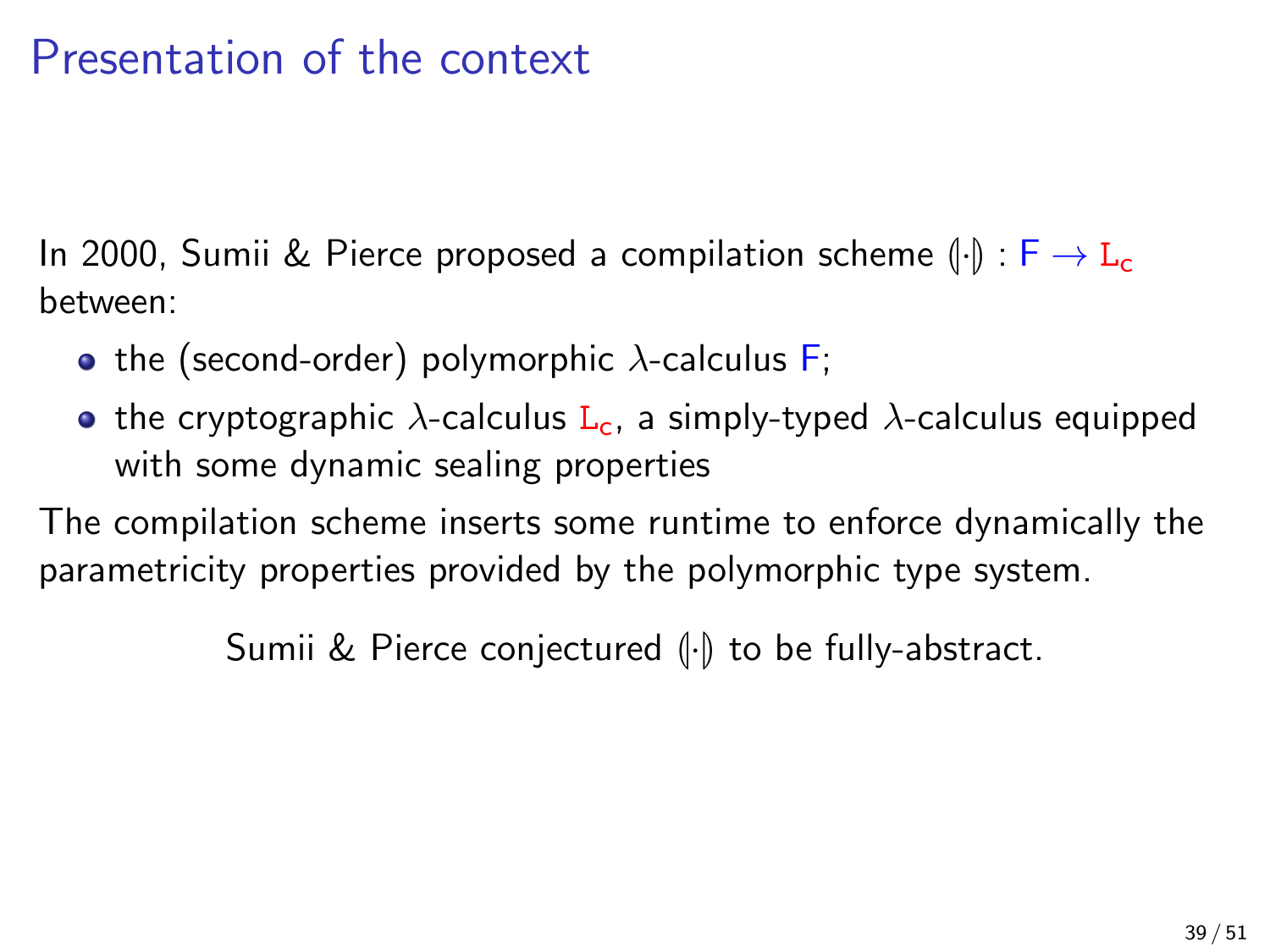## Presentation of the context

In 2000, Sumii & Pierce proposed a compilation scheme  $\left(\cdot\right)$  :  $F \to L_c$ between:

- the (second-order) polymorphic  $\lambda$ -calculus F;
- **•** the cryptographic  $\lambda$ -calculus  $L_c$ , a simply-typed  $\lambda$ -calculus equipped with some dynamic sealing properties

The compilation scheme inserts some runtime to enforce dynamically the parametricity properties provided by the polymorphic type system.

Sumii & Pierce conjectured  $\left(\cdot\right)$  to be fully-abstract.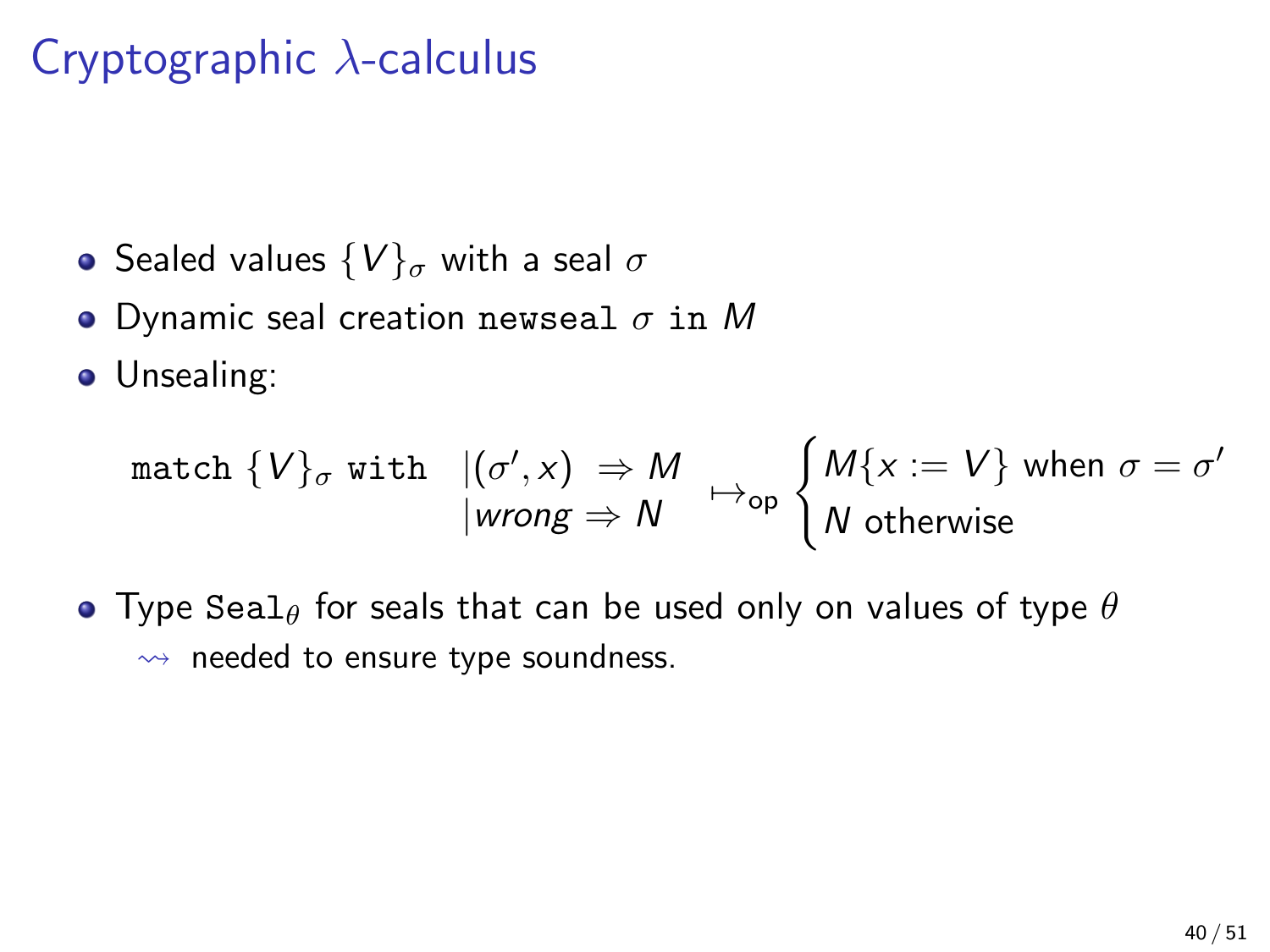## Cryptographic  $\lambda$ -calculus

- Sealed values  $\{V\}_{\sigma}$  with a seal  $\sigma$
- Dynamic seal creation newseal  $\sigma$  in M

**•** Unsealing:

$$
\begin{array}{ll}\text{match } \{V\}_{\sigma} \text{ with } & |(\sigma', x)| \Rightarrow M \\ & |wrong \Rightarrow N \end{array} \mapsto \begin{array}{ll} \begin{array}{ll} M\{x := V\} \text{ when } \sigma = \sigma' \\ N \text{ otherwise} \end{array} \end{array}
$$

• Type Seal<sub> $\theta$ </sub> for seals that can be used only on values of type  $\theta$  $\rightarrow$  needed to ensure type soundness.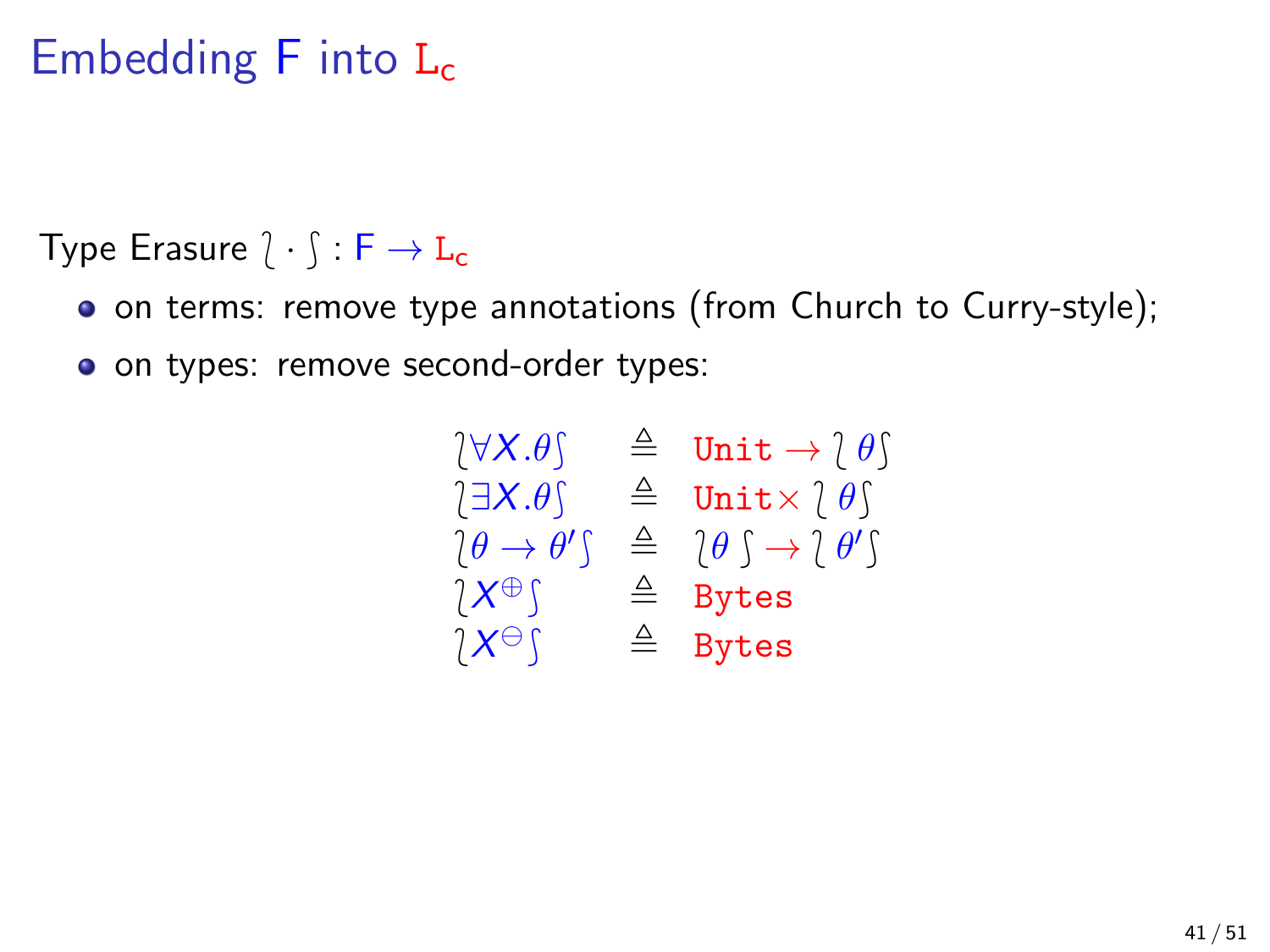## Embedding  $F$  into  $L_c$

Type Erasure  $\hat{i} \cdot \hat{j} : F \to L_c$ 

on terms: remove type annotations (from Church to Curry-style);

o on types: remove second-order types:

$$
\begin{array}{rcl}\n(\forall X.\theta) & \triangleq & \text{Unit} \rightarrow \text{!} \; \theta) \\
(\exists X.\theta) & \triangleq & \text{Unit} \times \text{!} \; \theta) \\
(\theta \rightarrow \theta') & \triangleq & \text{!} \; \theta \rightarrow \text{!} \; \theta' \\
(\forall X \oplus \text{!} \quad \triangleq & \text{!} \; \theta \land \text{!} \; \theta' \\
(\forall X \oplus \text{!} \quad \triangleq & \text{.} \; \text{Bytes} \\
(\forall X \ominus \text{!} \quad \triangleq & \text{.} \; \text{Bytes}\n\end{array}
$$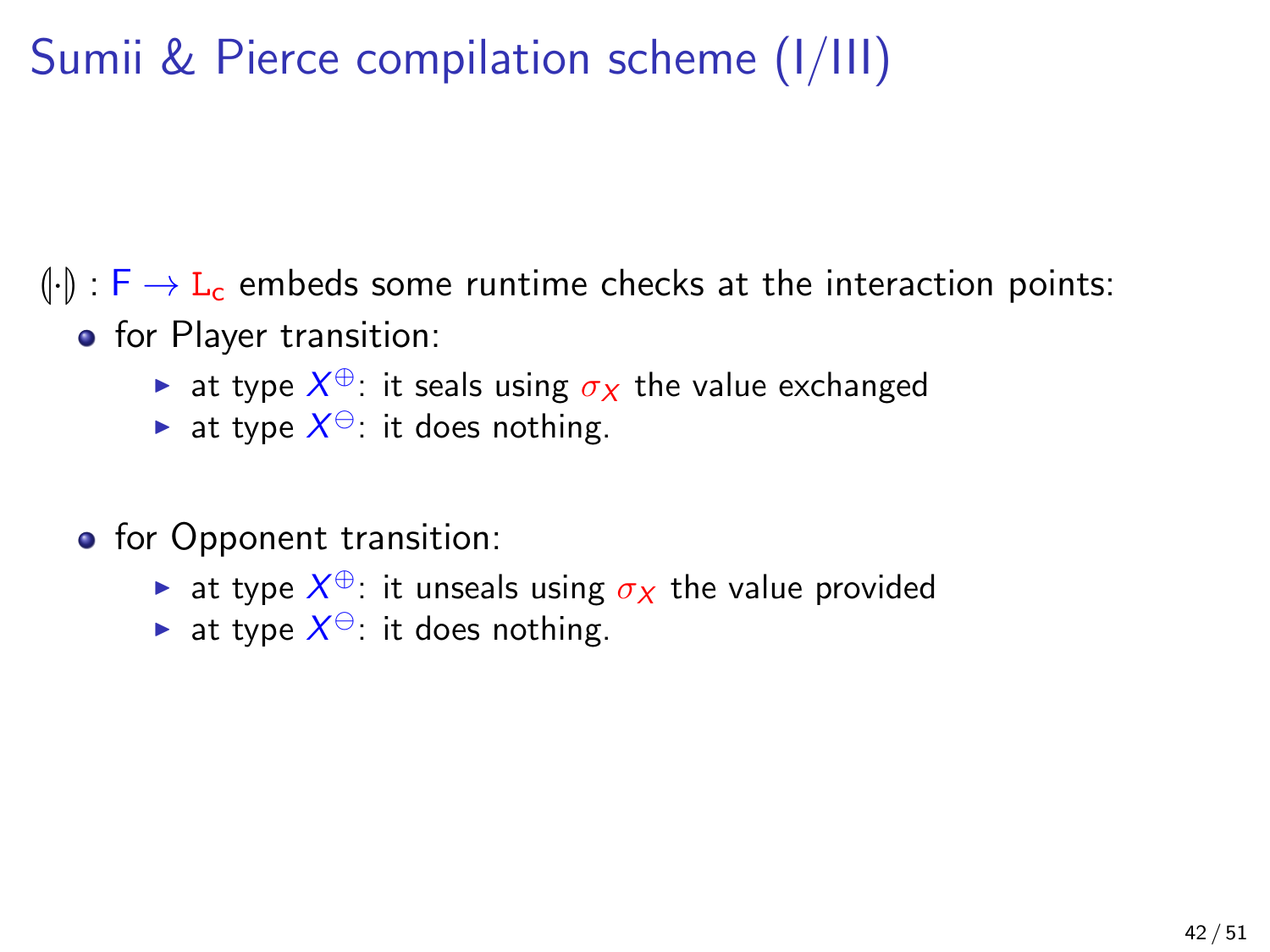## Sumii & Pierce compilation scheme (I/III)

 $\left(\frac{1}{\cdot}\right)$ :  $\left[\frac{1}{\cdot}\right]$   $\rightarrow$  L<sub>c</sub> embeds some runtime checks at the interaction points:

- **o** for Player transition:
	- ► at type  $X^\oplus$ : it seals using  $\sigma_X$  the value exchanged
	- ightharpoonup at type  $X^{\ominus}$ : it does nothing.
- **o** for Opponent transition:
	- ightharpoonup at type  $X^{\oplus}$ : it unseals using  $\sigma_X$  the value provided
	- ightharpoonup at type  $X^{\ominus}$ : it does nothing.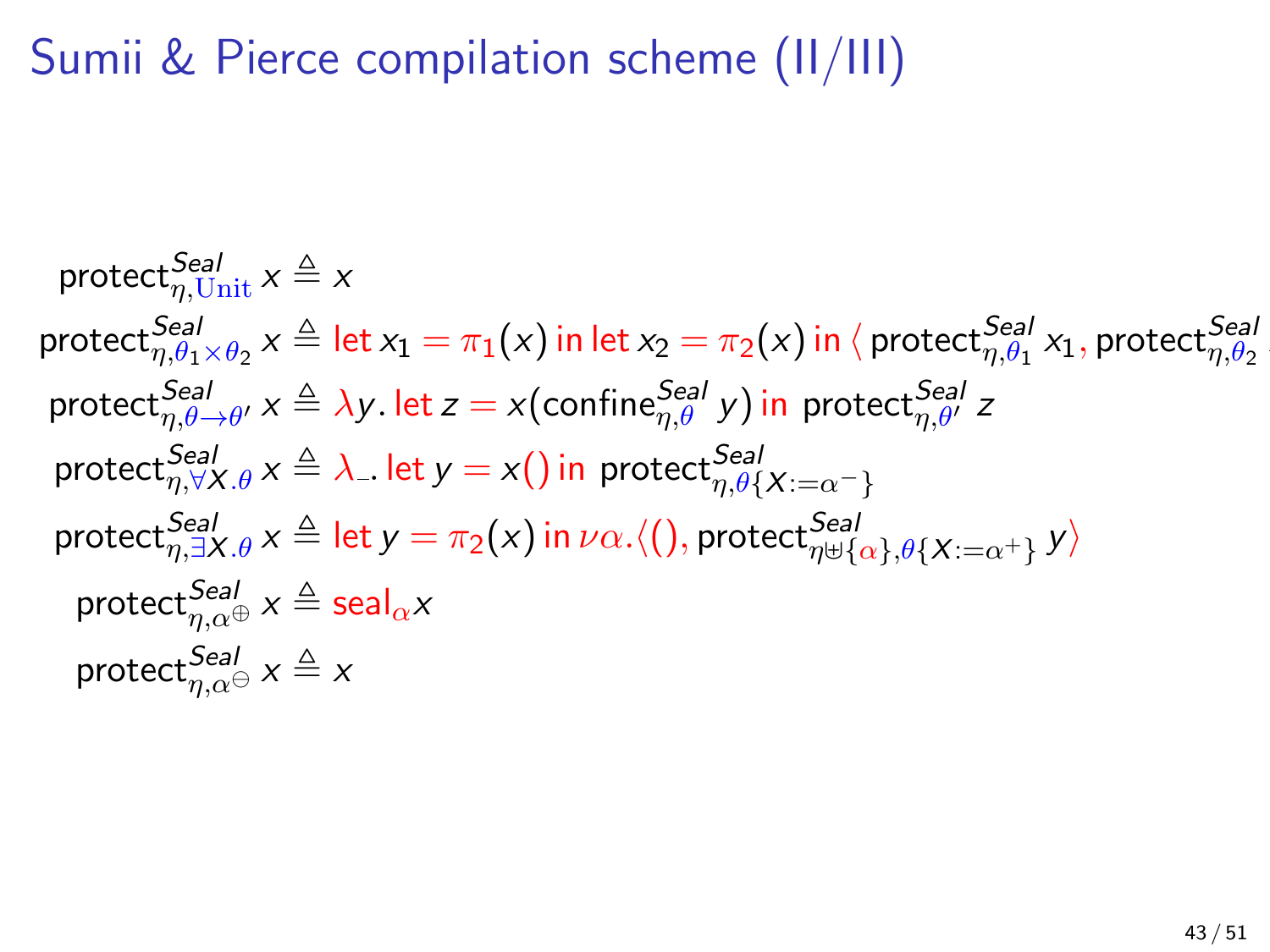## Sumii & Pierce compilation scheme (II/III)

$$
\text{protect}_{\eta,\text{Unit}}^{Seal} \times \text{protect}_{\eta,\theta_1 \times \theta_2}^{Seal} \times \triangleq \text{let } x_1 = \pi_1(x) \text{ in } \text{let } x_2 = \pi_2(x) \text{ in } \langle \text{ protect}_{\eta,\theta_1}^{Seal} x_1, \text{ protect}_{\eta,\theta_2}^{Seal} \rangle
$$
\n
$$
\text{protect}_{\eta,\theta_2 \to \theta'}^{Seal} \times \triangleq \lambda y. \text{ let } z = x(\text{confine}_{\eta,\theta'}^{Seal} y) \text{ in } \text{protect}_{\eta,\theta'}^{Seal} z
$$
\n
$$
\text{protect}_{\eta,\forall X.\theta}^{Seal} \times \triangleq \lambda. \text{ let } y = x() \text{ in } \text{protect}_{\eta,\theta\{X:=\alpha^{-}\}}^{Seal}
$$
\n
$$
\text{protect}_{\eta,\exists X.\theta}^{Seal} \times \triangleq \text{ let } y = \pi_2(x) \text{ in } \nu\alpha. \langle (), \text{ protect}_{\eta \uplus \{\alpha\},\theta\{X:=\alpha^{+}\}} y \rangle
$$
\n
$$
\text{protect}_{\eta,\alpha\oplus}^{Seal} \times \triangleq \text{seal}_{\alpha} x
$$
\n
$$
\text{protect}_{\eta,\alpha\ominus}^{Seal} \times \triangleq x
$$

x2i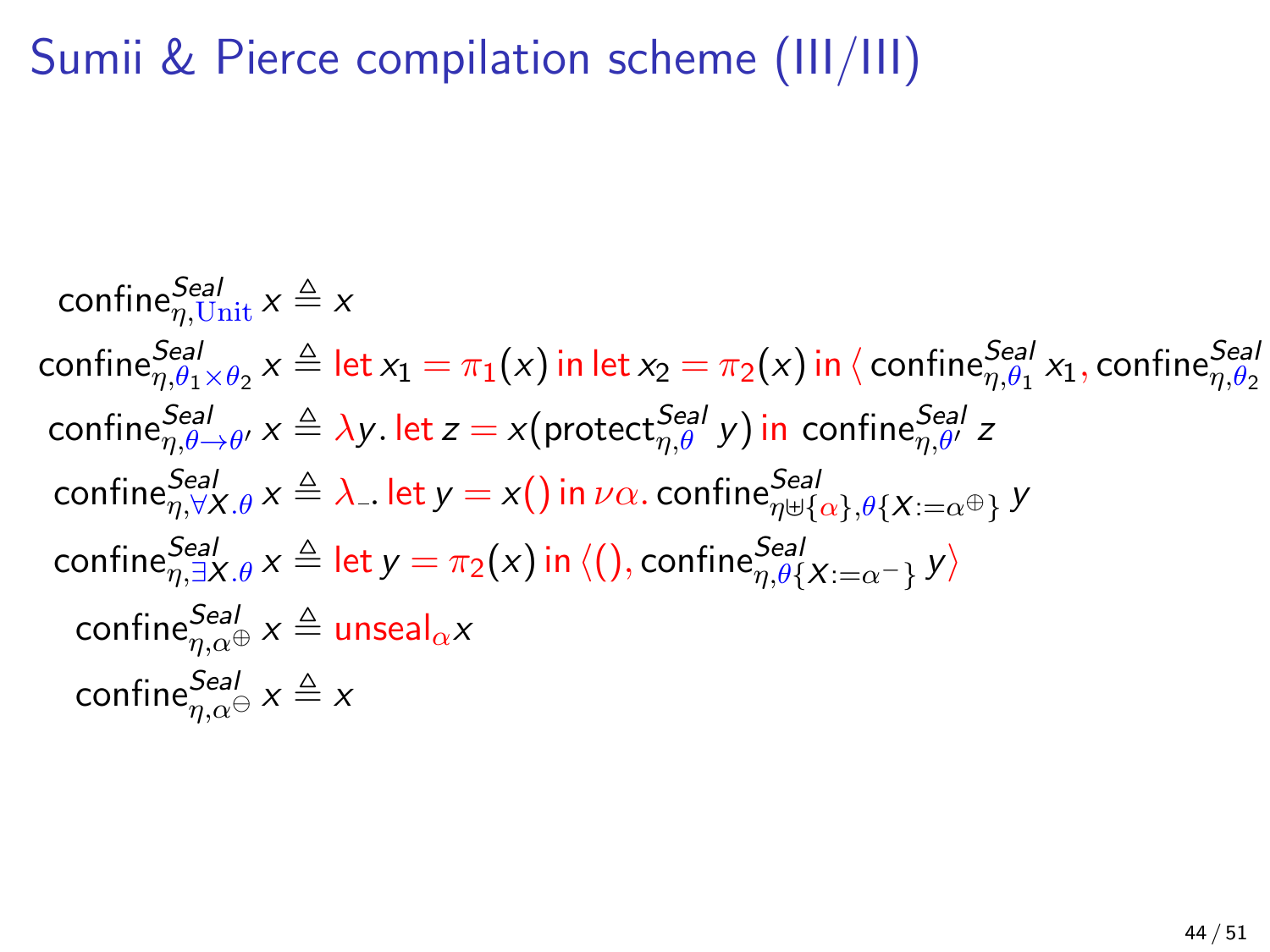## Sumii & Pierce compilation scheme (III/III)

confine $_{\eta,\mathrm{Unit}}^{\mathcal{S} e a l}$   $x \triangleq x$  $\mathsf{confidence}^{\mathsf{Seal}}_{\eta,\theta_1\times\theta_2}$   $\mathsf{x}\triangleq\mathsf{let}\, \mathsf{x}_1=\pi_1(\mathsf{x})$  in  $\mathsf{let}\, \mathsf{x}_2=\pi_2(\mathsf{x})$  in  $\langle$   $\mathsf{confidence}^{\mathsf{Seal}}_{\eta,\theta_1}\,\mathsf{x}_1,\mathsf{confidence}^{\mathsf{Seal}}_{\eta,\theta_2}$  $\mathsf{confidence}_{\eta,\theta \to \theta'}^{\mathsf{Real}} \times \triangleq \lambda$ y. let  $z = x( \mathsf{protec}_{\eta,\theta}^{\mathsf{Real}} \, y )$  in  $\mathsf{combine}_{\eta,\theta'}^{\mathsf{Real}} \, z$  $\mathsf{confidence}_{\eta,\forall X.\theta}^{\mathsf{Seal}} \, x \triangleq \lambda$  . let  $y = x()$  in  $\nu\alpha$ .  $\mathsf{confidence}_{\eta\uplus\{\alpha\},\theta\{X:=\alpha^\oplus\}}^{\mathsf{Seal}} \, y$  $\mathsf{confidence}_{\eta,\exists X.\theta}^{\mathsf{Seal}} \, x \triangleq \mathsf{let} \, y = \pi_2(x)$  in  $\langle (), \mathsf{confidence}_{\eta,\theta\{X:=\alpha^-\}}^{\mathsf{Seal}} \, y \rangle$  $\mathsf{confine}_{\eta,\alpha^{\oplus}}^{\mathcal{S} e a l}$   $x \triangleq \mathsf{unseal}_{\alpha} x$ confine $_{\eta,\alpha}^{Seal}$   $x \triangleq x$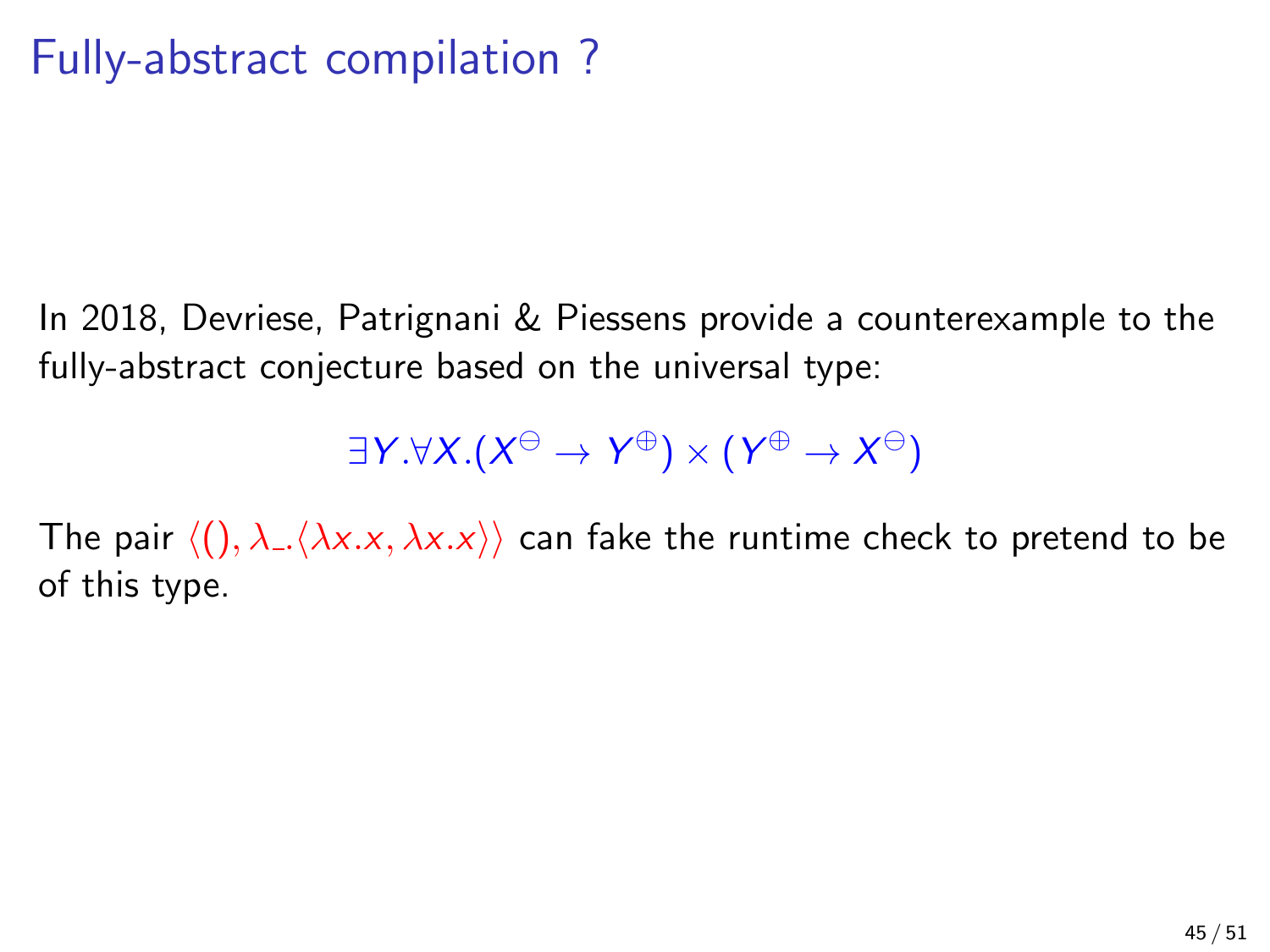## Fully-abstract compilation ?

In 2018, Devriese, Patrignani & Piessens provide a counterexample to the fully-abstract conjecture based on the universal type:

 $\exists Y. \forall X. (X^{\ominus} \rightarrow Y^{\oplus}) \times (Y^{\oplus} \rightarrow X^{\ominus})$ 

The pair  $\langle (), \lambda_-\langle \lambda x.x, \lambda x.x \rangle \rangle$  can fake the runtime check to pretend to be of this type.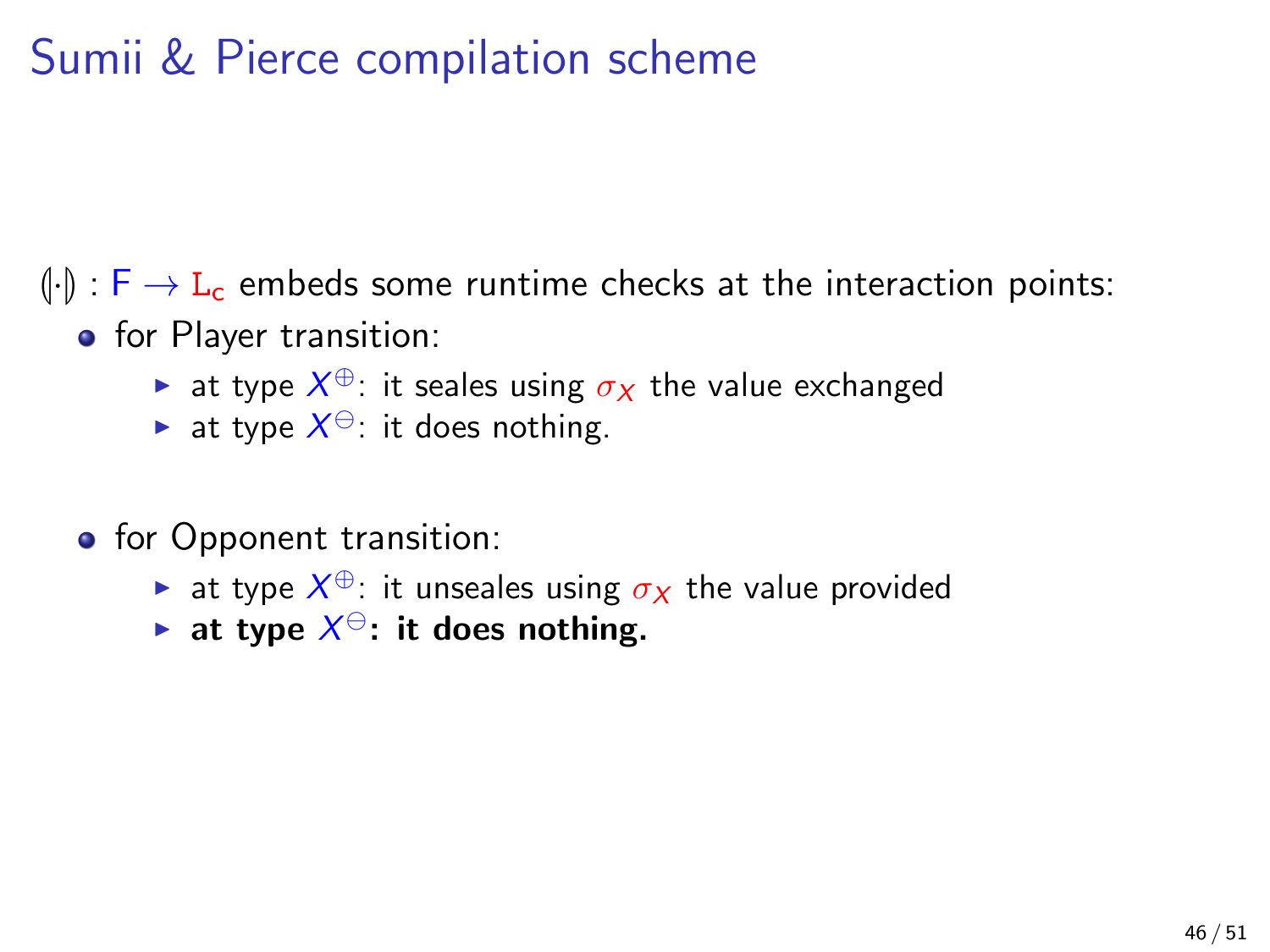## Sumii & Pierce compilation scheme

 $\left(\frac{1}{\cdot}\right)$ :  $\left[\frac{1}{\cdot}\right]$   $\rightarrow$  L<sub>c</sub> embeds some runtime checks at the interaction points:

- **o** for Player transition:
	- ► at type  $X^{\oplus}$ : it seales using  $\sigma_X$  the value exchanged
	- ightharpoonup at type  $X^{\ominus}$ : it does nothing.
- **o** for Opponent transition:
	- ightharpoonup at type  $X^{\oplus}$ : it unseales using  $\sigma_X$  the value provided
	- ightharpoonup at type  $X^{\ominus}$ : it does nothing.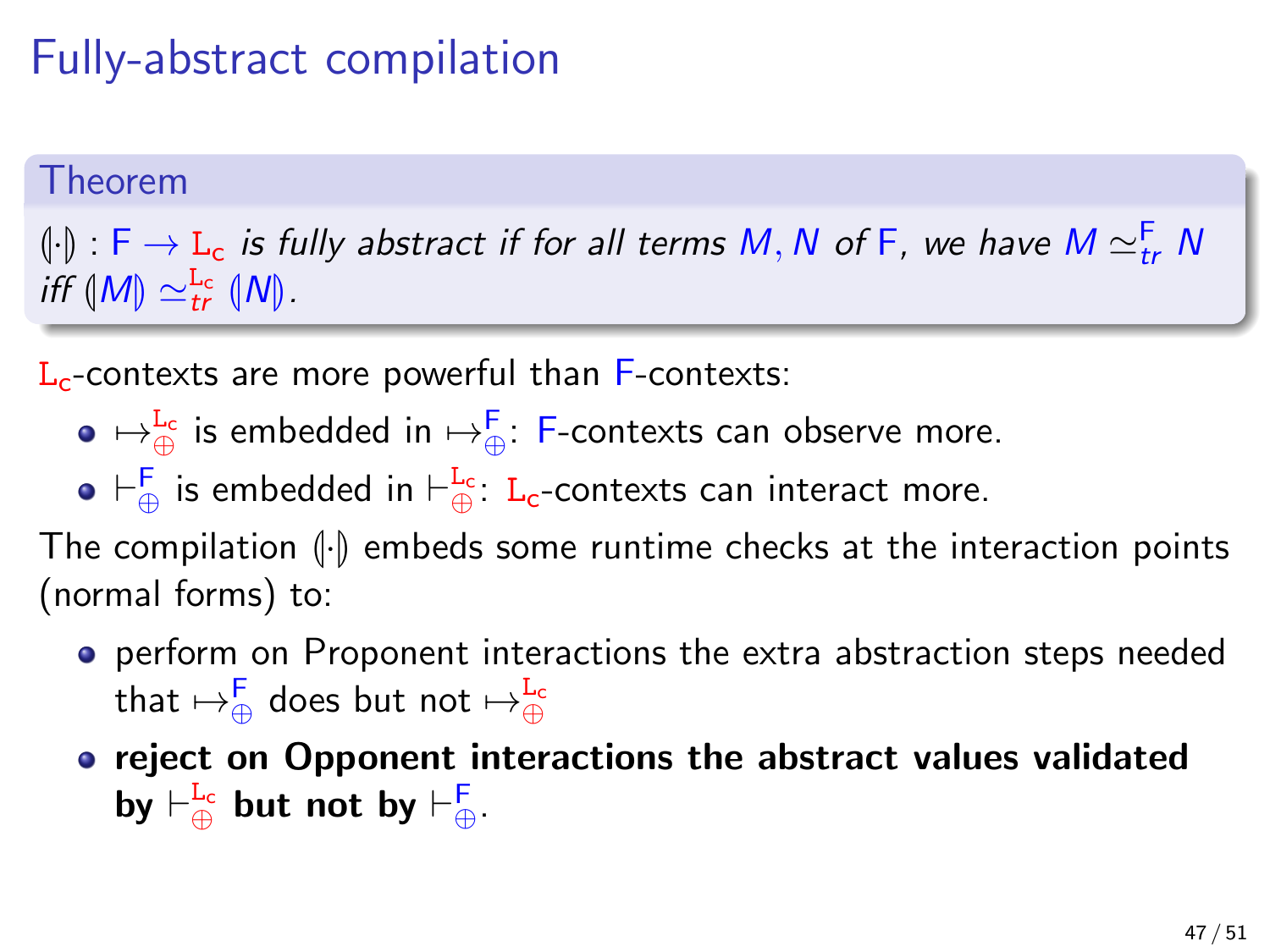## Fully-abstract compilation

#### Theorem

 $\left(\begin{smallmatrix} .\downarrow \ 0 \end{smallmatrix}\right)$  : F  $\to$  L<sub>c</sub> is fully abstract if for all terms M, N of F, we have M  $\simeq^\mathsf{F}_{tr}$  N<br>iff AM)  $\sim^\mathsf{Lc}$  AM) iff  $(M) \simeq_{tr}^{L_c} (N)$ .

 $L<sub>c</sub>$ -contexts are more powerful than  $F$ -contexts:

- $\mapsto^{\mathbf{L_c}}_\oplus$  is embedded in  $\mapsto^{\mathbf{F}}_\oplus$ : F-contexts can observe more.
- $\vdash^{\mathsf{F}}_\oplus$  is embedded in  $\vdash^{\mathsf{L}_\mathsf{c}}_\oplus$ :  $\mathtt{L}_\mathsf{c}\text{-}\mathsf{context}$  scan interact more.

The compilation  $\left\{\cdot\right\}$  embeds some runtime checks at the interaction points (normal forms) to:

- **•** perform on Proponent interactions the extra abstraction steps needed that  $\mapsto^{\mathsf{F}}_\oplus$  does but not  $\mapsto^{\mathtt{L_c}}_\oplus$
- reject on Opponent interactions the abstract values validated by  $\vdash^{\mathbf{L_c}}_{\oplus}$  but not by  $\vdash^{\mathsf{F}}_{\oplus}$ .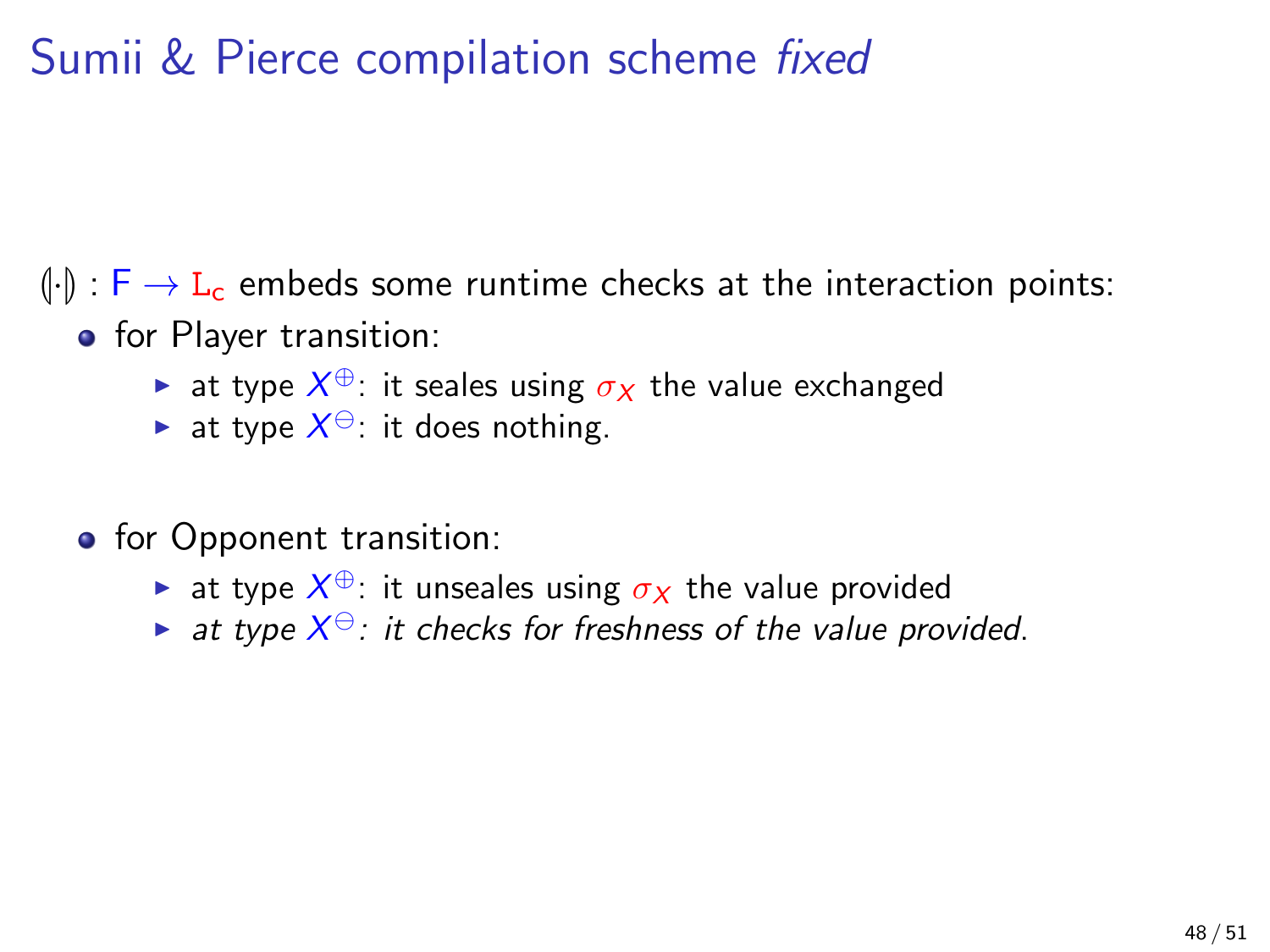## Sumii & Pierce compilation scheme *fixed*

 $\left(\frac{1}{\cdot}\right)$ :  $\left[\frac{1}{\cdot}\right]$   $\rightarrow$  L<sub>c</sub> embeds some runtime checks at the interaction points:

- **o** for Player transition:
	- ► at type  $X^{\oplus}$ : it seales using  $\sigma_X$  the value exchanged
	- ightharpoonup at type  $X^{\ominus}$ : it does nothing.
- **o** for Opponent transition:
	- ightharpoonup at type  $X^{\oplus}$ : it unseales using  $\sigma_X$  the value provided
	- ightharpoonup at type  $X^{\ominus}$ : it checks for freshness of the value provided.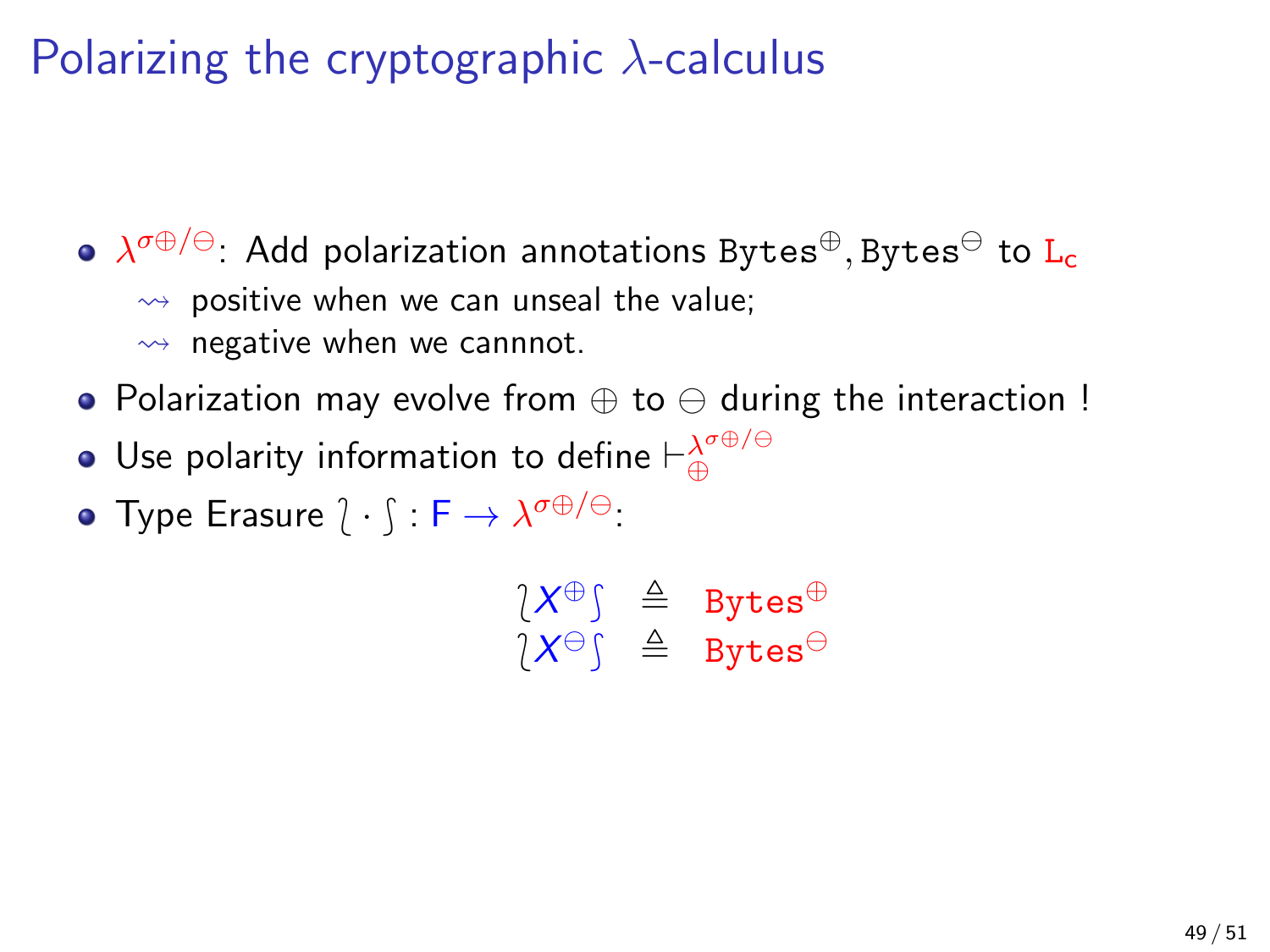## Polarizing the cryptographic  $\lambda$ -calculus

 $\lambda^{\sigma \oplus / \ominus}$ : Add polarization annotations Bytes $^{\oplus},$ Bytes $^{\ominus}$  to  $\mathtt{L}_{\mathtt{c}}$  $\rightarrow$  positive when we can unseal the value;  $\rightsquigarrow$  negative when we cannnot.

- Polarization may evolve from  $\oplus$  to  $\ominus$  during the interaction !
- Use polarity information to define  $\vdash^{\lambda^{\sigma \oplus / \ominus}}_{\oplus}$
- Type Erasure  $\hat{l} \cdot \hat{l} : \mathsf{F} \to \lambda^{\sigma \oplus / \ominus}$ :

 $\begin{array}{rcl} \n\chi \oplus \uparrow & \triangle & \text{Bytes}^{\oplus} \\ \n\chi \mapsto \uparrow & \triangle & \text{Pert} \mapsto \oplus \end{array}$  $\chi \otimes \text{S}$   $\triangleq$  Bytes<sup> $\ominus$ </sup>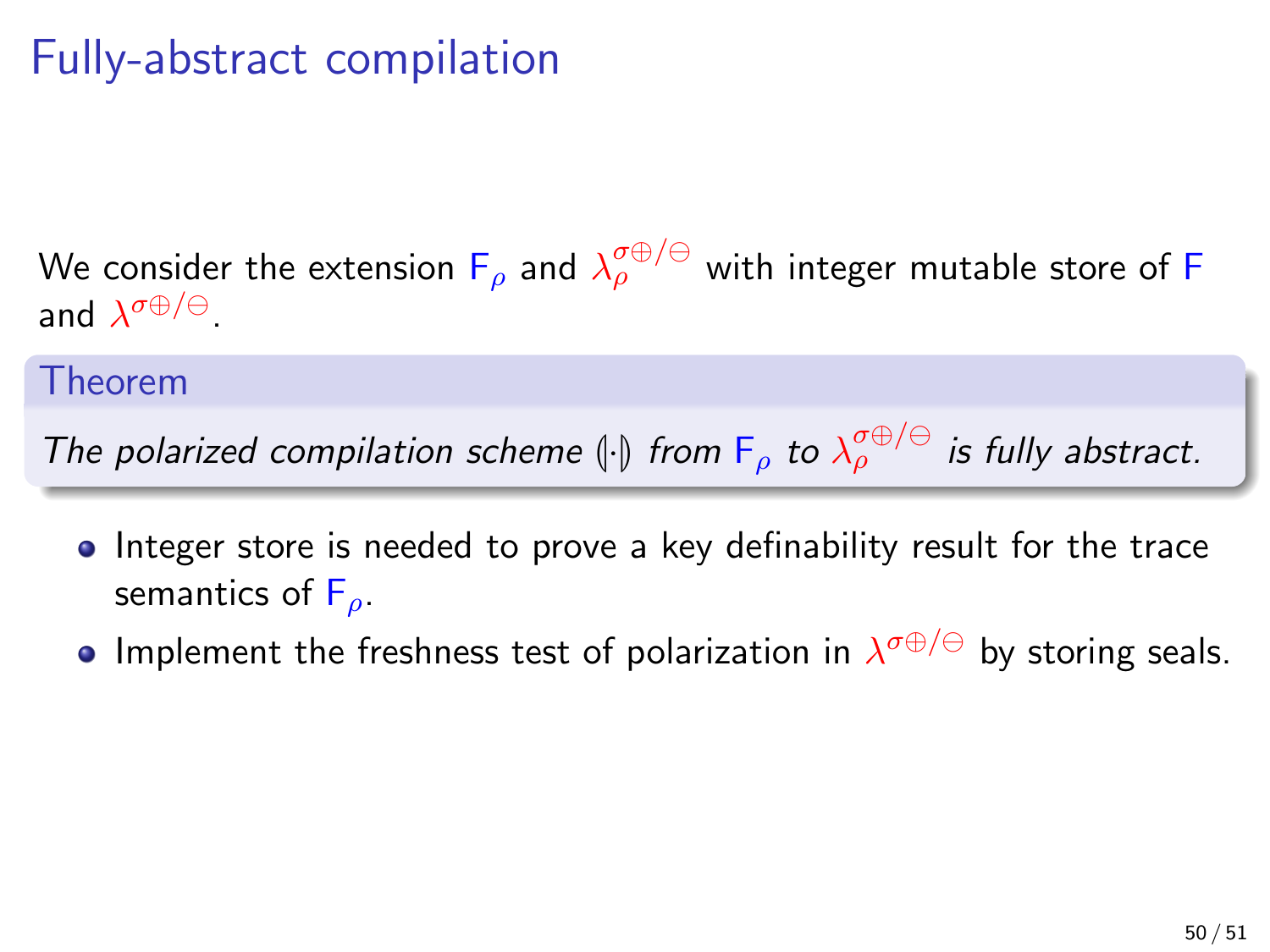## Fully-abstract compilation

We consider the extension  $\mathsf{F}_\rho$  and  $\lambda_\rho^{\sigma\oplus/\ominus}$  with integer mutable store of  $\mathsf F$ and  $\lambda^{\sigma \oplus / \ominus}$ .

#### Theorem

The polarized compilation scheme  $\|\cdot\|$  from  $F_{\rho}$  to  $\lambda_{\rho}^{\sigma\oplus/\ominus}$  is fully abstract.

- Integer store is needed to prove a key definability result for the trace semantics of  $F_{\rho}$ .
- Implement the freshness test of polarization in  $\lambda^{\sigma \oplus / \ominus}$  by storing seals.